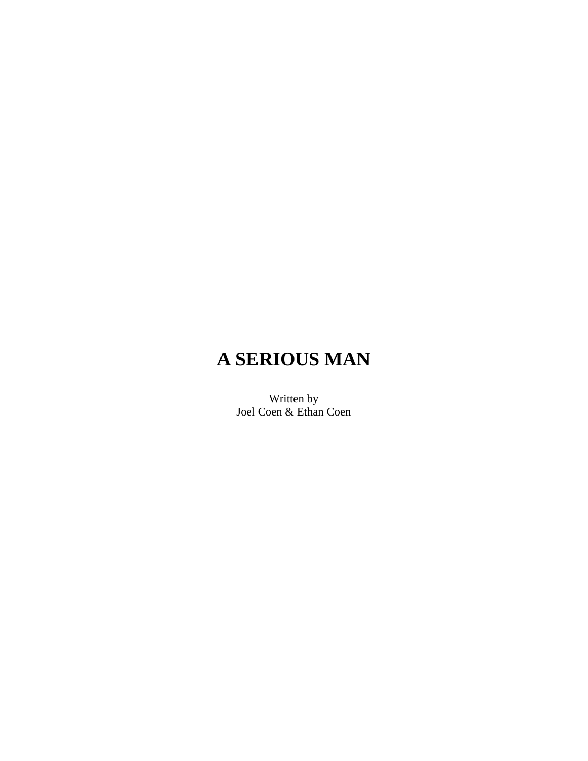# **A SERIOUS MAN**

Written by Joel Coen & Ethan Coen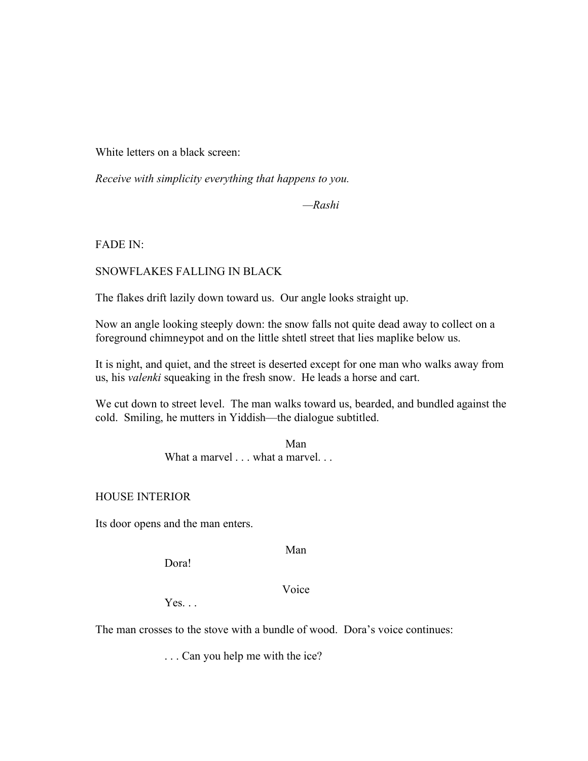White letters on a black screen:

*Receive with simplicity everything that happens to you.*

*—Rashi*

FADE IN:

# SNOWFLAKES FALLING IN BLACK

The flakes drift lazily down toward us. Our angle looks straight up.

Now an angle looking steeply down: the snow falls not quite dead away to collect on a foreground chimneypot and on the little shtetl street that lies maplike below us.

It is night, and quiet, and the street is deserted except for one man who walks away from us, his *valenki* squeaking in the fresh snow. He leads a horse and cart.

We cut down to street level. The man walks toward us, bearded, and bundled against the cold. Smiling, he mutters in Yiddish—the dialogue subtitled.

> Man What a marvel . . . what a marvel. . .

# HOUSE INTERIOR

Its door opens and the man enters.

Man

Dora!

Voice

 $Yes. . .$ 

The man crosses to the stove with a bundle of wood. Dora's voice continues:

. . . Can you help me with the ice?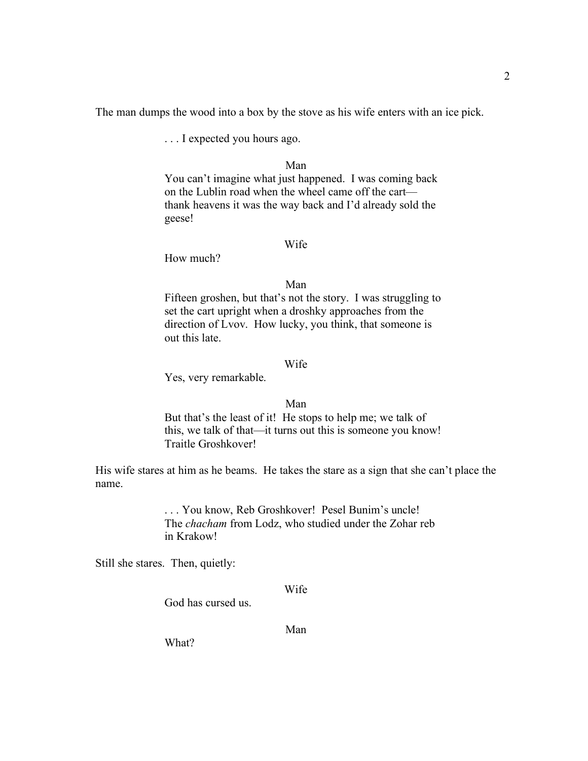The man dumps the wood into a box by the stove as his wife enters with an ice pick.

. . . I expected you hours ago.

#### Man

You can't imagine what just happened. I was coming back on the Lublin road when the wheel came off the cart thank heavens it was the way back and I'd already sold the geese!

#### Wife

How much?

#### Man

Fifteen groshen, but that's not the story. I was struggling to set the cart upright when a droshky approaches from the direction of Lvov. How lucky, you think, that someone is out this late.

## Wife

Yes, very remarkable.

#### Man

But that's the least of it! He stops to help me; we talk of this, we talk of that—it turns out this is someone you know! Traitle Groshkover!

His wife stares at him as he beams. He takes the stare as a sign that she can't place the name.

> . . . You know, Reb Groshkover! Pesel Bunim's uncle! The *chacham* from Lodz, who studied under the Zohar reb in Krakow!

Still she stares. Then, quietly:

#### Wife

God has cursed us.

Man

What?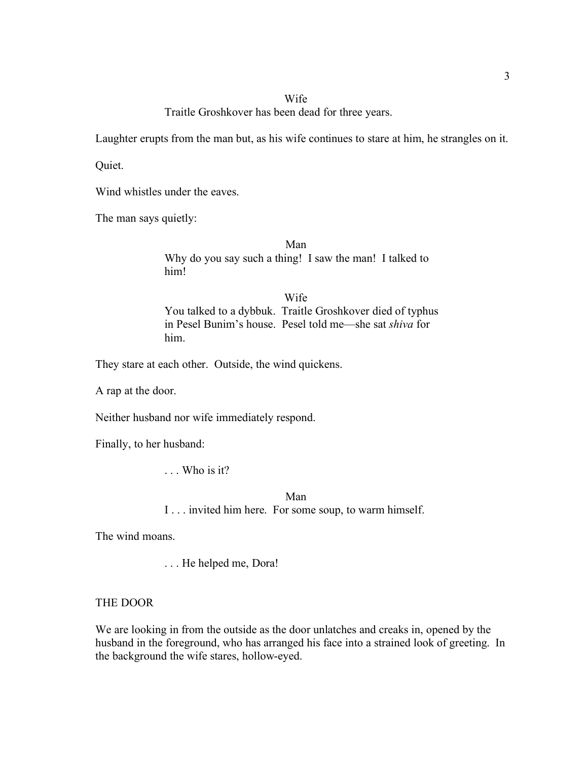Traitle Groshkover has been dead for three years.

Laughter erupts from the man but, as his wife continues to stare at him, he strangles on it.

Quiet.

Wind whistles under the eaves.

The man says quietly:

# Man

Why do you say such a thing! I saw the man! I talked to him!

Wife You talked to a dybbuk. Traitle Groshkover died of typhus in Pesel Bunim's house. Pesel told me—she sat *shiva* for him.

They stare at each other. Outside, the wind quickens.

A rap at the door.

Neither husband nor wife immediately respond.

Finally, to her husband:

. . . Who is it?

Man

I . . . invited him here. For some soup, to warm himself.

The wind moans.

. . . He helped me, Dora!

## THE DOOR

We are looking in from the outside as the door unlatches and creaks in, opened by the husband in the foreground, who has arranged his face into a strained look of greeting. In the background the wife stares, hollow-eyed.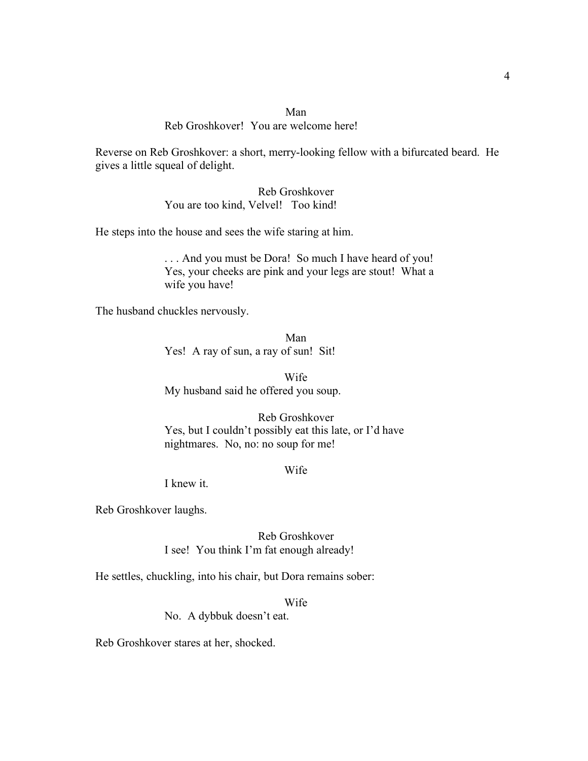# Man

Reb Groshkover! You are welcome here!

Reverse on Reb Groshkover: a short, merry-looking fellow with a bifurcated beard. He gives a little squeal of delight.

> Reb Groshkover You are too kind, Velvel! Too kind!

He steps into the house and sees the wife staring at him.

. . . And you must be Dora! So much I have heard of you! Yes, your cheeks are pink and your legs are stout! What a wife you have!

The husband chuckles nervously.

Man Yes! A ray of sun, a ray of sun! Sit!

Wife My husband said he offered you soup.

Reb Groshkover Yes, but I couldn't possibly eat this late, or I'd have nightmares. No, no: no soup for me!

Wife

I knew it.

Reb Groshkover laughs.

Reb Groshkover I see! You think I'm fat enough already!

He settles, chuckling, into his chair, but Dora remains sober:

Wife

No. A dybbuk doesn't eat.

Reb Groshkover stares at her, shocked.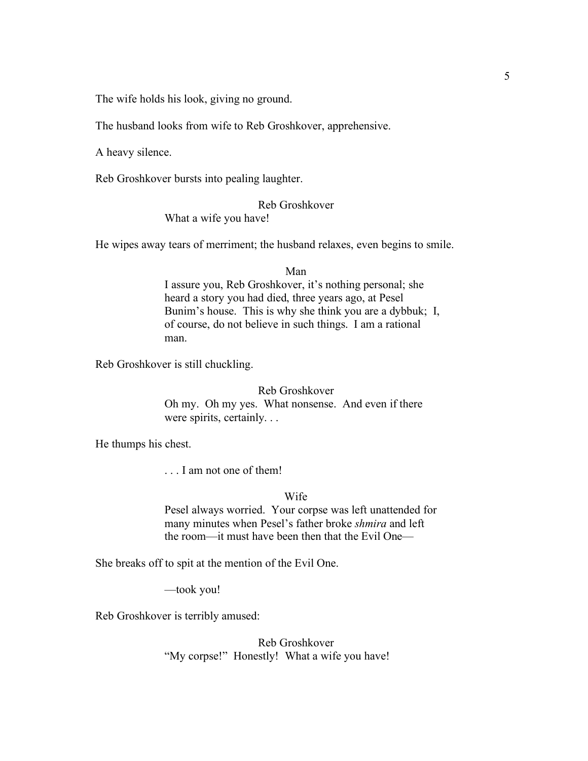The wife holds his look, giving no ground.

The husband looks from wife to Reb Groshkover, apprehensive.

A heavy silence.

Reb Groshkover bursts into pealing laughter.

Reb Groshkover What a wife you have!

He wipes away tears of merriment; the husband relaxes, even begins to smile.

Man

I assure you, Reb Groshkover, it's nothing personal; she heard a story you had died, three years ago, at Pesel Bunim's house. This is why she think you are a dybbuk; I, of course, do not believe in such things. I am a rational man.

Reb Groshkover is still chuckling.

Reb Groshkover Oh my. Oh my yes. What nonsense. And even if there were spirits, certainly. . .

He thumps his chest.

. . . I am not one of them!

Wife

Pesel always worried. Your corpse was left unattended for many minutes when Pesel's father broke *shmira* and left the room—it must have been then that the Evil One—

She breaks off to spit at the mention of the Evil One.

—took you!

Reb Groshkover is terribly amused:

Reb Groshkover "My corpse!" Honestly! What a wife you have!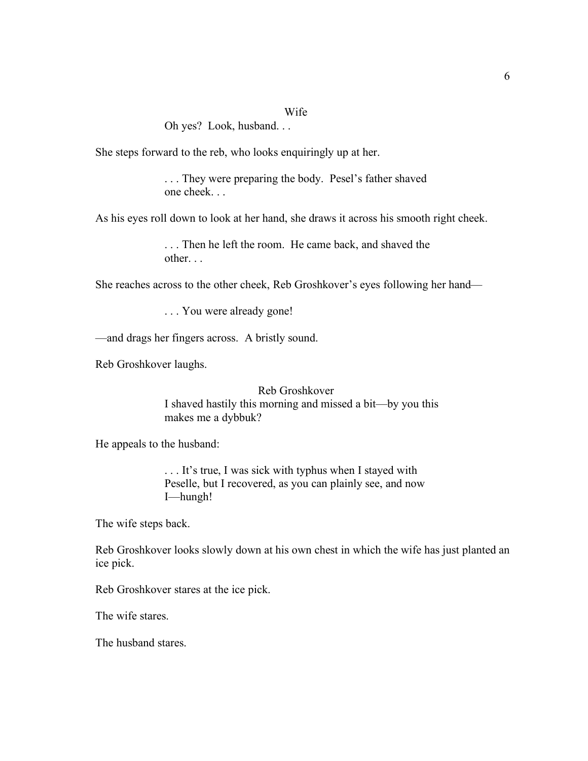#### Wife

Oh yes? Look, husband. . .

She steps forward to the reb, who looks enquiringly up at her.

. . . They were preparing the body. Pesel's father shaved one cheek. . .

As his eyes roll down to look at her hand, she draws it across his smooth right cheek.

. . . Then he left the room. He came back, and shaved the other. . .

She reaches across to the other cheek, Reb Groshkover's eyes following her hand—

. . . You were already gone!

—and drags her fingers across. A bristly sound.

Reb Groshkover laughs.

Reb Groshkover I shaved hastily this morning and missed a bit—by you this makes me a dybbuk?

He appeals to the husband:

. . . It's true, I was sick with typhus when I stayed with Peselle, but I recovered, as you can plainly see, and now I—hungh!

The wife steps back.

Reb Groshkover looks slowly down at his own chest in which the wife has just planted an ice pick.

Reb Groshkover stares at the ice pick.

The wife stares.

The husband stares.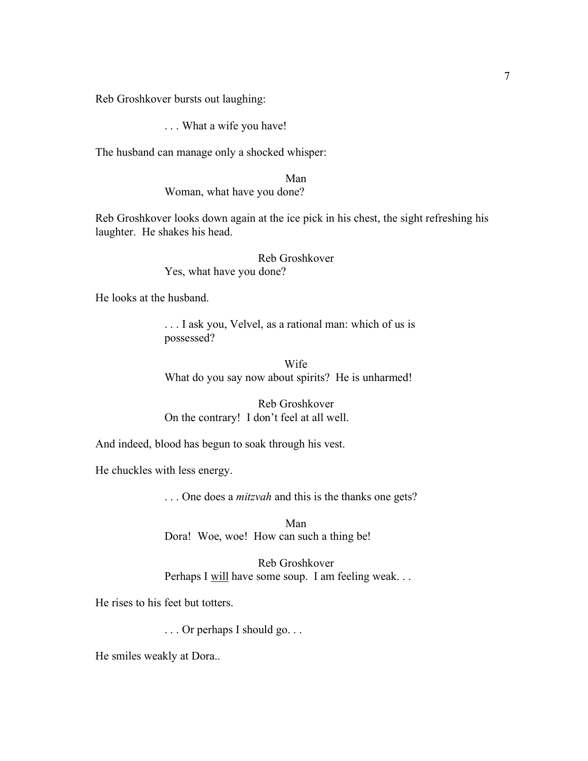Reb Groshkover bursts out laughing:

. . . What a wife you have!

The husband can manage only a shocked whisper:

Man Woman, what have you done?

Reb Groshkover looks down again at the ice pick in his chest, the sight refreshing his laughter. He shakes his head.

> Reb Groshkover Yes, what have you done?

He looks at the husband.

. . . I ask you, Velvel, as a rational man: which of us is possessed?

Wife What do you say now about spirits? He is unharmed!

Reb Groshkover On the contrary! I don't feel at all well.

And indeed, blood has begun to soak through his vest.

He chuckles with less energy.

. . . One does a *mitzvah* and this is the thanks one gets?

Man Dora! Woe, woe! How can such a thing be!

Reb Groshkover Perhaps I will have some soup. I am feeling weak...

He rises to his feet but totters.

. . . Or perhaps I should go. . .

He smiles weakly at Dora..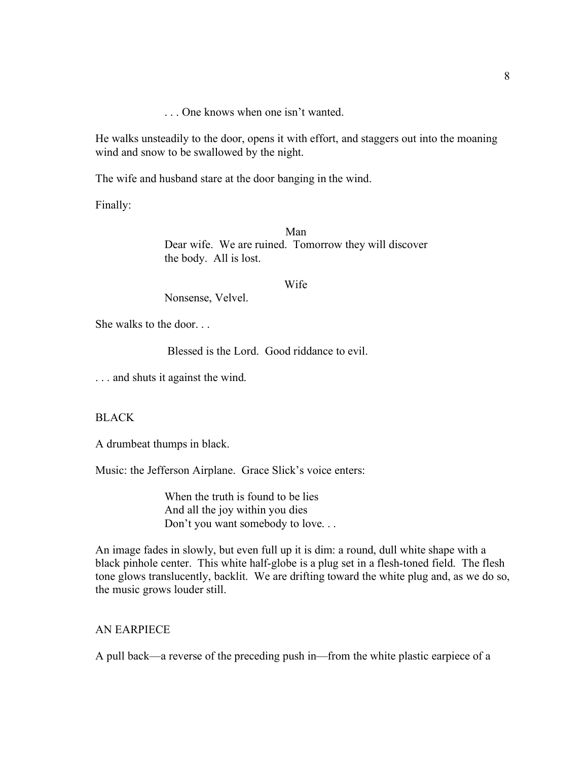. . . One knows when one isn't wanted.

He walks unsteadily to the door, opens it with effort, and staggers out into the moaning wind and snow to be swallowed by the night.

The wife and husband stare at the door banging in the wind.

Finally:

Man Dear wife. We are ruined. Tomorrow they will discover the body. All is lost.

#### Wife

Nonsense, Velvel.

She walks to the door. . .

Blessed is the Lord. Good riddance to evil.

. . . and shuts it against the wind.

#### BLACK

A drumbeat thumps in black.

Music: the Jefferson Airplane. Grace Slick's voice enters:

When the truth is found to be lies And all the joy within you dies Don't you want somebody to love. . .

An image fades in slowly, but even full up it is dim: a round, dull white shape with a black pinhole center. This white half-globe is a plug set in a flesh-toned field. The flesh tone glows translucently, backlit. We are drifting toward the white plug and, as we do so, the music grows louder still.

#### AN EARPIECE

A pull back—a reverse of the preceding push in—from the white plastic earpiece of a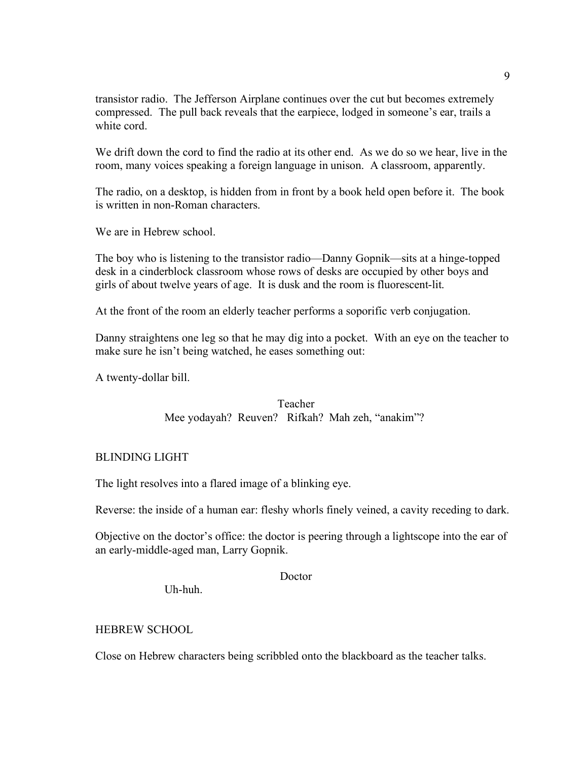transistor radio. The Jefferson Airplane continues over the cut but becomes extremely compressed. The pull back reveals that the earpiece, lodged in someone's ear, trails a white cord.

We drift down the cord to find the radio at its other end. As we do so we hear, live in the room, many voices speaking a foreign language in unison. A classroom, apparently.

The radio, on a desktop, is hidden from in front by a book held open before it. The book is written in non-Roman characters.

We are in Hebrew school.

The boy who is listening to the transistor radio—Danny Gopnik—sits at a hinge-topped desk in a cinderblock classroom whose rows of desks are occupied by other boys and girls of about twelve years of age. It is dusk and the room is fluorescent-lit.

At the front of the room an elderly teacher performs a soporific verb conjugation.

Danny straightens one leg so that he may dig into a pocket. With an eye on the teacher to make sure he isn't being watched, he eases something out:

A twenty-dollar bill.

Teacher Mee yodayah? Reuven? Rifkah? Mah zeh, "anakim"?

#### BLINDING LIGHT

The light resolves into a flared image of a blinking eye.

Reverse: the inside of a human ear: fleshy whorls finely veined, a cavity receding to dark.

Objective on the doctor's office: the doctor is peering through a lightscope into the ear of an early-middle-aged man, Larry Gopnik.

Doctor

Uh-huh.

#### HEBREW SCHOOL

Close on Hebrew characters being scribbled onto the blackboard as the teacher talks.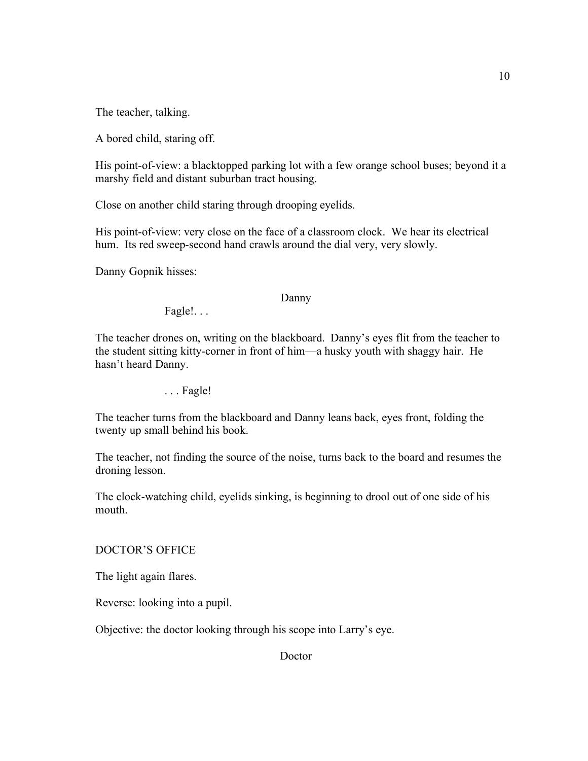The teacher, talking.

A bored child, staring off.

His point-of-view: a blacktopped parking lot with a few orange school buses; beyond it a marshy field and distant suburban tract housing.

Close on another child staring through drooping eyelids.

His point-of-view: very close on the face of a classroom clock. We hear its electrical hum. Its red sweep-second hand crawls around the dial very, very slowly.

Danny Gopnik hisses:

# Danny

Fagle!. . .

The teacher drones on, writing on the blackboard. Danny's eyes flit from the teacher to the student sitting kitty-corner in front of him—a husky youth with shaggy hair. He hasn't heard Danny.

. . . Fagle!

The teacher turns from the blackboard and Danny leans back, eyes front, folding the twenty up small behind his book.

The teacher, not finding the source of the noise, turns back to the board and resumes the droning lesson.

The clock-watching child, eyelids sinking, is beginning to drool out of one side of his mouth.

# DOCTOR'S OFFICE

The light again flares.

Reverse: looking into a pupil.

Objective: the doctor looking through his scope into Larry's eye.

Doctor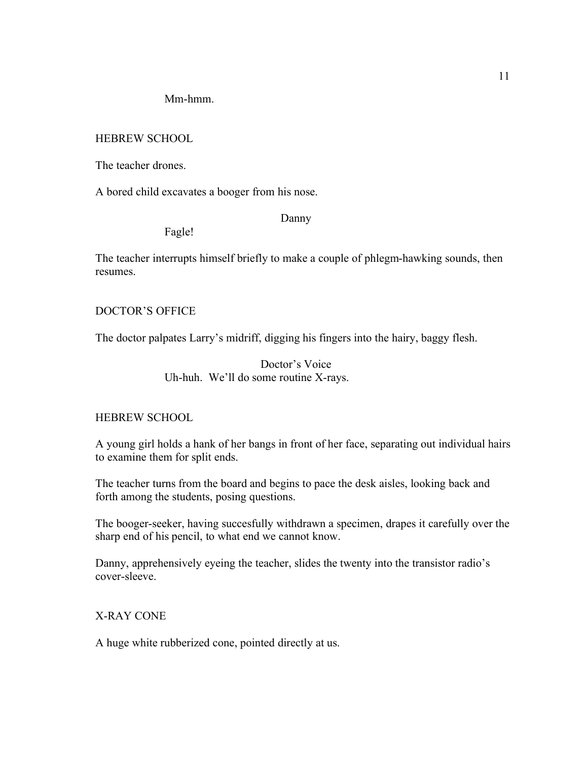## Mm-hmm.

## HEBREW SCHOOL

The teacher drones.

A bored child excavates a booger from his nose.

Danny

Fagle!

The teacher interrupts himself briefly to make a couple of phlegm-hawking sounds, then resumes.

## DOCTOR'S OFFICE

The doctor palpates Larry's midriff, digging his fingers into the hairy, baggy flesh.

Doctor's Voice Uh-huh. We'll do some routine X-rays.

#### HEBREW SCHOOL

A young girl holds a hank of her bangs in front of her face, separating out individual hairs to examine them for split ends.

The teacher turns from the board and begins to pace the desk aisles, looking back and forth among the students, posing questions.

The booger-seeker, having succesfully withdrawn a specimen, drapes it carefully over the sharp end of his pencil, to what end we cannot know.

Danny, apprehensively eyeing the teacher, slides the twenty into the transistor radio's cover-sleeve.

## X-RAY CONE

A huge white rubberized cone, pointed directly at us.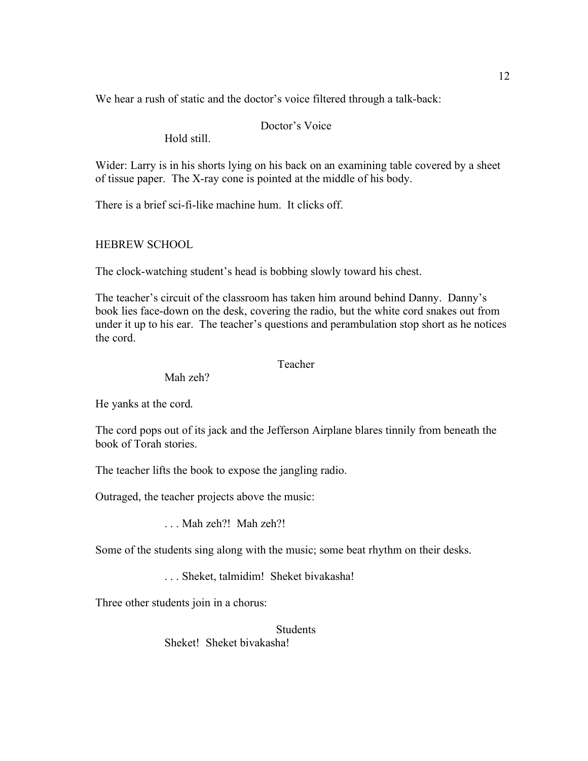We hear a rush of static and the doctor's voice filtered through a talk-back:

## Doctor's Voice

Hold still.

Wider: Larry is in his shorts lying on his back on an examining table covered by a sheet of tissue paper. The X-ray cone is pointed at the middle of his body.

There is a brief sci-fi-like machine hum. It clicks off.

## HEBREW SCHOOL

The clock-watching student's head is bobbing slowly toward his chest.

The teacher's circuit of the classroom has taken him around behind Danny. Danny's book lies face-down on the desk, covering the radio, but the white cord snakes out from under it up to his ear. The teacher's questions and perambulation stop short as he notices the cord.

## Teacher

Mah zeh?

He yanks at the cord.

The cord pops out of its jack and the Jefferson Airplane blares tinnily from beneath the book of Torah stories.

The teacher lifts the book to expose the jangling radio.

Outraged, the teacher projects above the music:

. . . Mah zeh?! Mah zeh?!

Some of the students sing along with the music; some beat rhythm on their desks.

. . . Sheket, talmidim! Sheket bivakasha!

Three other students join in a chorus:

**Students** 

Sheket! Sheket biyakasha!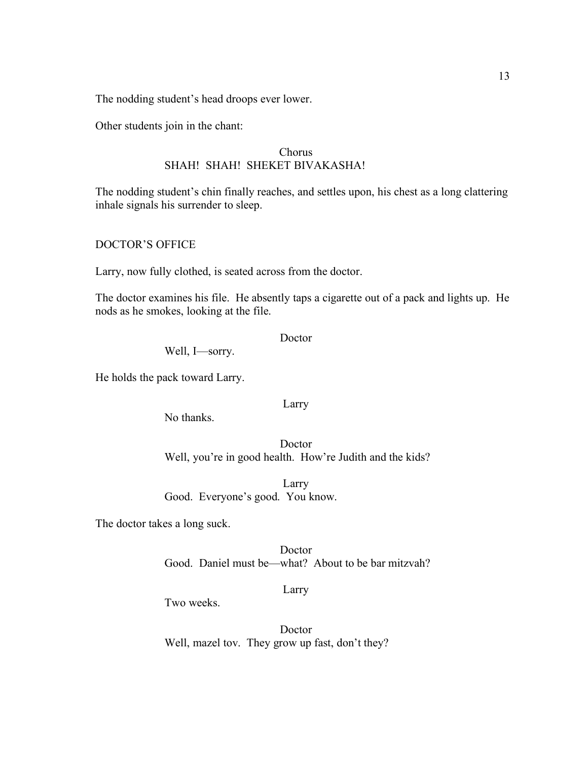The nodding student's head droops ever lower.

Other students join in the chant:

# Chorus SHAH! SHAH! SHEKET BIVAKASHA!

The nodding student's chin finally reaches, and settles upon, his chest as a long clattering inhale signals his surrender to sleep.

DOCTOR'S OFFICE

Larry, now fully clothed, is seated across from the doctor.

The doctor examines his file. He absently taps a cigarette out of a pack and lights up. He nods as he smokes, looking at the file.

#### Doctor

Well, I—sorry.

He holds the pack toward Larry.

## Larry

No thanks.

Doctor Well, you're in good health. How're Judith and the kids?

Larry Good. Everyone's good. You know.

The doctor takes a long suck.

Doctor Good. Daniel must be—what? About to be bar mitzvah?

Larry

Two weeks.

Doctor Well, mazel tov. They grow up fast, don't they?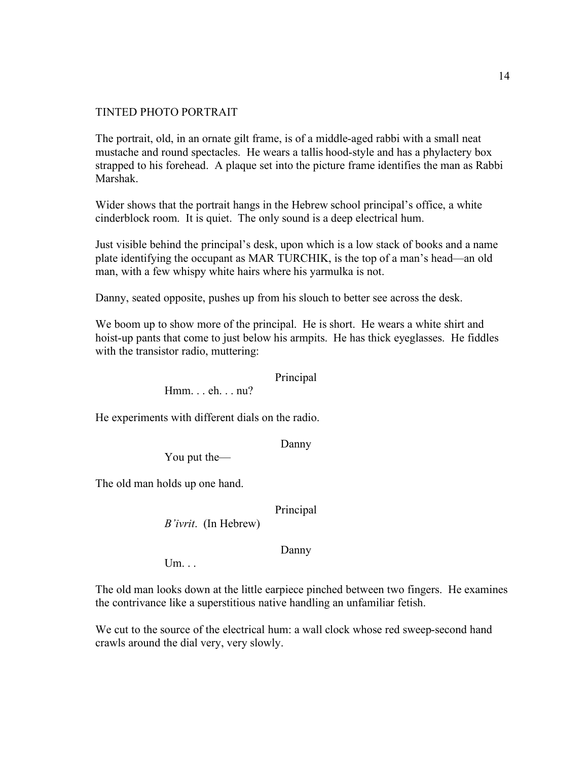# TINTED PHOTO PORTRAIT

The portrait, old, in an ornate gilt frame, is of a middle-aged rabbi with a small neat mustache and round spectacles. He wears a tallis hood-style and has a phylactery box strapped to his forehead. A plaque set into the picture frame identifies the man as Rabbi Marshak.

Wider shows that the portrait hangs in the Hebrew school principal's office, a white cinderblock room. It is quiet. The only sound is a deep electrical hum.

Just visible behind the principal's desk, upon which is a low stack of books and a name plate identifying the occupant as MAR TURCHIK, is the top of a man's head—an old man, with a few whispy white hairs where his yarmulka is not.

Danny, seated opposite, pushes up from his slouch to better see across the desk.

We boom up to show more of the principal. He is short. He wears a white shirt and hoist-up pants that come to just below his armpits. He has thick eyeglasses. He fiddles with the transistor radio, muttering:

Principal

Hmm. . . eh. . . nu?

He experiments with different dials on the radio.

Danny

You put the—

The old man holds up one hand.

Principal

*B'ivrit*. (In Hebrew)

Danny

 $Um...$ 

The old man looks down at the little earpiece pinched between two fingers. He examines the contrivance like a superstitious native handling an unfamiliar fetish.

We cut to the source of the electrical hum: a wall clock whose red sweep-second hand crawls around the dial very, very slowly.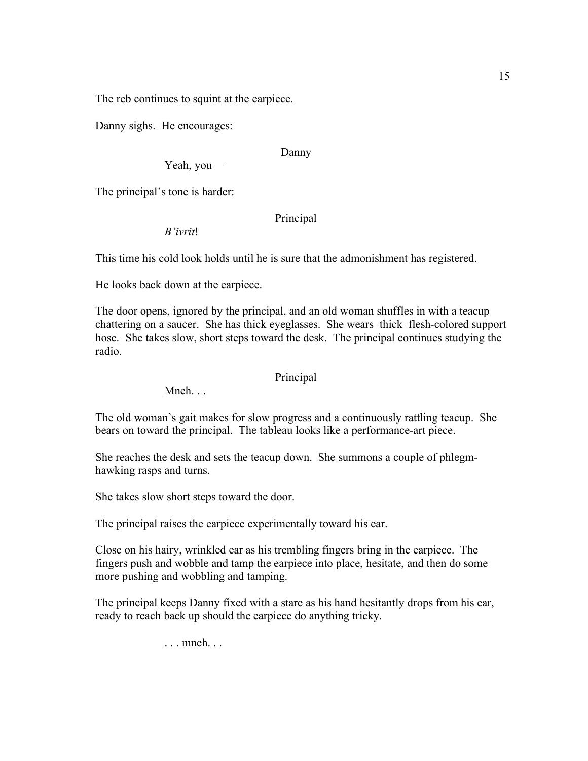The reb continues to squint at the earpiece.

Danny sighs. He encourages:

#### Danny

Yeah, you—

The principal's tone is harder:

## Principal

*B'ivrit*!

This time his cold look holds until he is sure that the admonishment has registered.

He looks back down at the earpiece.

The door opens, ignored by the principal, and an old woman shuffles in with a teacup chattering on a saucer. She has thick eyeglasses. She wears thick flesh-colored support hose. She takes slow, short steps toward the desk. The principal continues studying the radio.

## Principal

Mneh. . .

The old woman's gait makes for slow progress and a continuously rattling teacup. She bears on toward the principal. The tableau looks like a performance-art piece.

She reaches the desk and sets the teacup down. She summons a couple of phlegmhawking rasps and turns.

She takes slow short steps toward the door.

The principal raises the earpiece experimentally toward his ear.

Close on his hairy, wrinkled ear as his trembling fingers bring in the earpiece. The fingers push and wobble and tamp the earpiece into place, hesitate, and then do some more pushing and wobbling and tamping.

The principal keeps Danny fixed with a stare as his hand hesitantly drops from his ear, ready to reach back up should the earpiece do anything tricky.

. . . mneh. . .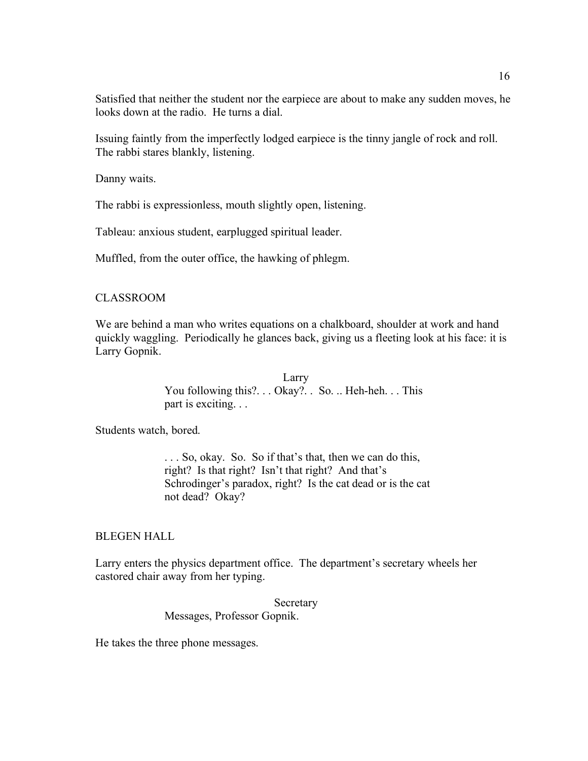Satisfied that neither the student nor the earpiece are about to make any sudden moves, he looks down at the radio. He turns a dial.

Issuing faintly from the imperfectly lodged earpiece is the tinny jangle of rock and roll. The rabbi stares blankly, listening.

Danny waits.

The rabbi is expressionless, mouth slightly open, listening.

Tableau: anxious student, earplugged spiritual leader.

Muffled, from the outer office, the hawking of phlegm.

# CLASSROOM

We are behind a man who writes equations on a chalkboard, shoulder at work and hand quickly waggling. Periodically he glances back, giving us a fleeting look at his face: it is Larry Gopnik.

> Larry You following this?... Okay?... So... Heh-heh... This part is exciting. . .

Students watch, bored.

. . . So, okay. So. So if that's that, then we can do this, right? Is that right? Isn't that right? And that's Schrodinger's paradox, right? Is the cat dead or is the cat not dead? Okay?

#### BLEGEN HALL

Larry enters the physics department office. The department's secretary wheels her castored chair away from her typing.

> Secretary Messages, Professor Gopnik.

He takes the three phone messages.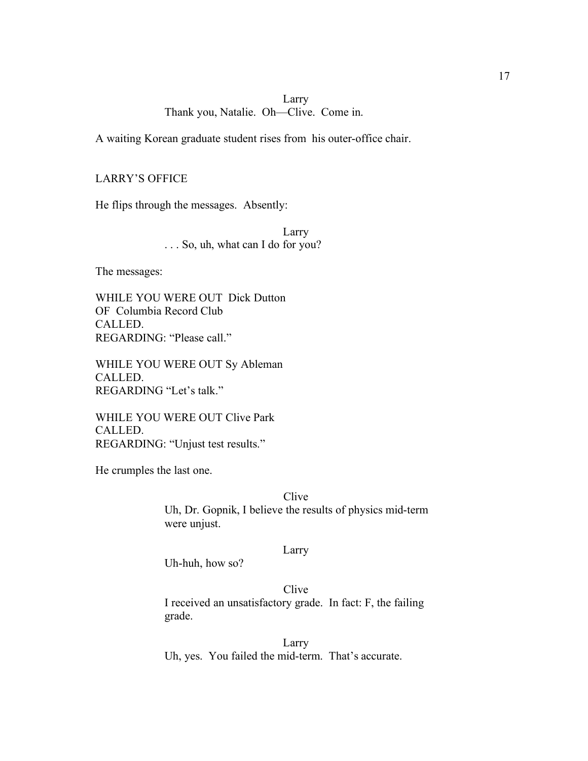# Larry Thank you, Natalie. Oh—Clive. Come in.

A waiting Korean graduate student rises from his outer-office chair.

#### LARRY'S OFFICE

He flips through the messages. Absently:

Larry . . . So, uh, what can I do for you?

The messages:

WHILE YOU WERE OUT Dick Dutton OF Columbia Record Club CALLED. REGARDING: "Please call."

WHILE YOU WERE OUT Sy Ableman CALLED. REGARDING "Let's talk."

WHILE YOU WERE OUT Clive Park CALLED. REGARDING: "Unjust test results."

He crumples the last one.

Clive

Uh, Dr. Gopnik, I believe the results of physics mid-term were unjust.

#### Larry

Uh-huh, how so?

Clive I received an unsatisfactory grade. In fact: F, the failing grade.

Larry Uh, yes. You failed the mid-term. That's accurate.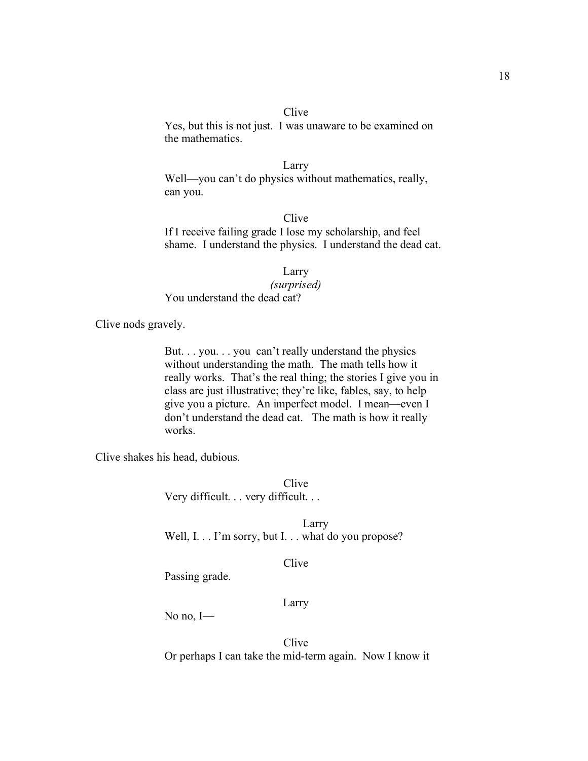## Clive

Yes, but this is not just. I was unaware to be examined on the mathematics.

## Larry

Well—you can't do physics without mathematics, really, can you.

#### Clive

If I receive failing grade I lose my scholarship, and feel shame. I understand the physics. I understand the dead cat.

Larry *(surprised)* You understand the dead cat?

Clive nods gravely.

But. . . you. . . you can't really understand the physics without understanding the math. The math tells how it really works. That's the real thing; the stories I give you in class are just illustrative; they're like, fables, say, to help give you a picture. An imperfect model. I mean—even I don't understand the dead cat. The math is how it really works.

Clive shakes his head, dubious.

Clive Very difficult. . . very difficult. . .

Larry Well, I. . . I'm sorry, but I. . . what do you propose?

#### Clive

Passing grade.

Larry

No no, I—

Clive Or perhaps I can take the mid-term again. Now I know it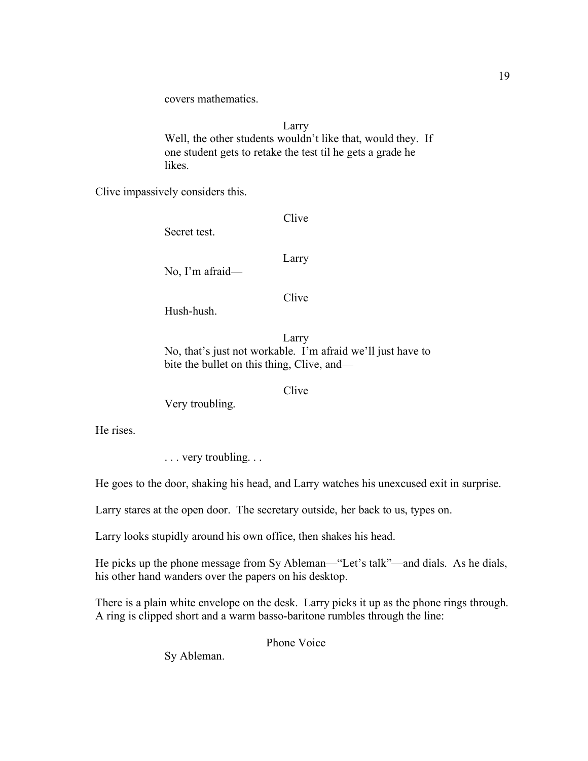covers mathematics.

## Larry

Well, the other students wouldn't like that, would they. If one student gets to retake the test til he gets a grade he likes.

Clive impassively considers this.

Secret test.

Larry

Clive

No, I'm afraid—

Clive

Hush-hush.

Larry No, that's just not workable. I'm afraid we'll just have to bite the bullet on this thing, Clive, and—

Clive

Very troubling.

He rises.

... very troubling...

He goes to the door, shaking his head, and Larry watches his unexcused exit in surprise.

Larry stares at the open door. The secretary outside, her back to us, types on.

Larry looks stupidly around his own office, then shakes his head.

He picks up the phone message from Sy Ableman—"Let's talk"—and dials. As he dials, his other hand wanders over the papers on his desktop.

There is a plain white envelope on the desk. Larry picks it up as the phone rings through. A ring is clipped short and a warm basso-baritone rumbles through the line:

Phone Voice

Sy Ableman.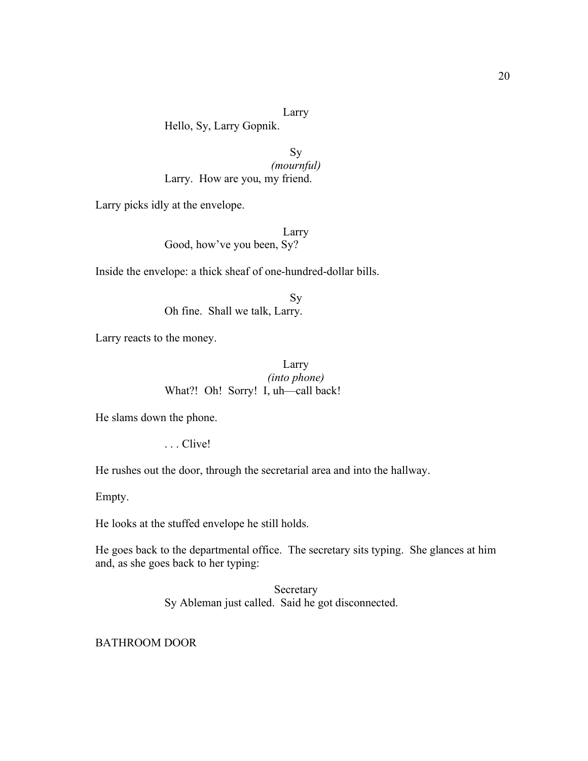#### Larry

Hello, Sy, Larry Gopnik.

Sy *(mournful)* Larry. How are you, my friend.

Larry picks idly at the envelope.

Larry Good, how've you been, Sy?

Inside the envelope: a thick sheaf of one-hundred-dollar bills.

Sy Oh fine. Shall we talk, Larry.

Larry reacts to the money.

Larry *(into phone)* What?! Oh! Sorry! I, uh—call back!

He slams down the phone.

. . . Clive!

He rushes out the door, through the secretarial area and into the hallway.

Empty.

He looks at the stuffed envelope he still holds.

He goes back to the departmental office. The secretary sits typing. She glances at him and, as she goes back to her typing:

> Secretary Sy Ableman just called. Said he got disconnected.

BATHROOM DOOR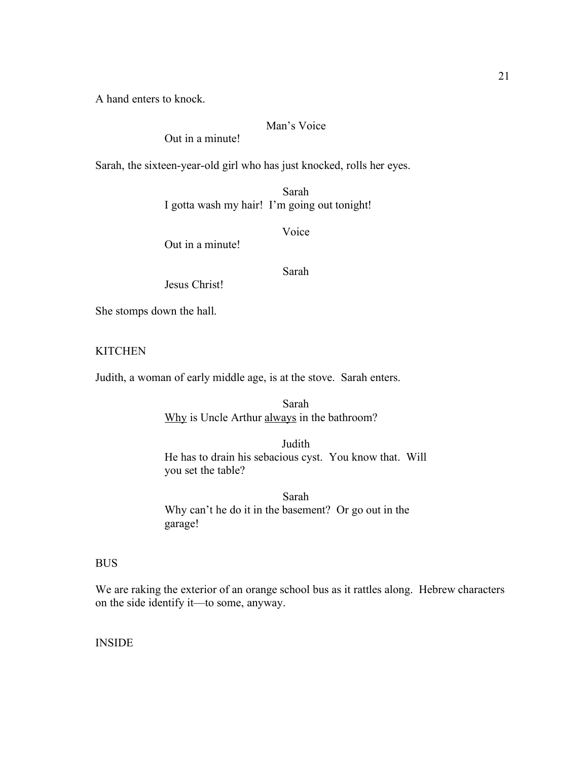A hand enters to knock.

# Man's Voice

Out in a minute!

Sarah, the sixteen-year-old girl who has just knocked, rolls her eyes.

Sarah I gotta wash my hair! I'm going out tonight!

Voice

Out in a minute!

#### Sarah

Jesus Christ!

She stomps down the hall.

# **KITCHEN**

Judith, a woman of early middle age, is at the stove. Sarah enters.

Sarah Why is Uncle Arthur always in the bathroom?

**Judith** He has to drain his sebacious cyst. You know that. Will you set the table?

Sarah Why can't he do it in the basement? Or go out in the garage!

#### BUS

We are raking the exterior of an orange school bus as it rattles along. Hebrew characters on the side identify it—to some, anyway.

#### INSIDE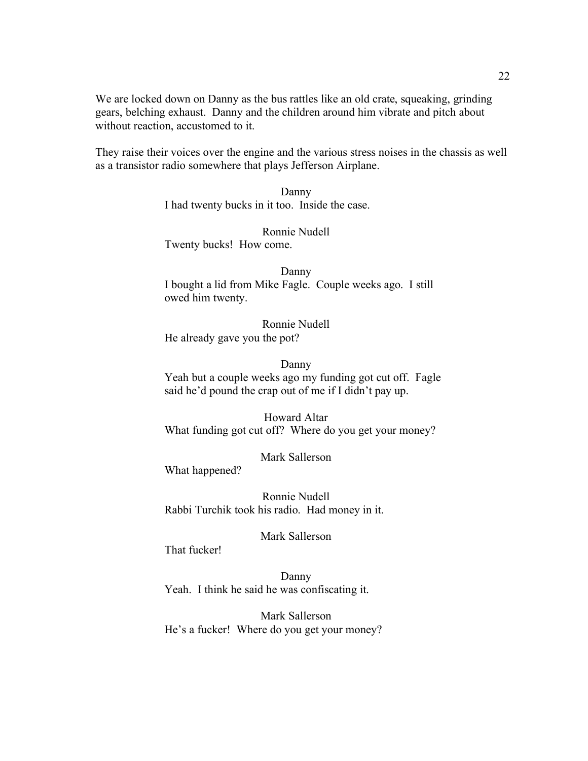We are locked down on Danny as the bus rattles like an old crate, squeaking, grinding gears, belching exhaust. Danny and the children around him vibrate and pitch about without reaction, accustomed to it.

They raise their voices over the engine and the various stress noises in the chassis as well as a transistor radio somewhere that plays Jefferson Airplane.

> Danny I had twenty bucks in it too. Inside the case.

Ronnie Nudell Twenty bucks! How come.

Danny I bought a lid from Mike Fagle. Couple weeks ago. I still owed him twenty.

Ronnie Nudell He already gave you the pot?

#### Danny

Yeah but a couple weeks ago my funding got cut off. Fagle said he'd pound the crap out of me if I didn't pay up.

Howard Altar What funding got cut off? Where do you get your money?

Mark Sallerson

What happened?

Ronnie Nudell Rabbi Turchik took his radio. Had money in it.

Mark Sallerson

That fucker!

Danny Yeah. I think he said he was confiscating it.

Mark Sallerson He's a fucker! Where do you get your money?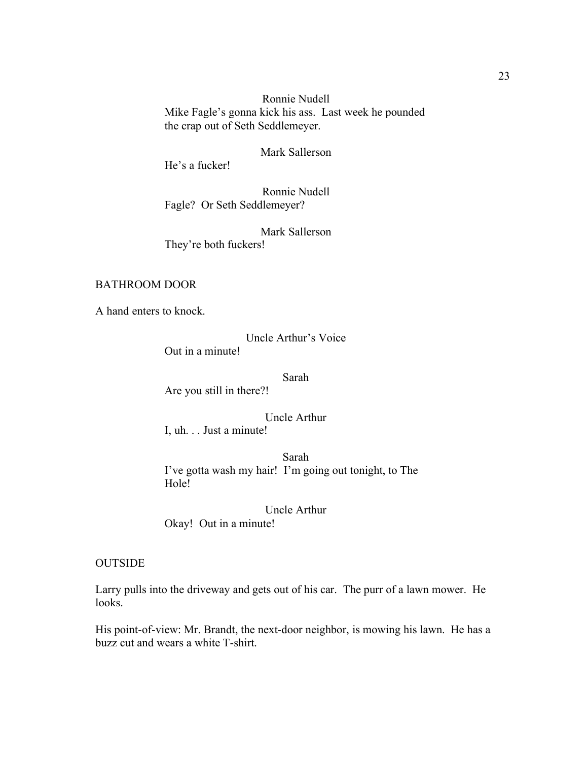Ronnie Nudell Mike Fagle's gonna kick his ass. Last week he pounded the crap out of Seth Seddlemeyer.

Mark Sallerson

He's a fucker!

Ronnie Nudell Fagle? Or Seth Seddlemeyer?

Mark Sallerson They're both fuckers!

## BATHROOM DOOR

A hand enters to knock.

Uncle Arthur's Voice

Out in a minute!

## Sarah

Are you still in there?!

Uncle Arthur

I, uh. . . Just a minute!

Sarah I've gotta wash my hair! I'm going out tonight, to The Hole!

Uncle Arthur Okay! Out in a minute!

#### **OUTSIDE**

Larry pulls into the driveway and gets out of his car. The purr of a lawn mower. He looks.

His point-of-view: Mr. Brandt, the next-door neighbor, is mowing his lawn. He has a buzz cut and wears a white T-shirt.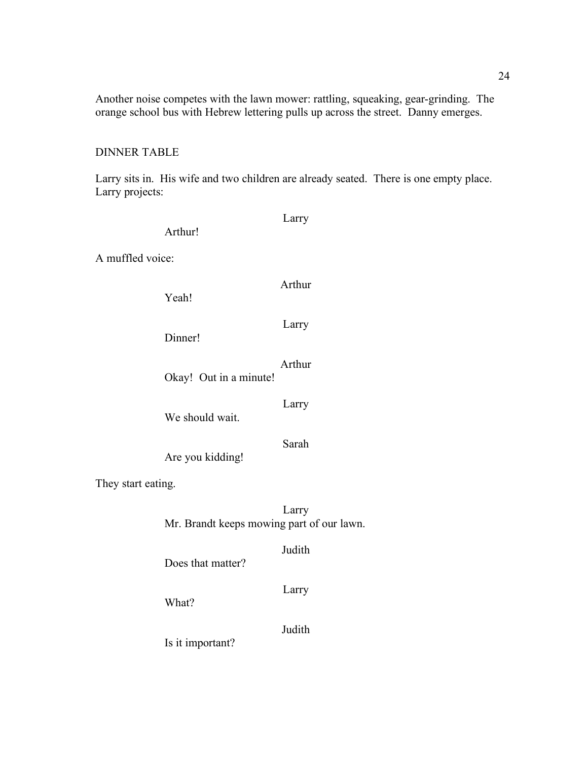Another noise competes with the lawn mower: rattling, squeaking, gear-grinding. The orange school bus with Hebrew lettering pulls up across the street. Danny emerges.

# DINNER TABLE

Larry sits in. His wife and two children are already seated. There is one empty place. Larry projects:

|                    | Arthur!                                   | Larry  |
|--------------------|-------------------------------------------|--------|
| A muffled voice:   |                                           |        |
|                    | Yeah!                                     | Arthur |
|                    | Dinner!                                   | Larry  |
|                    | Okay! Out in a minute!                    | Arthur |
|                    | We should wait.                           | Larry  |
|                    | Are you kidding!                          | Sarah  |
| They start eating. |                                           |        |
|                    | Mr. Brandt keeps mowing part of our lawn. | Larry  |
|                    | Does that matter?                         | Judith |
|                    |                                           | Larry  |

What?

Judith

Is it important?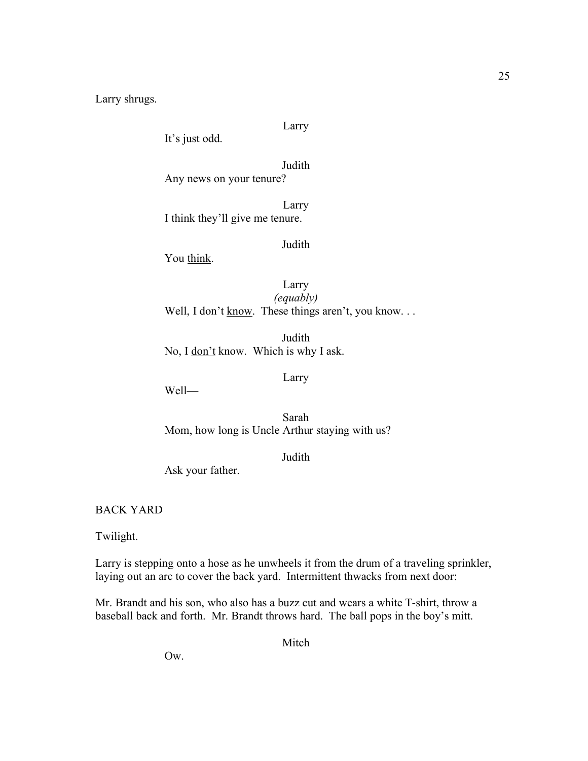Larry shrugs.

Larry

It's just odd.

**Judith** Any news on your tenure?

Larry I think they'll give me tenure.

**Judith** 

You think.

Larry *(equably)* Well, I don't **know**. These things aren't, you know...

**Judith** No, I don't know. Which is why I ask.

Larry

Well—

Sarah Mom, how long is Uncle Arthur staying with us?

**Judith** 

Ask your father.

BACK YARD

Twilight.

Larry is stepping onto a hose as he unwheels it from the drum of a traveling sprinkler, laying out an arc to cover the back yard. Intermittent thwacks from next door:

Mr. Brandt and his son, who also has a buzz cut and wears a white T-shirt, throw a baseball back and forth. Mr. Brandt throws hard. The ball pops in the boy's mitt.

Mitch

Ow.

25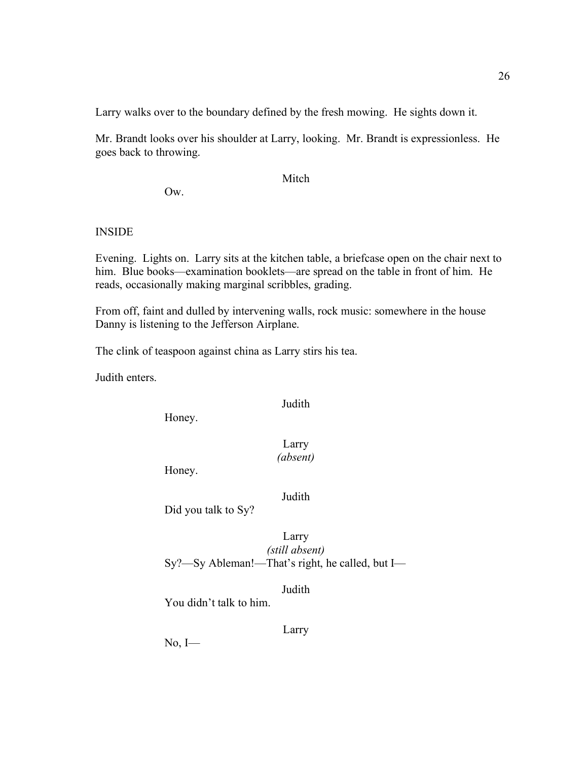Larry walks over to the boundary defined by the fresh mowing. He sights down it.

Mr. Brandt looks over his shoulder at Larry, looking. Mr. Brandt is expressionless. He goes back to throwing.

#### Mitch

Ow.

## INSIDE

Evening. Lights on. Larry sits at the kitchen table, a briefcase open on the chair next to him. Blue books—examination booklets—are spread on the table in front of him. He reads, occasionally making marginal scribbles, grading.

From off, faint and dulled by intervening walls, rock music: somewhere in the house Danny is listening to the Jefferson Airplane.

The clink of teaspoon against china as Larry stirs his tea.

Judith enters.

Honey.

**Judith** 

Larry *(absent)*

Honey.

Judith

Did you talk to Sy?

Larry *(still absent)* Sy?—Sy Ableman!—That's right, he called, but I—

**Judith** 

You didn't talk to him.

Larry

No, I—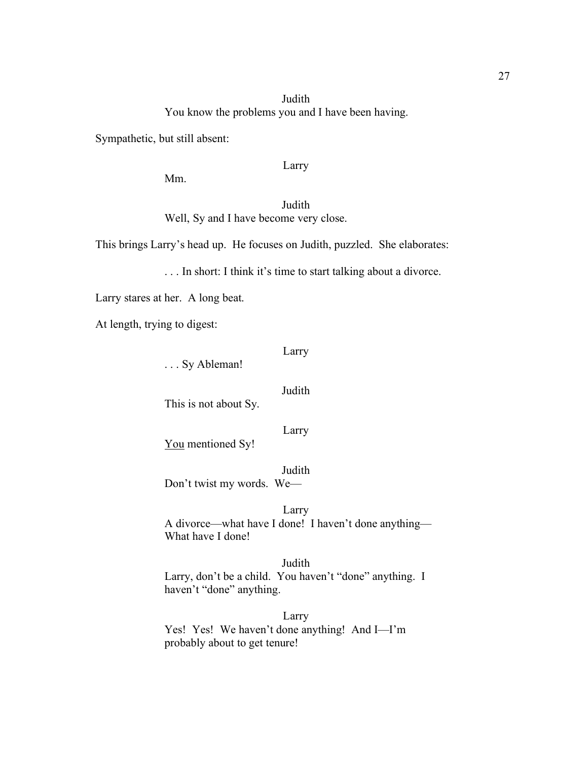Sympathetic, but still absent:

#### Larry

Mm.

Judith Well, Sy and I have become very close.

This brings Larry's head up. He focuses on Judith, puzzled. She elaborates:

. . . In short: I think it's time to start talking about a divorce.

Larry stares at her. A long beat.

At length, trying to digest:

## Larry

. . . Sy Ableman!

Judith

This is not about Sy.

Larry

You mentioned Sy!

**Judith** Don't twist my words. We—

# Larry

A divorce—what have I done! I haven't done anything— What have I done!

Judith Larry, don't be a child. You haven't "done" anything. I haven't "done" anything.

Larry Yes! Yes! We haven't done anything! And I—I'm probably about to get tenure!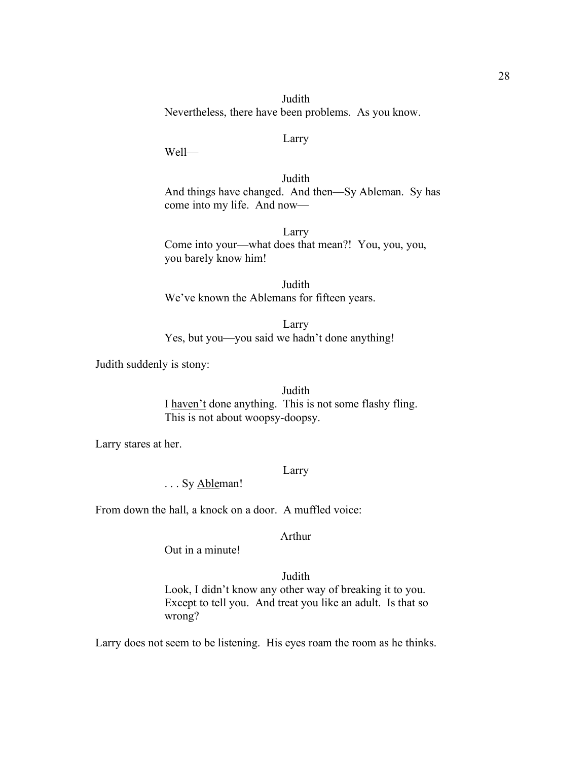Judith Nevertheless, there have been problems. As you know.

## Larry

Well—

Judith And things have changed. And then—Sy Ableman. Sy has come into my life. And now—

Larry Come into your—what does that mean?! You, you, you, you barely know him!

**Judith** We've known the Ablemans for fifteen years.

Larry Yes, but you—you said we hadn't done anything!

Judith suddenly is stony:

Judith I haven't done anything. This is not some flashy fling. This is not about woopsy-doopsy.

Larry stares at her.

Larry

... Sy Ableman!

From down the hall, a knock on a door. A muffled voice:

Arthur

Out in a minute!

**Judith** 

Look, I didn't know any other way of breaking it to you. Except to tell you. And treat you like an adult. Is that so wrong?

Larry does not seem to be listening. His eyes roam the room as he thinks.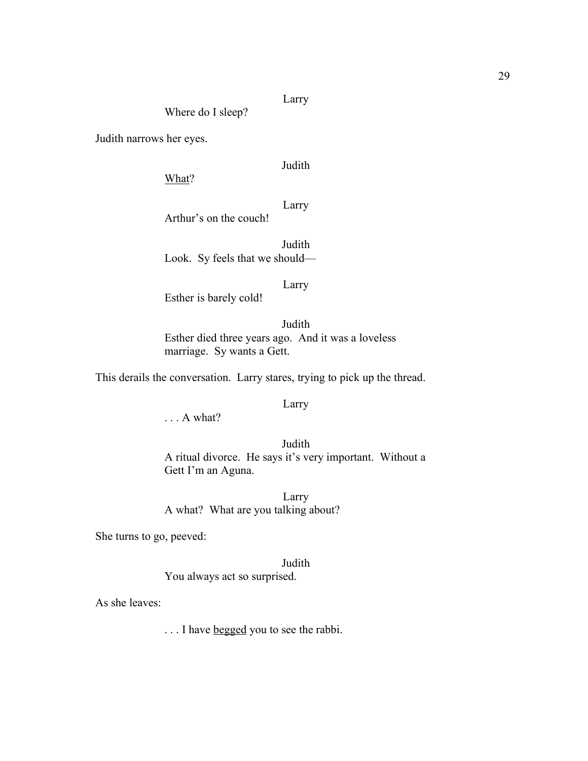Larry

Where do I sleep?

Judith narrows her eyes.

**Judith** 

What?

Larry

Arthur's on the couch!

**Judith** Look. Sy feels that we should—

Larry

Esther is barely cold!

**Judith** Esther died three years ago. And it was a loveless marriage. Sy wants a Gett.

This derails the conversation. Larry stares, trying to pick up the thread.

Larry

. . . A what?

**Judith** A ritual divorce. He says it's very important. Without a Gett I'm an Aguna.

Larry A what? What are you talking about?

She turns to go, peeved:

Judith

You always act so surprised.

As she leaves:

... I have **begged** you to see the rabbi.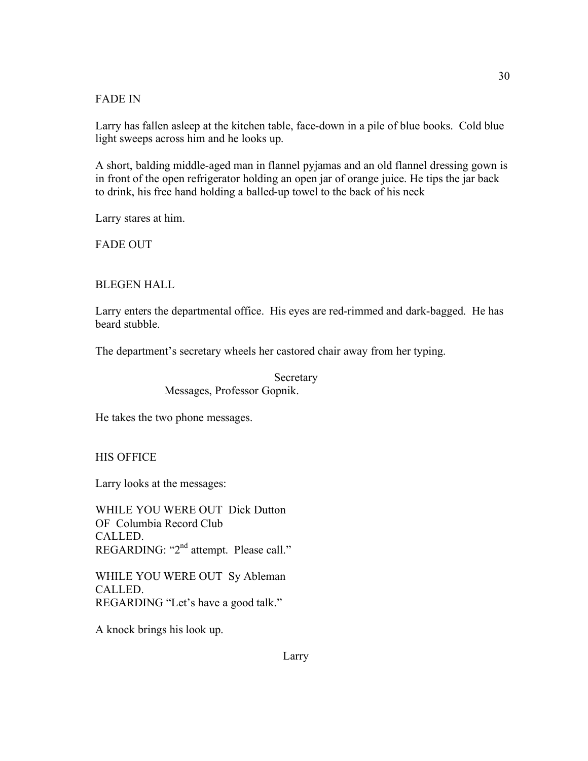#### FADE IN

Larry has fallen asleep at the kitchen table, face-down in a pile of blue books. Cold blue light sweeps across him and he looks up.

A short, balding middle-aged man in flannel pyjamas and an old flannel dressing gown is in front of the open refrigerator holding an open jar of orange juice. He tips the jar back to drink, his free hand holding a balled-up towel to the back of his neck

Larry stares at him.

FADE OUT

#### BLEGEN HALL

Larry enters the departmental office. His eyes are red-rimmed and dark-bagged. He has beard stubble.

The department's secretary wheels her castored chair away from her typing.

**Secretary** Messages, Professor Gopnik.

He takes the two phone messages.

HIS OFFICE

Larry looks at the messages:

WHILE YOU WERE OUT Dick Dutton OF Columbia Record Club CALLED. REGARDING: "2<sup>nd</sup> attempt. Please call."

WHILE YOU WERE OUT Sy Ableman CALLED. REGARDING "Let's have a good talk."

A knock brings his look up.

Larry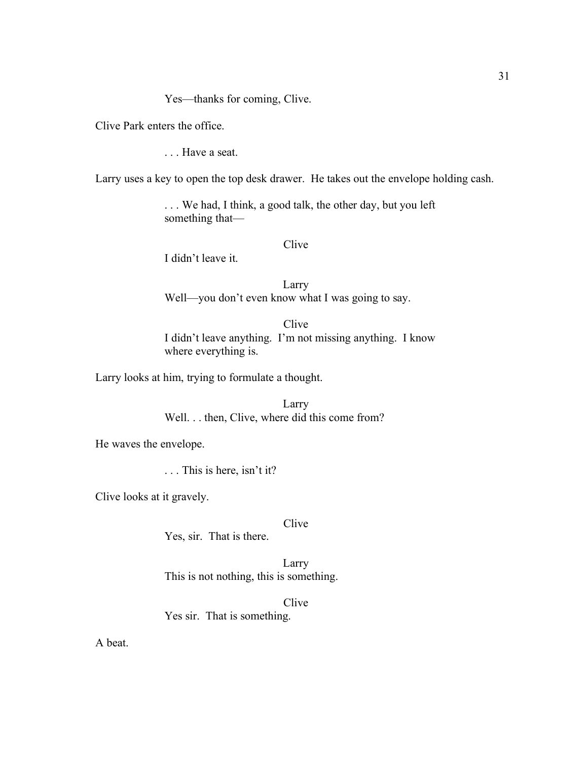Clive Park enters the office.

. . . Have a seat.

Larry uses a key to open the top desk drawer. He takes out the envelope holding cash.

. . . We had, I think, a good talk, the other day, but you left something that—

#### Clive

I didn't leave it.

Larry Well—you don't even know what I was going to say.

Clive I didn't leave anything. I'm not missing anything. I know where everything is.

Larry looks at him, trying to formulate a thought.

Larry Well. . . then, Clive, where did this come from?

He waves the envelope.

. . . This is here, isn't it?

Clive looks at it gravely.

## Clive

Yes, sir. That is there.

Larry This is not nothing, this is something.

Clive

Yes sir. That is something.

A beat.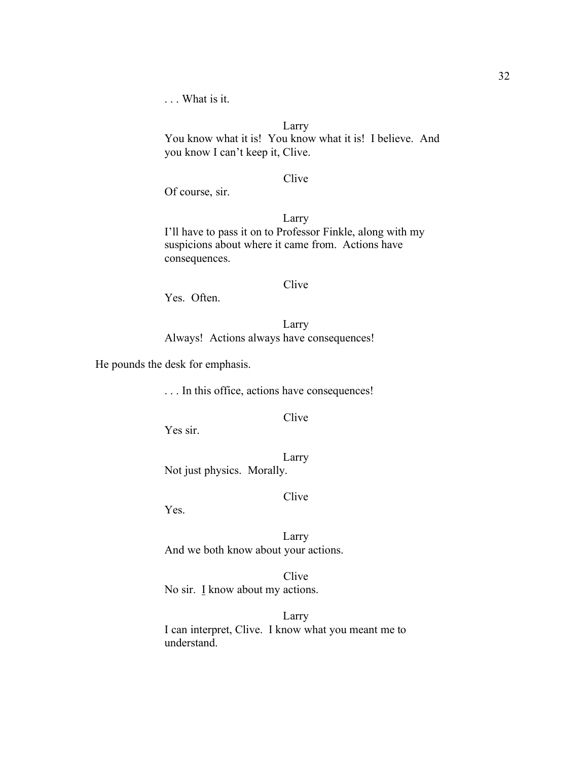. . . What is it.

## Larry

You know what it is! You know what it is! I believe. And you know I can't keep it, Clive.

#### Clive

Of course, sir.

#### Larry

I'll have to pass it on to Professor Finkle, along with my suspicions about where it came from. Actions have consequences.

#### Clive

Yes. Often.

Larry Always! Actions always have consequences!

He pounds the desk for emphasis.

. . . In this office, actions have consequences!

Clive

Yes sir.

Larry Not just physics. Morally.

Clive

Yes.

Larry And we both know about your actions.

Clive No sir.  $I$  know about my actions.

Larry

I can interpret, Clive. I know what you meant me to understand.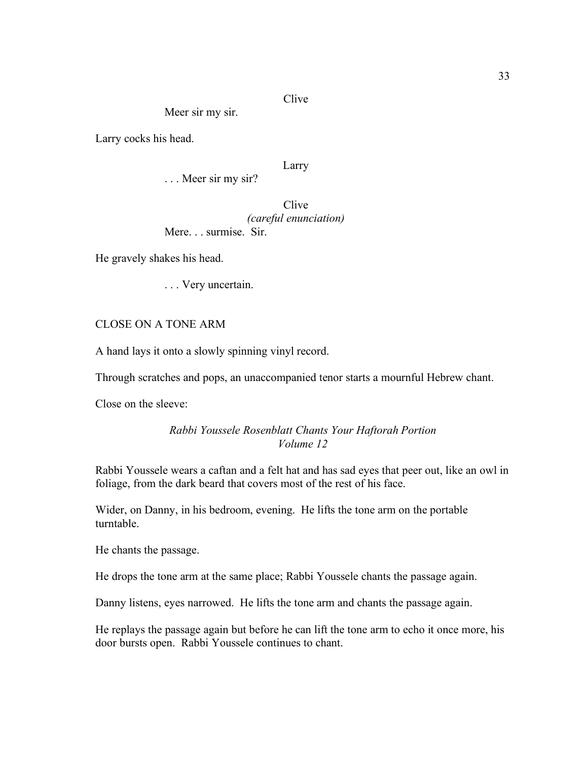Clive

Meer sir my sir.

Larry cocks his head.

## Larry

. . . Meer sir my sir?

Clive *(careful enunciation)* Mere. . . surmise. Sir.

He gravely shakes his head.

. . . Very uncertain.

# CLOSE ON A TONE ARM

A hand lays it onto a slowly spinning vinyl record.

Through scratches and pops, an unaccompanied tenor starts a mournful Hebrew chant.

Close on the sleeve:

#### *Rabbi Youssele Rosenblatt Chants Your Haftorah Portion Volume 12*

Rabbi Youssele wears a caftan and a felt hat and has sad eyes that peer out, like an owl in foliage, from the dark beard that covers most of the rest of his face.

Wider, on Danny, in his bedroom, evening. He lifts the tone arm on the portable turntable.

He chants the passage.

He drops the tone arm at the same place; Rabbi Youssele chants the passage again.

Danny listens, eyes narrowed. He lifts the tone arm and chants the passage again.

He replays the passage again but before he can lift the tone arm to echo it once more, his door bursts open. Rabbi Youssele continues to chant.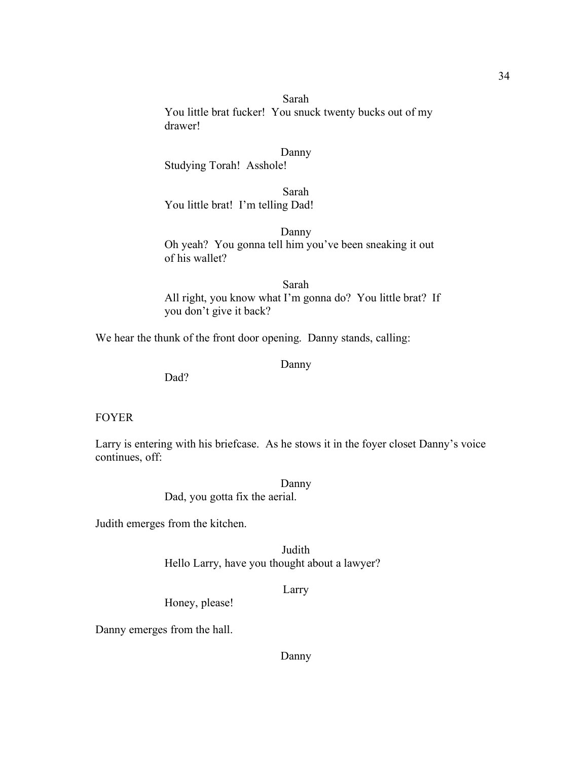You little brat fucker! You snuck twenty bucks out of my drawer!

#### Danny

Studying Torah! Asshole!

Sarah You little brat! I'm telling Dad!

Danny Oh yeah? You gonna tell him you've been sneaking it out of his wallet?

Sarah All right, you know what I'm gonna do? You little brat? If you don't give it back?

We hear the thunk of the front door opening. Danny stands, calling:

Danny

Dad?

#### FOYER

Larry is entering with his briefcase. As he stows it in the foyer closet Danny's voice continues, off:

> Danny Dad, you gotta fix the aerial.

Judith emerges from the kitchen.

**Judith** Hello Larry, have you thought about a lawyer?

Larry

Honey, please!

Danny emerges from the hall.

Danny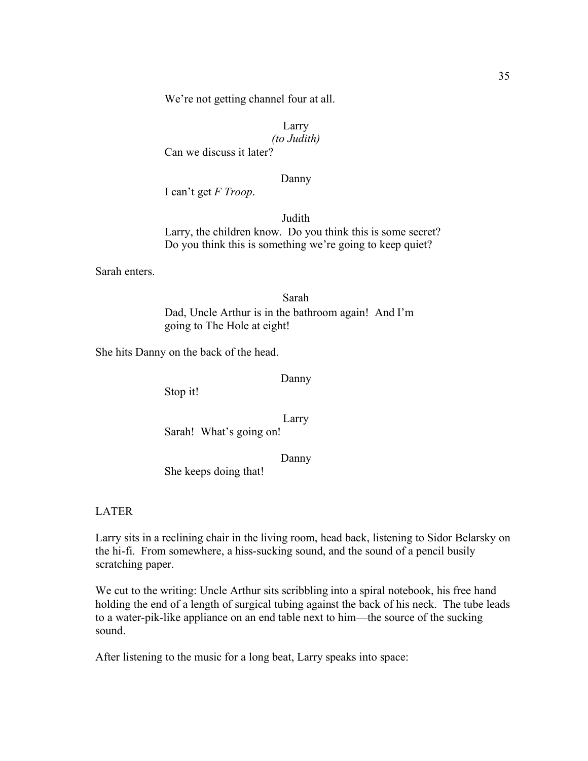We're not getting channel four at all.

# Larry

*(to Judith)*

Can we discuss it later?

#### Danny

I can't get *F Troop*.

## **Judith**

Larry, the children know. Do you think this is some secret? Do you think this is something we're going to keep quiet?

Sarah enters.

Sarah Dad, Uncle Arthur is in the bathroom again! And I'm going to The Hole at eight!

She hits Danny on the back of the head.

#### Danny

Stop it!

Larry

Sarah! What's going on!

Danny

She keeps doing that!

#### LATER

Larry sits in a reclining chair in the living room, head back, listening to Sidor Belarsky on the hi-fi. From somewhere, a hiss-sucking sound, and the sound of a pencil busily scratching paper.

We cut to the writing: Uncle Arthur sits scribbling into a spiral notebook, his free hand holding the end of a length of surgical tubing against the back of his neck. The tube leads to a water-pik-like appliance on an end table next to him—the source of the sucking sound.

After listening to the music for a long beat, Larry speaks into space: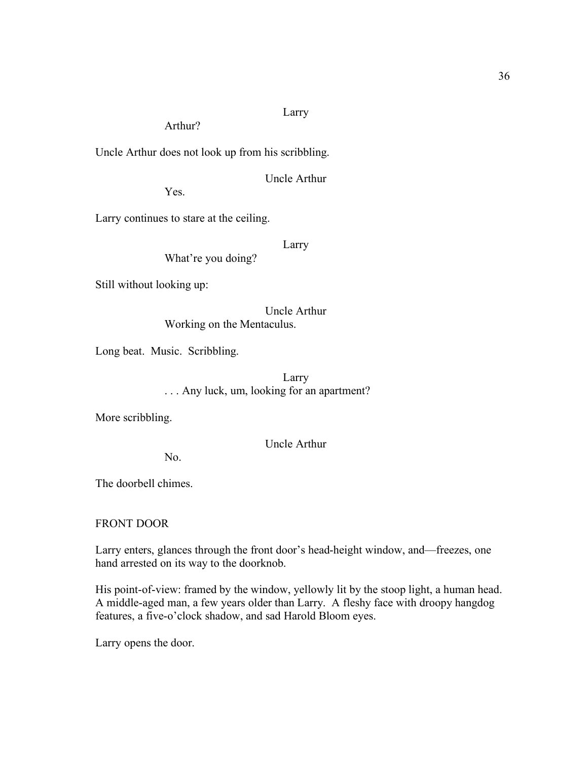# Larry

Arthur?

Uncle Arthur does not look up from his scribbling.

Uncle Arthur

Yes.

Larry continues to stare at the ceiling.

Larry

What're you doing?

Still without looking up:

Uncle Arthur Working on the Mentaculus.

Long beat. Music. Scribbling.

Larry . . . Any luck, um, looking for an apartment?

More scribbling.

Uncle Arthur

No.

The doorbell chimes.

FRONT DOOR

Larry enters, glances through the front door's head-height window, and—freezes, one hand arrested on its way to the doorknob.

His point-of-view: framed by the window, yellowly lit by the stoop light, a human head. A middle-aged man, a few years older than Larry. A fleshy face with droopy hangdog features, a five-o'clock shadow, and sad Harold Bloom eyes.

Larry opens the door.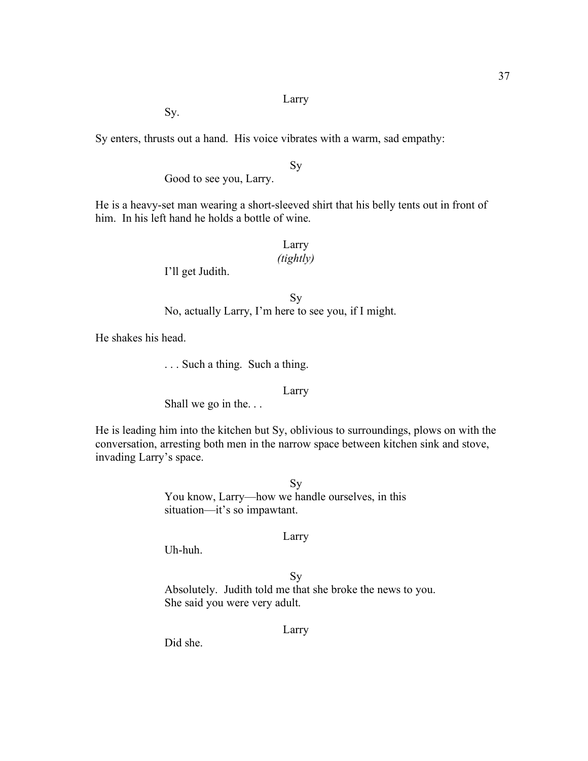#### Larry

Sy.

Sy enters, thrusts out a hand. His voice vibrates with a warm, sad empathy:

Sy

Good to see you, Larry.

He is a heavy-set man wearing a short-sleeved shirt that his belly tents out in front of him. In his left hand he holds a bottle of wine.

> Larry *(tightly)*

I'll get Judith.

Sy No, actually Larry, I'm here to see you, if I might.

He shakes his head.

. . . Such a thing. Such a thing.

Larry

Shall we go in the. . .

He is leading him into the kitchen but Sy, oblivious to surroundings, plows on with the conversation, arresting both men in the narrow space between kitchen sink and stove, invading Larry's space.

> Sy You know, Larry—how we handle ourselves, in this situation—it's so impawtant.

### Larry

Uh-huh.

Sy Absolutely. Judith told me that she broke the news to you. She said you were very adult.

Larry

Did she.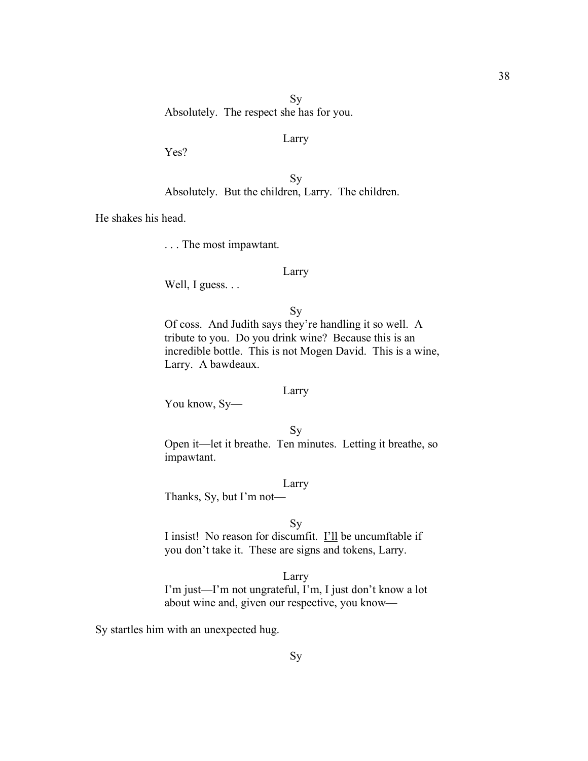Sy Absolutely. The respect she has for you.

### Larry

Yes?

Sy Absolutely. But the children, Larry. The children.

He shakes his head.

. . . The most impawtant.

### Larry

Well, I guess. . .

Sy

Of coss. And Judith says they're handling it so well. A tribute to you. Do you drink wine? Because this is an incredible bottle. This is not Mogen David. This is a wine, Larry. A bawdeaux.

### Larry

You know, Sy—

Sy Open it—let it breathe. Ten minutes. Letting it breathe, so impawtant.

### Larry

Thanks, Sy, but I'm not—

### Sy

I insist! No reason for discumfit. I'll be uncumftable if you don't take it. These are signs and tokens, Larry.

Larry

I'm just—I'm not ungrateful, I'm, I just don't know a lot about wine and, given our respective, you know—

Sy startles him with an unexpected hug.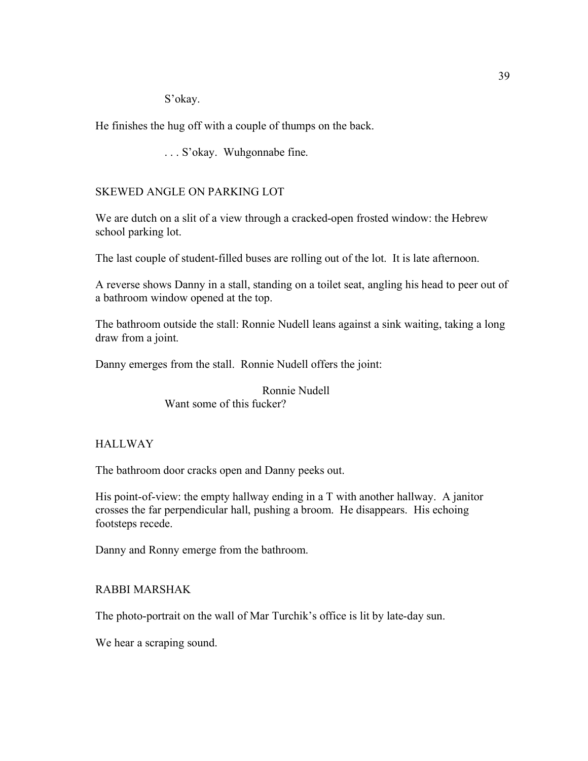### S'okay.

He finishes the hug off with a couple of thumps on the back.

. . . S'okay. Wuhgonnabe fine.

## SKEWED ANGLE ON PARKING LOT

We are dutch on a slit of a view through a cracked-open frosted window: the Hebrew school parking lot.

The last couple of student-filled buses are rolling out of the lot. It is late afternoon.

A reverse shows Danny in a stall, standing on a toilet seat, angling his head to peer out of a bathroom window opened at the top.

The bathroom outside the stall: Ronnie Nudell leans against a sink waiting, taking a long draw from a joint.

Danny emerges from the stall. Ronnie Nudell offers the joint:

Ronnie Nudell Want some of this fucker?

### HALLWAY

The bathroom door cracks open and Danny peeks out.

His point-of-view: the empty hallway ending in a T with another hallway. A janitor crosses the far perpendicular hall, pushing a broom. He disappears. His echoing footsteps recede.

Danny and Ronny emerge from the bathroom.

### RABBI MARSHAK

The photo-portrait on the wall of Mar Turchik's office is lit by late-day sun.

We hear a scraping sound.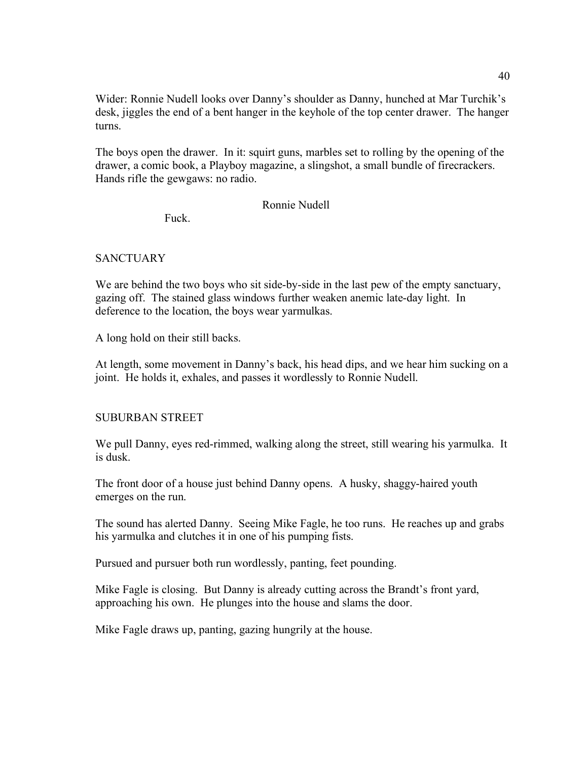Wider: Ronnie Nudell looks over Danny's shoulder as Danny, hunched at Mar Turchik's desk, jiggles the end of a bent hanger in the keyhole of the top center drawer. The hanger turns.

The boys open the drawer. In it: squirt guns, marbles set to rolling by the opening of the drawer, a comic book, a Playboy magazine, a slingshot, a small bundle of firecrackers. Hands rifle the gewgaws: no radio.

## Ronnie Nudell

Fuck.

## SANCTUARY

We are behind the two boys who sit side-by-side in the last pew of the empty sanctuary, gazing off. The stained glass windows further weaken anemic late-day light. In deference to the location, the boys wear yarmulkas.

A long hold on their still backs.

At length, some movement in Danny's back, his head dips, and we hear him sucking on a joint. He holds it, exhales, and passes it wordlessly to Ronnie Nudell.

## SUBURBAN STREET

We pull Danny, eyes red-rimmed, walking along the street, still wearing his yarmulka. It is dusk.

The front door of a house just behind Danny opens. A husky, shaggy-haired youth emerges on the run.

The sound has alerted Danny. Seeing Mike Fagle, he too runs. He reaches up and grabs his yarmulka and clutches it in one of his pumping fists.

Pursued and pursuer both run wordlessly, panting, feet pounding.

Mike Fagle is closing. But Danny is already cutting across the Brandt's front yard, approaching his own. He plunges into the house and slams the door.

Mike Fagle draws up, panting, gazing hungrily at the house.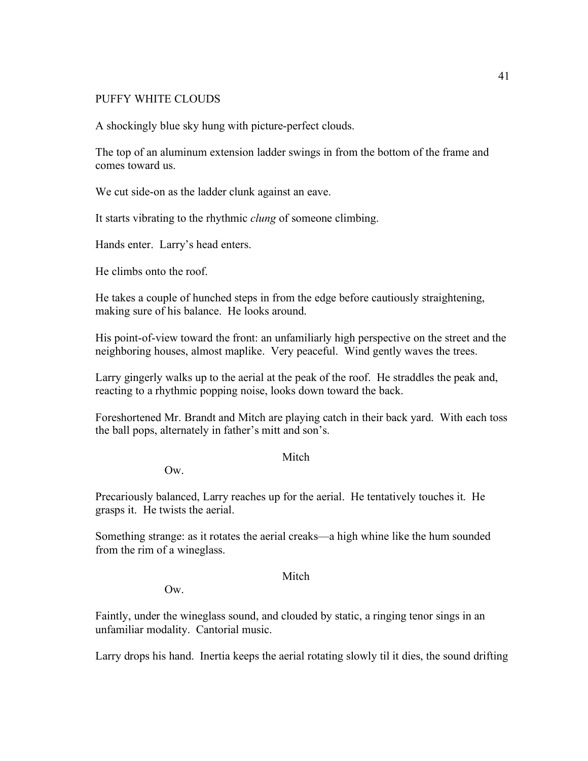### PUFFY WHITE CLOUDS

A shockingly blue sky hung with picture-perfect clouds.

The top of an aluminum extension ladder swings in from the bottom of the frame and comes toward us.

We cut side-on as the ladder clunk against an eave.

It starts vibrating to the rhythmic *clung* of someone climbing.

Hands enter. Larry's head enters.

He climbs onto the roof.

He takes a couple of hunched steps in from the edge before cautiously straightening, making sure of his balance. He looks around.

His point-of-view toward the front: an unfamiliarly high perspective on the street and the neighboring houses, almost maplike. Very peaceful. Wind gently waves the trees.

Larry gingerly walks up to the aerial at the peak of the roof. He straddles the peak and, reacting to a rhythmic popping noise, looks down toward the back.

Foreshortened Mr. Brandt and Mitch are playing catch in their back yard. With each toss the ball pops, alternately in father's mitt and son's.

### **Mitch**

Ow.

Precariously balanced, Larry reaches up for the aerial. He tentatively touches it. He grasps it. He twists the aerial.

Something strange: as it rotates the aerial creaks—a high whine like the hum sounded from the rim of a wineglass.

### **Mitch**

Ow.

Faintly, under the wineglass sound, and clouded by static, a ringing tenor sings in an unfamiliar modality. Cantorial music.

Larry drops his hand. Inertia keeps the aerial rotating slowly til it dies, the sound drifting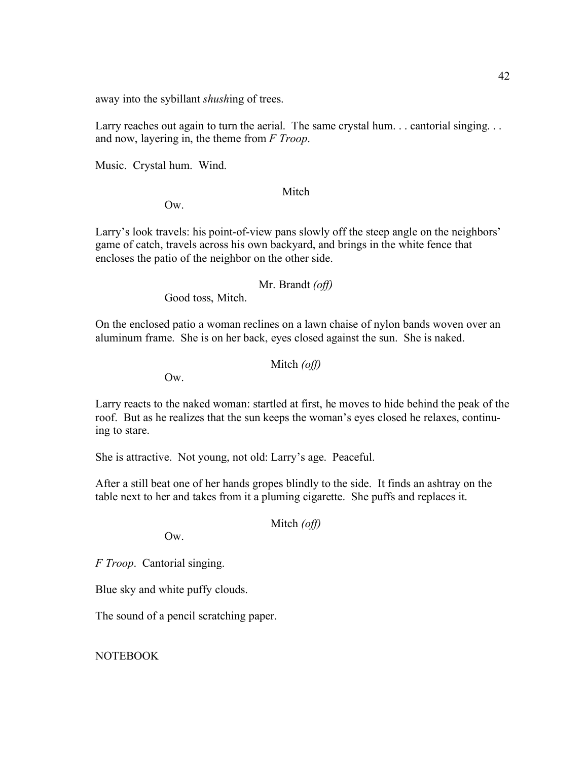away into the sybillant *shush*ing of trees.

Larry reaches out again to turn the aerial. The same crystal hum... cantorial singing... and now, layering in, the theme from *F Troop*.

Music. Crystal hum. Wind.

## **Mitch**

Ow.

Larry's look travels: his point-of-view pans slowly off the steep angle on the neighbors' game of catch, travels across his own backyard, and brings in the white fence that encloses the patio of the neighbor on the other side.

### Mr. Brandt *(off)*

Good toss, Mitch.

On the enclosed patio a woman reclines on a lawn chaise of nylon bands woven over an aluminum frame. She is on her back, eyes closed against the sun. She is naked.

### Mitch *(off)*

O<sub>w</sub>

Larry reacts to the naked woman: startled at first, he moves to hide behind the peak of the roof. But as he realizes that the sun keeps the woman's eyes closed he relaxes, continuing to stare.

She is attractive. Not young, not old: Larry's age. Peaceful.

After a still beat one of her hands gropes blindly to the side. It finds an ashtray on the table next to her and takes from it a pluming cigarette. She puffs and replaces it.

Mitch *(off)*

O<sub>w</sub>

*F Troop*. Cantorial singing.

Blue sky and white puffy clouds.

The sound of a pencil scratching paper.

NOTEBOOK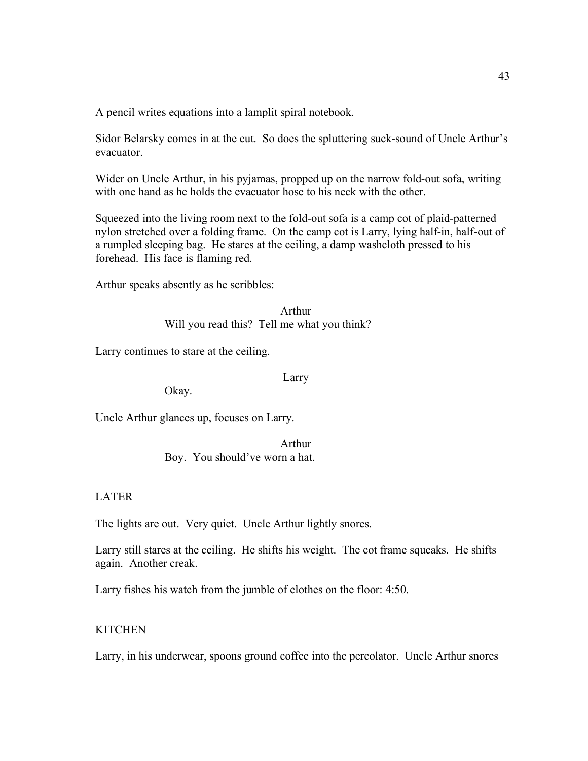A pencil writes equations into a lamplit spiral notebook.

Sidor Belarsky comes in at the cut. So does the spluttering suck-sound of Uncle Arthur's evacuator.

Wider on Uncle Arthur, in his pyjamas, propped up on the narrow fold-out sofa, writing with one hand as he holds the evacuator hose to his neck with the other.

Squeezed into the living room next to the fold-out sofa is a camp cot of plaid-patterned nylon stretched over a folding frame. On the camp cot is Larry, lying half-in, half-out of a rumpled sleeping bag. He stares at the ceiling, a damp washcloth pressed to his forehead. His face is flaming red.

Arthur speaks absently as he scribbles:

Arthur Will you read this? Tell me what you think?

Larry continues to stare at the ceiling.

Larry

Okay.

Uncle Arthur glances up, focuses on Larry.

Arthur Boy. You should've worn a hat.

## LATER

The lights are out. Very quiet. Uncle Arthur lightly snores.

Larry still stares at the ceiling. He shifts his weight. The cot frame squeaks. He shifts again. Another creak.

Larry fishes his watch from the jumble of clothes on the floor: 4:50.

### **KITCHEN**

Larry, in his underwear, spoons ground coffee into the percolator. Uncle Arthur snores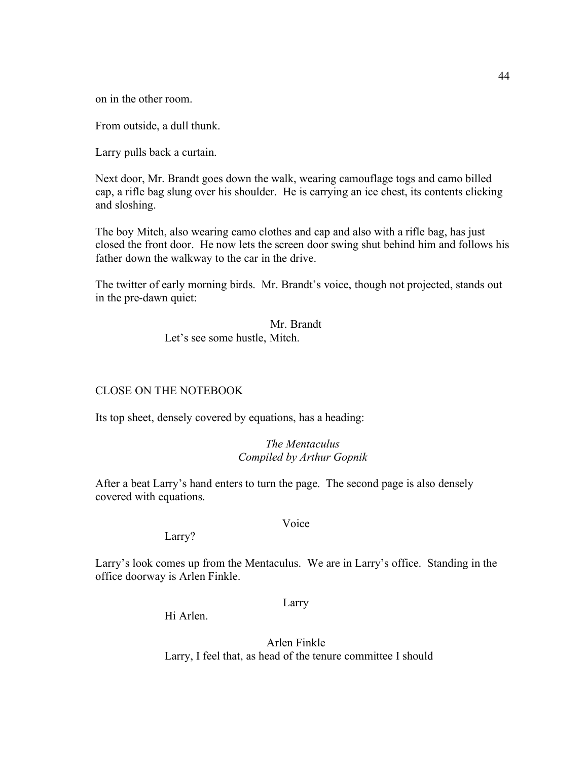on in the other room.

From outside, a dull thunk.

Larry pulls back a curtain.

Next door, Mr. Brandt goes down the walk, wearing camouflage togs and camo billed cap, a rifle bag slung over his shoulder. He is carrying an ice chest, its contents clicking and sloshing.

The boy Mitch, also wearing camo clothes and cap and also with a rifle bag, has just closed the front door. He now lets the screen door swing shut behind him and follows his father down the walkway to the car in the drive.

The twitter of early morning birds. Mr. Brandt's voice, though not projected, stands out in the pre-dawn quiet:

Mr. Brandt

Let's see some hustle, Mitch.

### CLOSE ON THE NOTEBOOK

Its top sheet, densely covered by equations, has a heading:

### *The Mentaculus Compiled by Arthur Gopnik*

After a beat Larry's hand enters to turn the page. The second page is also densely covered with equations.

## Voice

Larry?

Larry's look comes up from the Mentaculus. We are in Larry's office. Standing in the office doorway is Arlen Finkle.

Larry

Hi Arlen.

Arlen Finkle Larry, I feel that, as head of the tenure committee I should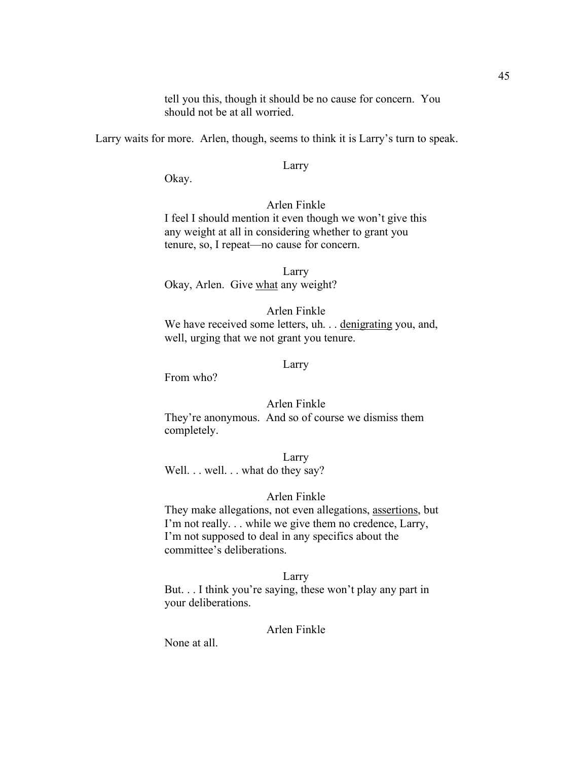tell you this, though it should be no cause for concern. You should not be at all worried.

Larry waits for more. Arlen, though, seems to think it is Larry's turn to speak.

### Larry

Okay.

## Arlen Finkle

I feel I should mention it even though we won't give this any weight at all in considering whether to grant you tenure, so, I repeat—no cause for concern.

Larry Okay, Arlen. Give what any weight?

### Arlen Finkle

We have received some letters, uh. . . denigrating you, and, well, urging that we not grant you tenure.

### Larry

From who?

### Arlen Finkle

They're anonymous. And so of course we dismiss them completely.

#### Larry

Well. . . well. . . what do they say?

### Arlen Finkle

They make allegations, not even allegations, assertions, but I'm not really. . . while we give them no credence, Larry, I'm not supposed to deal in any specifics about the committee's deliberations.

Larry But. . . I think you're saying, these won't play any part in your deliberations.

### Arlen Finkle

None at all.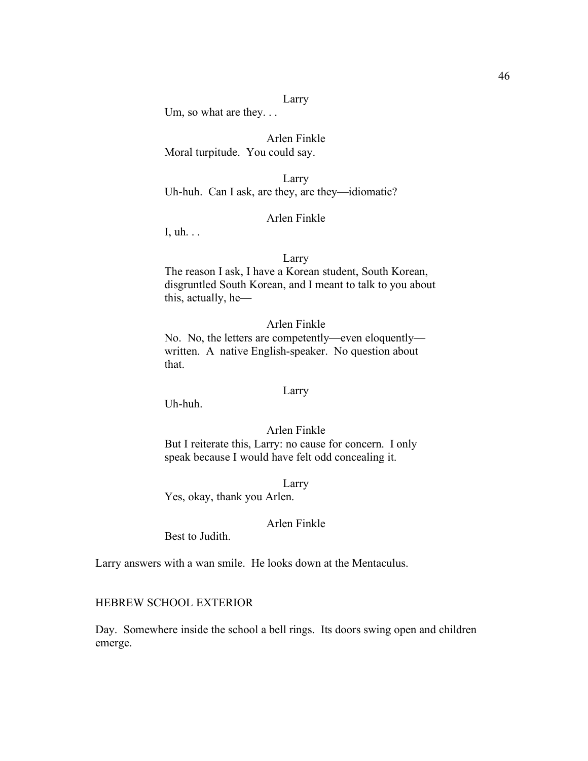#### Larry

Um, so what are they...

## Arlen Finkle Moral turpitude. You could say.

Larry Uh-huh. Can I ask, are they, are they—idiomatic?

#### Arlen Finkle

I, uh. . .

### Larry

The reason I ask, I have a Korean student, South Korean, disgruntled South Korean, and I meant to talk to you about this, actually, he—

## Arlen Finkle

No. No, the letters are competently—even eloquently written. A native English-speaker. No question about that.

#### Larry

Uh-huh.

Arlen Finkle But I reiterate this, Larry: no cause for concern. I only speak because I would have felt odd concealing it.

Larry Yes, okay, thank you Arlen.

## Arlen Finkle

Best to Judith.

Larry answers with a wan smile. He looks down at the Mentaculus.

## HEBREW SCHOOL EXTERIOR

Day. Somewhere inside the school a bell rings. Its doors swing open and children emerge.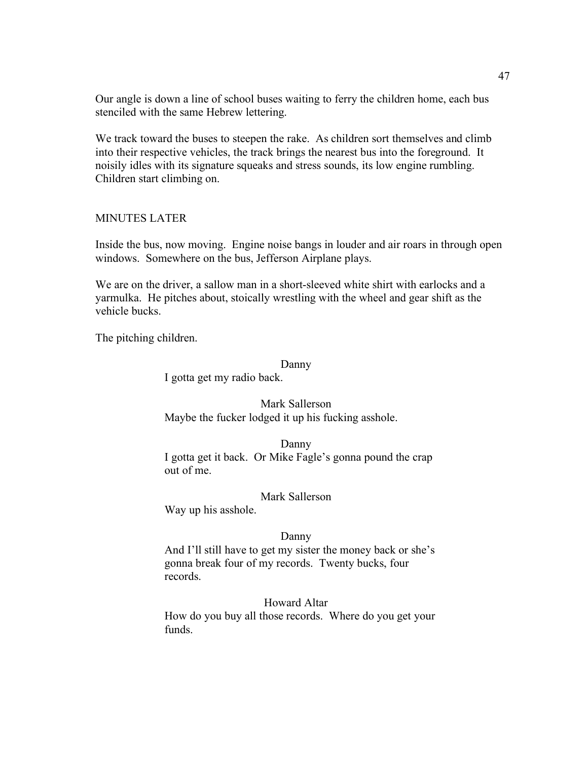Our angle is down a line of school buses waiting to ferry the children home, each bus stenciled with the same Hebrew lettering.

We track toward the buses to steepen the rake. As children sort themselves and climb into their respective vehicles, the track brings the nearest bus into the foreground. It noisily idles with its signature squeaks and stress sounds, its low engine rumbling. Children start climbing on.

### MINUTES LATER

Inside the bus, now moving. Engine noise bangs in louder and air roars in through open windows. Somewhere on the bus, Jefferson Airplane plays.

We are on the driver, a sallow man in a short-sleeved white shirt with earlocks and a yarmulka. He pitches about, stoically wrestling with the wheel and gear shift as the vehicle bucks.

The pitching children.

#### Danny

I gotta get my radio back.

Mark Sallerson Maybe the fucker lodged it up his fucking asshole.

Danny I gotta get it back. Or Mike Fagle's gonna pound the crap out of me.

## Mark Sallerson

Way up his asshole.

#### Danny

And I'll still have to get my sister the money back or she's gonna break four of my records. Twenty bucks, four records.

### Howard Altar

How do you buy all those records. Where do you get your funds.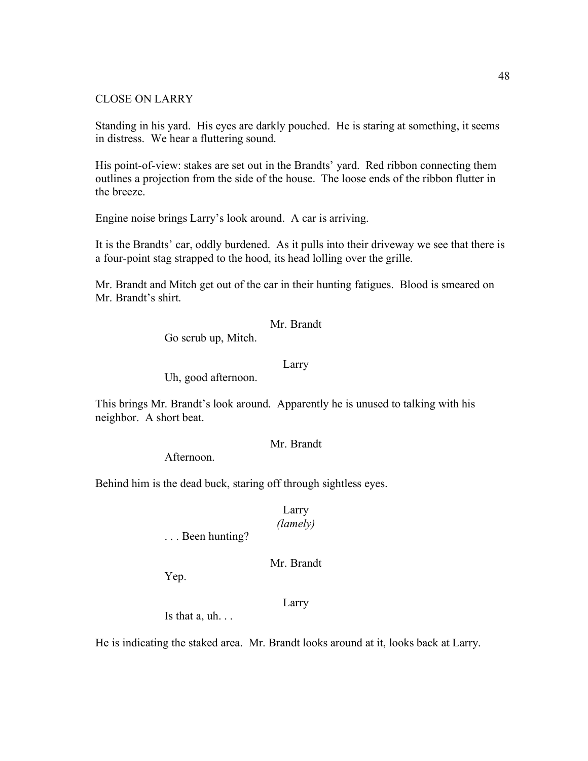### CLOSE ON LARRY

Standing in his yard. His eyes are darkly pouched. He is staring at something, it seems in distress. We hear a fluttering sound.

His point-of-view: stakes are set out in the Brandts' yard. Red ribbon connecting them outlines a projection from the side of the house. The loose ends of the ribbon flutter in the breeze.

Engine noise brings Larry's look around. A car is arriving.

It is the Brandts' car, oddly burdened. As it pulls into their driveway we see that there is a four-point stag strapped to the hood, its head lolling over the grille.

Mr. Brandt and Mitch get out of the car in their hunting fatigues. Blood is smeared on Mr. Brandt's shirt.

Mr. Brandt

Go scrub up, Mitch.

### Larry

Uh, good afternoon.

This brings Mr. Brandt's look around. Apparently he is unused to talking with his neighbor. A short beat.

### Mr. Brandt

Afternoon.

Behind him is the dead buck, staring off through sightless eyes.

## Larry *(lamely)*

. . . Been hunting?

### Mr. Brandt

Yep.

Larry

Is that  $a, uh.$ ..

He is indicating the staked area. Mr. Brandt looks around at it, looks back at Larry.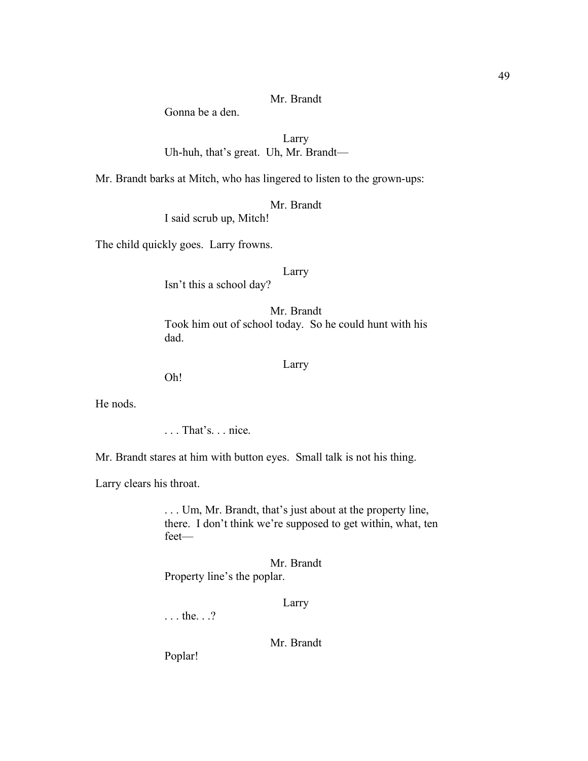### Mr. Brandt

Gonna be a den.

Larry Uh-huh, that's great. Uh, Mr. Brandt—

Mr. Brandt barks at Mitch, who has lingered to listen to the grown-ups:

### Mr. Brandt

I said scrub up, Mitch!

The child quickly goes. Larry frowns.

### Larry

Isn't this a school day?

Mr. Brandt Took him out of school today. So he could hunt with his dad.

## Larry

Oh!

He nods.

. . . That's. . . nice.

Mr. Brandt stares at him with button eyes. Small talk is not his thing.

Larry clears his throat.

. . . Um, Mr. Brandt, that's just about at the property line, there. I don't think we're supposed to get within, what, ten feet—

Mr. Brandt Property line's the poplar.

Larry

. . . the. . .?

Mr. Brandt

Poplar!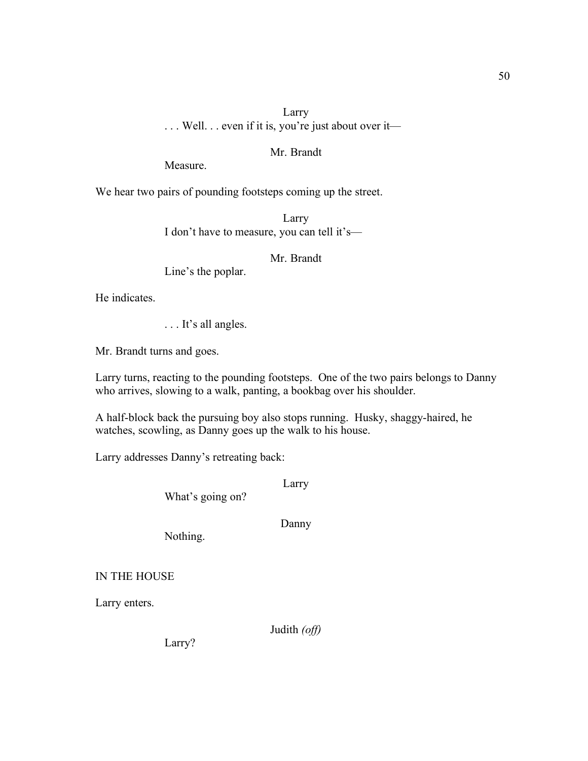### Larry

. . . Well. . . even if it is, you're just about over it—

### Mr. Brandt

Measure.

We hear two pairs of pounding footsteps coming up the street.

Larry I don't have to measure, you can tell it's—

Mr. Brandt

Line's the poplar.

He indicates.

. . . It's all angles.

Mr. Brandt turns and goes.

Larry turns, reacting to the pounding footsteps. One of the two pairs belongs to Danny who arrives, slowing to a walk, panting, a bookbag over his shoulder.

A half-block back the pursuing boy also stops running. Husky, shaggy-haired, he watches, scowling, as Danny goes up the walk to his house.

Larry addresses Danny's retreating back:

Larry

What's going on?

Danny

Nothing.

IN THE HOUSE

Larry enters.

Judith *(off)*

Larry?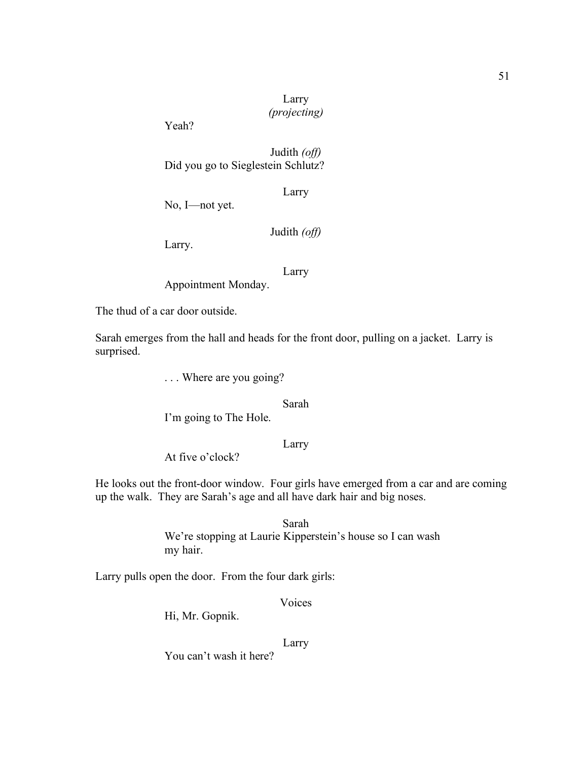Larry *(projecting)*

Yeah?

Judith *(off)* Did you go to Sieglestein Schlutz?

Larry

No, I—not yet.

Judith *(off)*

Larry.

Larry

Appointment Monday.

The thud of a car door outside.

Sarah emerges from the hall and heads for the front door, pulling on a jacket. Larry is surprised.

. . . Where are you going?

Sarah

I'm going to The Hole.

Larry

At five o'clock?

He looks out the front-door window. Four girls have emerged from a car and are coming up the walk. They are Sarah's age and all have dark hair and big noses.

> Sarah We're stopping at Laurie Kipperstein's house so I can wash my hair.

Larry pulls open the door. From the four dark girls:

Voices

Hi, Mr. Gopnik.

Larry

You can't wash it here?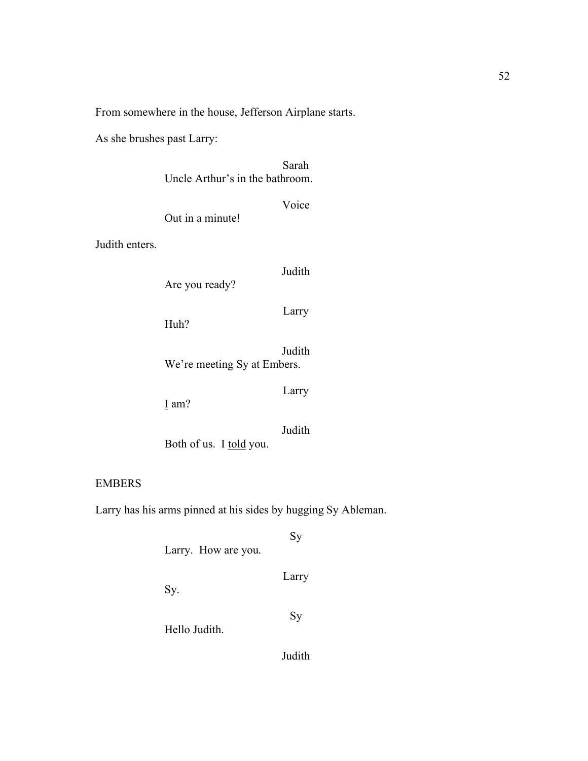From somewhere in the house, Jefferson Airplane starts.

As she brushes past Larry:

Sarah Uncle Arthur's in the bathroom.

Voice

Out in a minute!

Judith enters.

Judith

Are you ready?

Larry

Huh?

Judith We're meeting Sy at Embers.

I am?

Larry

Judith

Both of us. I told you.

## EMBERS

Larry has his arms pinned at his sides by hugging Sy Ableman.

Sy Larry. How are you. Larry Sy. Sy Hello Judith.

Judith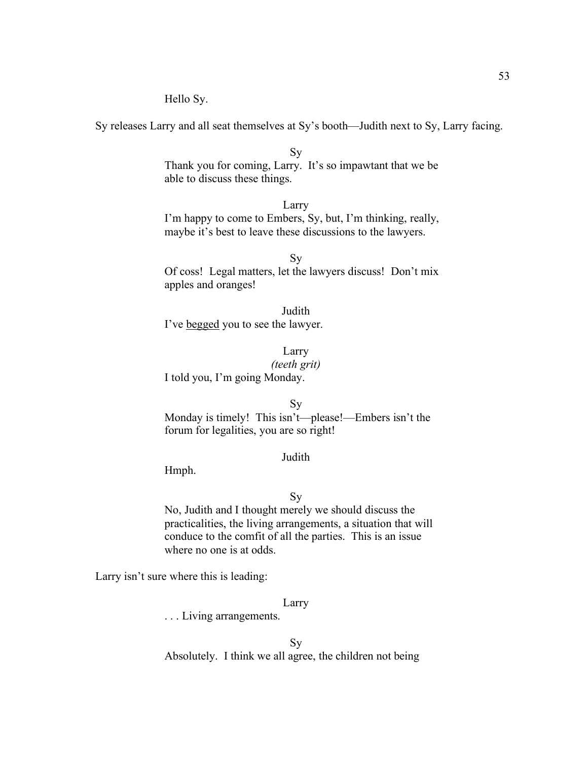Hello Sy.

Sy releases Larry and all seat themselves at Sy's booth—Judith next to Sy, Larry facing.

Sy Thank you for coming, Larry. It's so impawtant that we be able to discuss these things.

Larry I'm happy to come to Embers, Sy, but, I'm thinking, really, maybe it's best to leave these discussions to the lawyers.

Sy Of coss! Legal matters, let the lawyers discuss! Don't mix apples and oranges!

**Judith** I've begged you to see the lawyer.

## Larry

*(teeth grit)* I told you, I'm going Monday.

Sy Monday is timely! This isn't—please!—Embers isn't the forum for legalities, you are so right!

### **Judith**

Hmph.

## Sy

No, Judith and I thought merely we should discuss the practicalities, the living arrangements, a situation that will conduce to the comfit of all the parties. This is an issue where no one is at odds.

Larry isn't sure where this is leading:

### Larry

. . . Living arrangements.

Sy Absolutely. I think we all agree, the children not being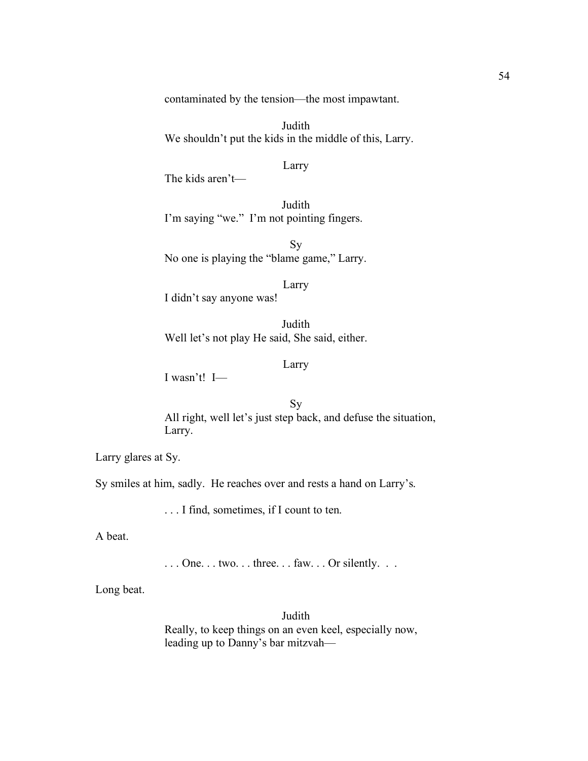contaminated by the tension—the most impawtant.

Judith We shouldn't put the kids in the middle of this, Larry.

Larry

The kids aren't—

Judith I'm saying "we." I'm not pointing fingers.

Sy No one is playing the "blame game," Larry.

Larry

I didn't say anyone was!

**Judith** Well let's not play He said, She said, either.

Larry

I wasn't! I—

Sy All right, well let's just step back, and defuse the situation, Larry.

Larry glares at Sy.

Sy smiles at him, sadly. He reaches over and rests a hand on Larry's.

. . . I find, sometimes, if I count to ten.

A beat.

. . . One. . . two. . . three. . . faw. . . Or silently. . .

Long beat.

**Judith** Really, to keep things on an even keel, especially now, leading up to Danny's bar mitzvah—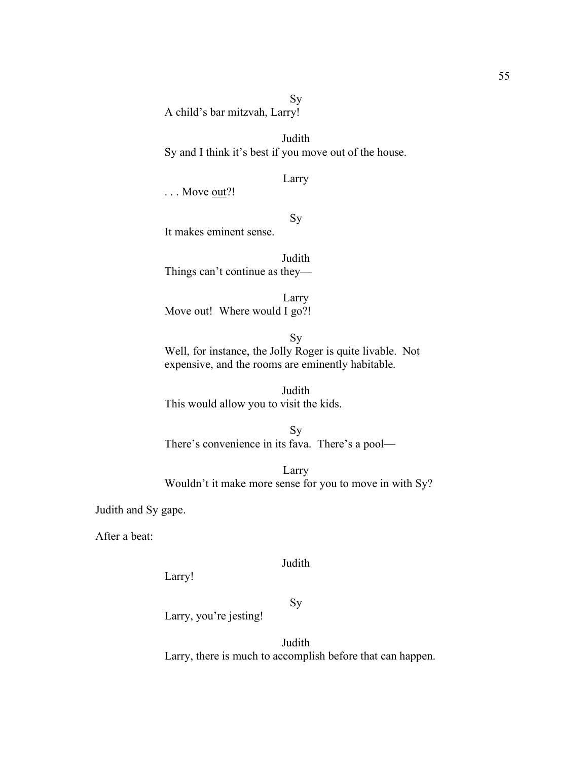Sy A child's bar mitzvah, Larry!

Judith Sy and I think it's best if you move out of the house.

Larry

... Move <u>out</u>?!

Sy

It makes eminent sense.

Judith Things can't continue as they—

Larry Move out! Where would I go?!

Sy Well, for instance, the Jolly Roger is quite livable. Not expensive, and the rooms are eminently habitable.

Judith This would allow you to visit the kids.

Sy There's convenience in its fava. There's a pool—

Larry Wouldn't it make more sense for you to move in with Sy?

Judith and Sy gape.

After a beat:

Judith

Larry!

Sy

Larry, you're jesting!

Judith Larry, there is much to accomplish before that can happen.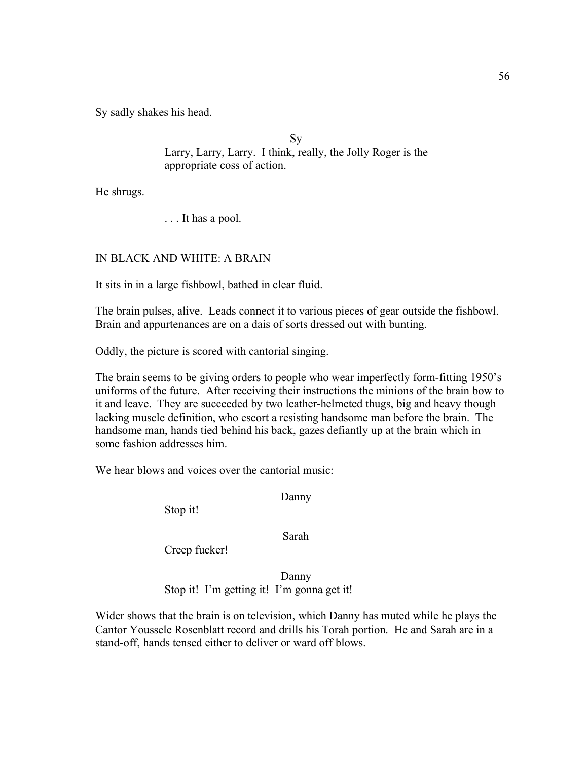Sy sadly shakes his head.

Sy Larry, Larry, Larry. I think, really, the Jolly Roger is the appropriate coss of action.

He shrugs.

. . . It has a pool.

IN BLACK AND WHITE: A BRAIN

It sits in in a large fishbowl, bathed in clear fluid.

The brain pulses, alive. Leads connect it to various pieces of gear outside the fishbowl. Brain and appurtenances are on a dais of sorts dressed out with bunting.

Oddly, the picture is scored with cantorial singing.

The brain seems to be giving orders to people who wear imperfectly form-fitting 1950's uniforms of the future. After receiving their instructions the minions of the brain bow to it and leave. They are succeeded by two leather-helmeted thugs, big and heavy though lacking muscle definition, who escort a resisting handsome man before the brain. The handsome man, hands tied behind his back, gazes defiantly up at the brain which in some fashion addresses him.

We hear blows and voices over the cantorial music:

Danny

Stop it!

Sarah

Creep fucker!

Danny Stop it! I'm getting it! I'm gonna get it!

Wider shows that the brain is on television, which Danny has muted while he plays the Cantor Youssele Rosenblatt record and drills his Torah portion. He and Sarah are in a stand-off, hands tensed either to deliver or ward off blows.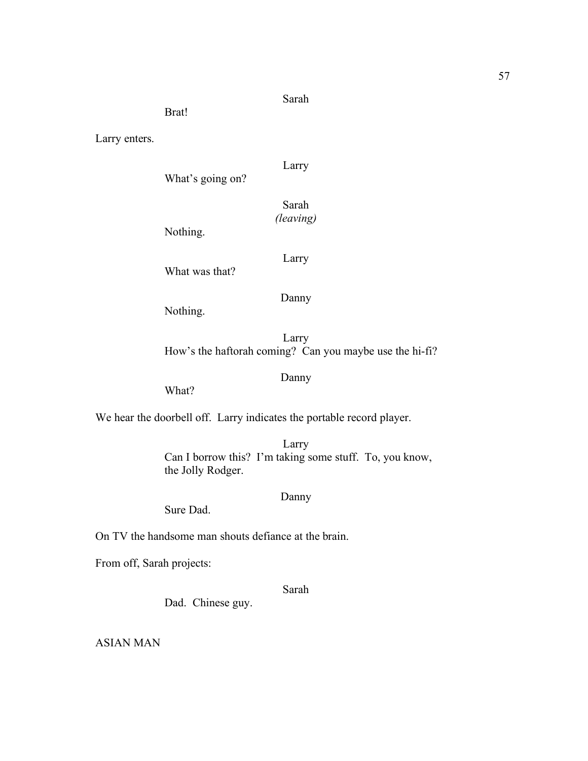### Sarah

Brat!

Larry enters.

Larry

What's going on?

Sarah *(leaving)*

Nothing.

Larry

What was that?

Danny

Nothing.

Larry How's the haftorah coming? Can you maybe use the hi-fi?

Danny

What?

We hear the doorbell off. Larry indicates the portable record player.

Larry Can I borrow this? I'm taking some stuff. To, you know, the Jolly Rodger.

Danny

Sure Dad.

On TV the handsome man shouts defiance at the brain.

From off, Sarah projects:

Sarah

Dad. Chinese guy.

ASIAN MAN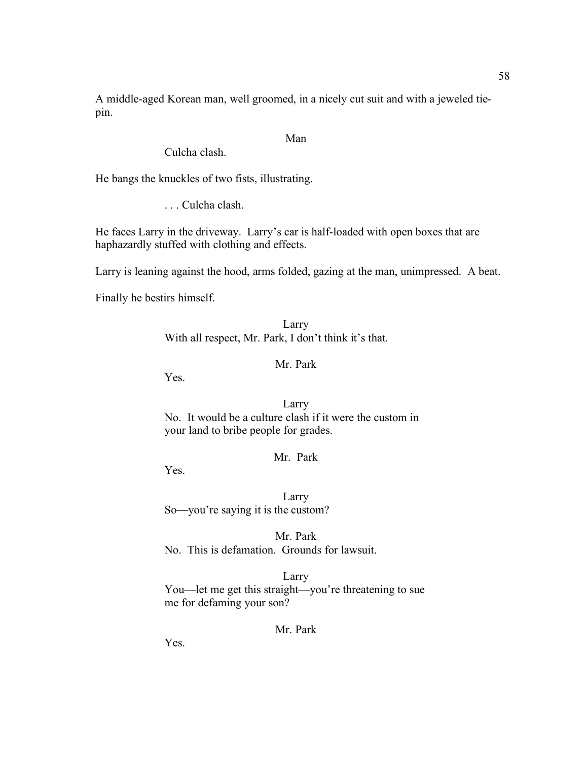A middle-aged Korean man, well groomed, in a nicely cut suit and with a jeweled tiepin.

### Man

Culcha clash.

He bangs the knuckles of two fists, illustrating.

. . . Culcha clash.

He faces Larry in the driveway. Larry's car is half-loaded with open boxes that are haphazardly stuffed with clothing and effects.

Larry is leaning against the hood, arms folded, gazing at the man, unimpressed. A beat.

Finally he bestirs himself.

Larry With all respect, Mr. Park, I don't think it's that.

Mr. Park

Yes.

Larry No. It would be a culture clash if it were the custom in your land to bribe people for grades.

Mr. Park

Yes.

Larry So—you're saying it is the custom?

Mr. Park No. This is defamation. Grounds for lawsuit.

Larry You—let me get this straight—you're threatening to sue me for defaming your son?

Mr. Park

Yes.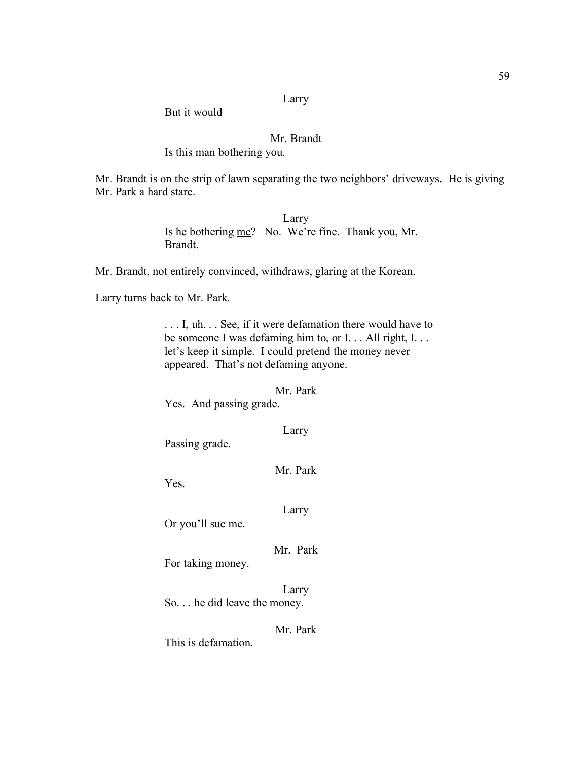Larry

But it would—

### Mr. Brandt

Is this man bothering you.

Mr. Brandt is on the strip of lawn separating the two neighbors' driveways. He is giving Mr. Park a hard stare.

> Larry Is he bothering me? No. We're fine. Thank you, Mr. Brandt.

Mr. Brandt, not entirely convinced, withdraws, glaring at the Korean.

Larry turns back to Mr. Park.

. . . I, uh. . . See, if it were defamation there would have to be someone I was defaming him to, or I... All right, I... let's keep it simple. I could pretend the money never appeared. That's not defaming anyone.

Mr. Park

Yes. And passing grade.

Larry

Passing grade.

Mr. Park

Yes.

Larry

Or you'll sue me.

Mr. Park

For taking money.

Larry So. . . he did leave the money.

Mr. Park

This is defamation.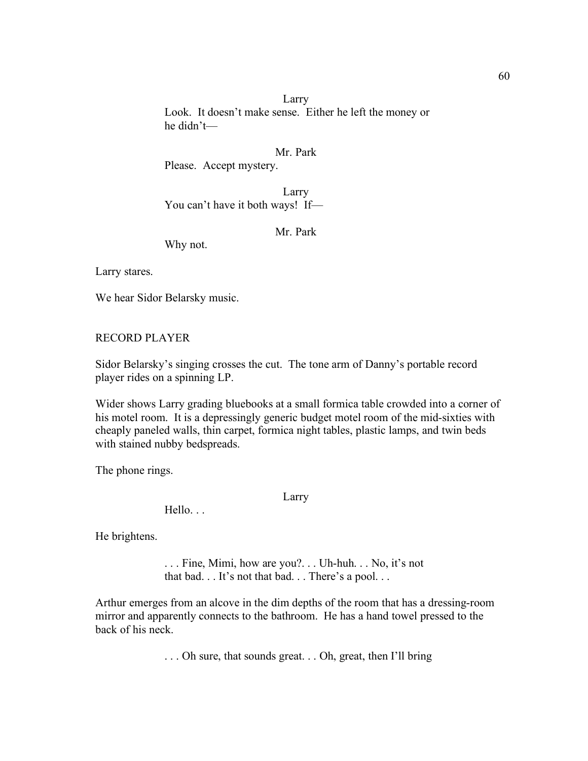Larry Look. It doesn't make sense. Either he left the money or he didn't—

#### Mr. Park

Please. Accept mystery.

Larry You can't have it both ways! If—

Mr. Park

Why not.

Larry stares.

We hear Sidor Belarsky music.

### RECORD PLAYER

Sidor Belarsky's singing crosses the cut. The tone arm of Danny's portable record player rides on a spinning LP.

Wider shows Larry grading bluebooks at a small formica table crowded into a corner of his motel room. It is a depressingly generic budget motel room of the mid-sixties with cheaply paneled walls, thin carpet, formica night tables, plastic lamps, and twin beds with stained nubby bedspreads.

The phone rings.

Larry

Hello.

He brightens.

. . . Fine, Mimi, how are you?. . . Uh-huh. . . No, it's not that bad. . . It's not that bad. . . There's a pool. . .

Arthur emerges from an alcove in the dim depths of the room that has a dressing-room mirror and apparently connects to the bathroom. He has a hand towel pressed to the back of his neck.

. . . Oh sure, that sounds great. . . Oh, great, then I'll bring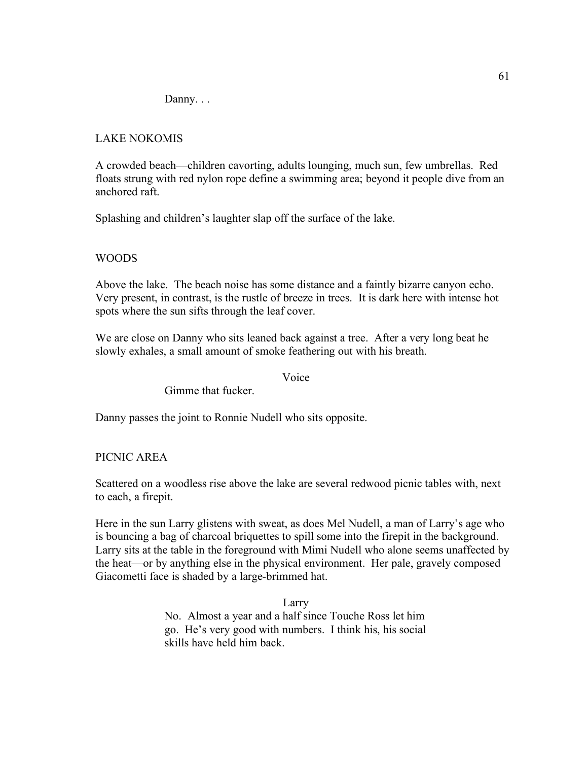Danny...

## LAKE NOKOMIS

A crowded beach—children cavorting, adults lounging, much sun, few umbrellas. Red floats strung with red nylon rope define a swimming area; beyond it people dive from an anchored raft.

Splashing and children's laughter slap off the surface of the lake.

## WOODS

Above the lake. The beach noise has some distance and a faintly bizarre canyon echo. Very present, in contrast, is the rustle of breeze in trees. It is dark here with intense hot spots where the sun sifts through the leaf cover.

We are close on Danny who sits leaned back against a tree. After a very long beat he slowly exhales, a small amount of smoke feathering out with his breath.

Voice

Gimme that fucker.

Danny passes the joint to Ronnie Nudell who sits opposite.

## PICNIC AREA

Scattered on a woodless rise above the lake are several redwood picnic tables with, next to each, a firepit.

Here in the sun Larry glistens with sweat, as does Mel Nudell, a man of Larry's age who is bouncing a bag of charcoal briquettes to spill some into the firepit in the background. Larry sits at the table in the foreground with Mimi Nudell who alone seems unaffected by the heat—or by anything else in the physical environment. Her pale, gravely composed Giacometti face is shaded by a large-brimmed hat.

> Larry No. Almost a year and a half since Touche Ross let him go. He's very good with numbers. I think his, his social skills have held him back.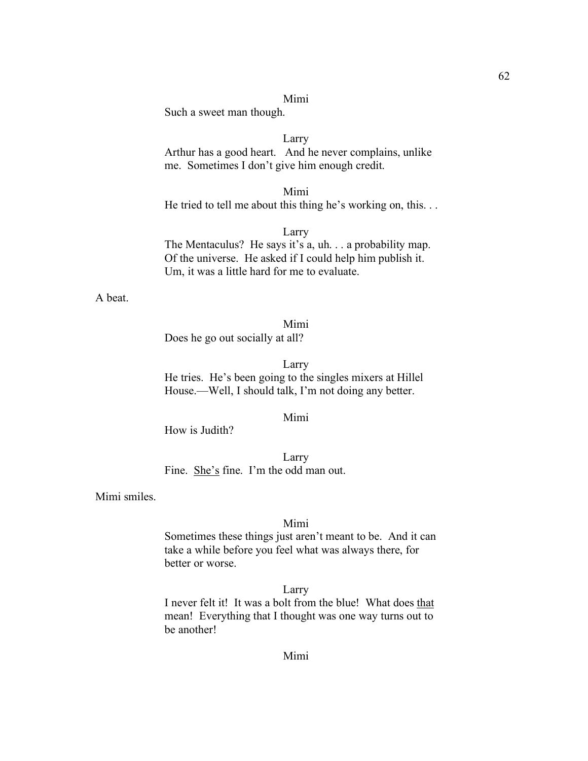#### Mimi

Such a sweet man though.

#### Larry

Arthur has a good heart. And he never complains, unlike me. Sometimes I don't give him enough credit.

Mimi He tried to tell me about this thing he's working on, this. . .

Larry The Mentaculus? He says it's a, uh. . . a probability map. Of the universe. He asked if I could help him publish it. Um, it was a little hard for me to evaluate.

### A beat.

## Mimi

Does he go out socially at all?

#### Larry

He tries. He's been going to the singles mixers at Hillel House.—Well, I should talk, I'm not doing any better.

#### Mimi

How is Judith?

Larry Fine. She's fine. I'm the odd man out.

Mimi smiles.

### Mimi

Sometimes these things just aren't meant to be. And it can take a while before you feel what was always there, for better or worse.

### Larry

I never felt it! It was a bolt from the blue! What does that mean! Everything that I thought was one way turns out to be another!

### Mimi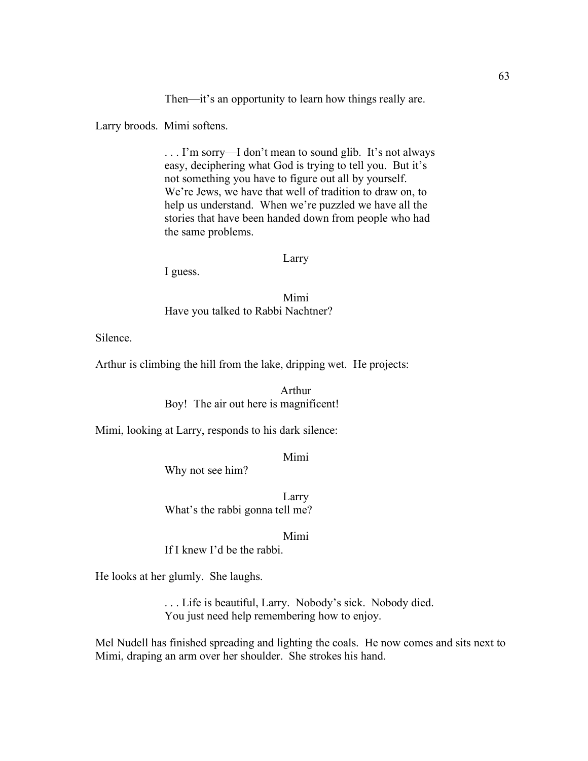Then—it's an opportunity to learn how things really are.

Larry broods. Mimi softens.

. . . I'm sorry—I don't mean to sound glib. It's not always easy, deciphering what God is trying to tell you. But it's not something you have to figure out all by yourself. We're Jews, we have that well of tradition to draw on, to help us understand. When we're puzzled we have all the stories that have been handed down from people who had the same problems.

#### Larry

I guess.

Mimi Have you talked to Rabbi Nachtner?

Silence.

Arthur is climbing the hill from the lake, dripping wet. He projects:

Arthur Boy! The air out here is magnificent!

Mimi, looking at Larry, responds to his dark silence:

Mimi

Why not see him?

Larry What's the rabbi gonna tell me?

Mimi

If I knew I'd be the rabbi.

He looks at her glumly. She laughs.

. . . Life is beautiful, Larry. Nobody's sick. Nobody died. You just need help remembering how to enjoy.

Mel Nudell has finished spreading and lighting the coals. He now comes and sits next to Mimi, draping an arm over her shoulder. She strokes his hand.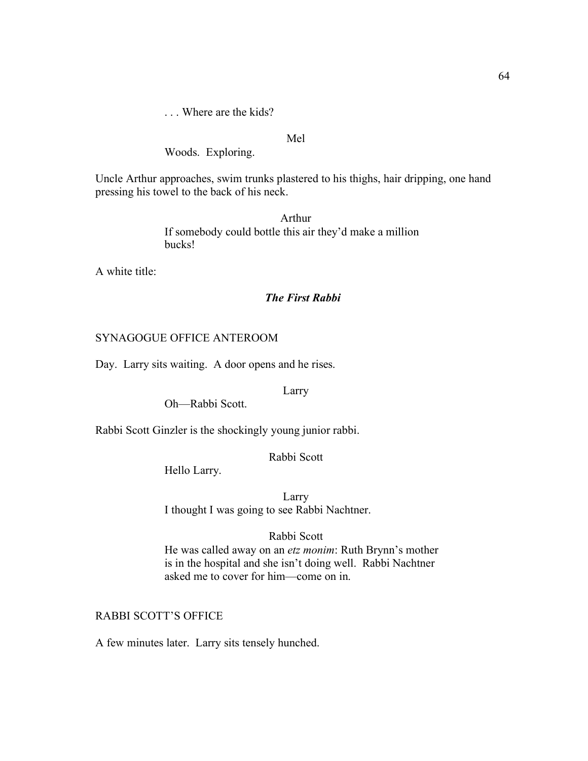. . . Where are the kids?

## Mel

Woods. Exploring.

Uncle Arthur approaches, swim trunks plastered to his thighs, hair dripping, one hand pressing his towel to the back of his neck.

> Arthur If somebody could bottle this air they'd make a million bucks!

A white title:

## *The First Rabbi*

### SYNAGOGUE OFFICE ANTEROOM

Day. Larry sits waiting. A door opens and he rises.

Larry

Oh—Rabbi Scott.

Rabbi Scott Ginzler is the shockingly young junior rabbi.

Rabbi Scott

Hello Larry.

Larry I thought I was going to see Rabbi Nachtner.

#### Rabbi Scott

He was called away on an *etz monim*: Ruth Brynn's mother is in the hospital and she isn't doing well. Rabbi Nachtner asked me to cover for him—come on in.

## RABBI SCOTT'S OFFICE

A few minutes later. Larry sits tensely hunched.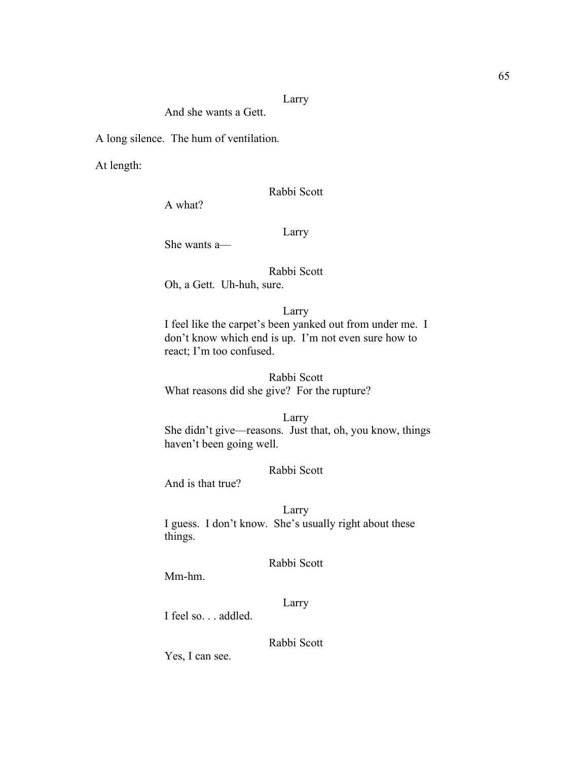Larry

And she wants a Gett.

A long silence. The hum of ventilation.

At length:

### Rabbi Scott

A what?

Larry

She wants a—

Rabbi Scott Oh, a Gett. Uh-huh, sure.

### Larry

I feel like the carpet's been yanked out from under me. I don't know which end is up. I'm not even sure how to react; I'm too confused.

Rabbi Scott What reasons did she give? For the rupture?

## Larry

She didn't give—reasons. Just that, oh, you know, things haven't been going well.

### Rabbi Scott

And is that true?

Larry I guess. I don't know. She's usually right about these things.

#### Rabbi Scott

Mm-hm.

Larry

I feel so. . . addled.

Rabbi Scott

Yes, I can see.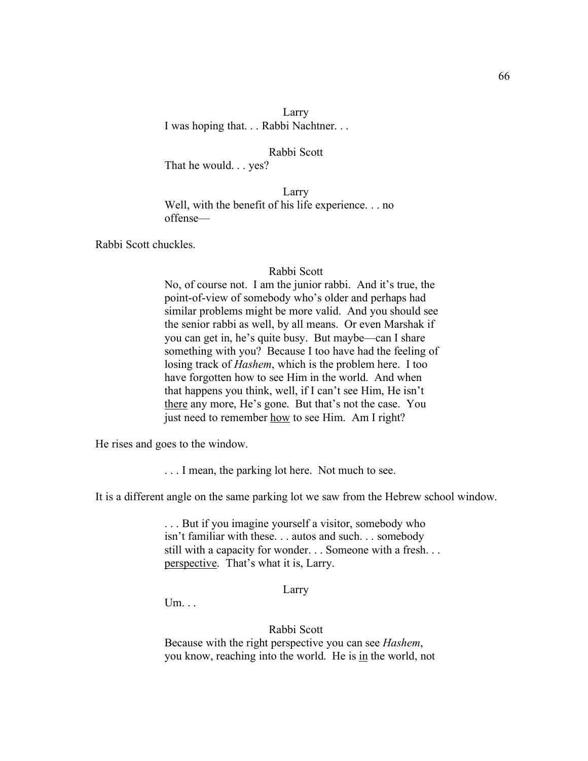## Larry I was hoping that. . . Rabbi Nachtner. . .

### Rabbi Scott

That he would. . . yes?

Larry Well, with the benefit of his life experience. . . no offense—

Rabbi Scott chuckles.

### Rabbi Scott

No, of course not. I am the junior rabbi. And it's true, the point-of-view of somebody who's older and perhaps had similar problems might be more valid. And you should see the senior rabbi as well, by all means. Or even Marshak if you can get in, he's quite busy. But maybe—can I share something with you? Because I too have had the feeling of losing track of *Hashem*, which is the problem here. I too have forgotten how to see Him in the world. And when that happens you think, well, if I can't see Him, He isn't there any more, He's gone. But that's not the case. You just need to remember how to see Him. Am I right?

He rises and goes to the window.

. . . I mean, the parking lot here. Not much to see.

It is a different angle on the same parking lot we saw from the Hebrew school window.

. . . But if you imagine yourself a visitor, somebody who isn't familiar with these. . . autos and such. . . somebody still with a capacity for wonder. . . Someone with a fresh. . . perspective. That's what it is, Larry.

### Larry

 $Um.$ .

Rabbi Scott

Because with the right perspective you can see *Hashem*, you know, reaching into the world. He is in the world, not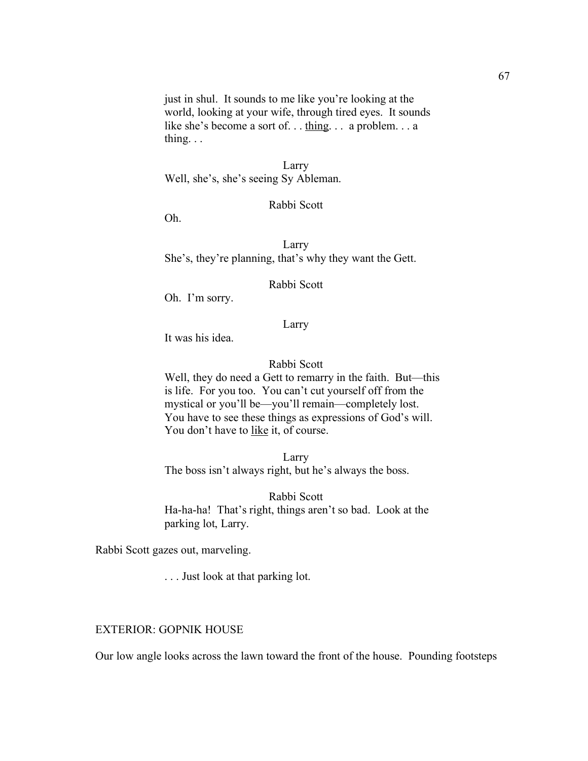just in shul. It sounds to me like you're looking at the world, looking at your wife, through tired eyes. It sounds like she's become a sort of... thing... a problem... a thing. . .

Larry Well, she's, she's seeing Sy Ableman.

Rabbi Scott

Oh.

Larry She's, they're planning, that's why they want the Gett.

Rabbi Scott

Oh. I'm sorry.

#### Larry

It was his idea.

## Rabbi Scott

Well, they do need a Gett to remarry in the faith. But—this is life. For you too. You can't cut yourself off from the mystical or you'll be—you'll remain—completely lost. You have to see these things as expressions of God's will. You don't have to like it, of course.

Larry The boss isn't always right, but he's always the boss.

Rabbi Scott Ha-ha-ha! That's right, things aren't so bad. Look at the parking lot, Larry.

Rabbi Scott gazes out, marveling.

. . . Just look at that parking lot.

### EXTERIOR: GOPNIK HOUSE

Our low angle looks across the lawn toward the front of the house. Pounding footsteps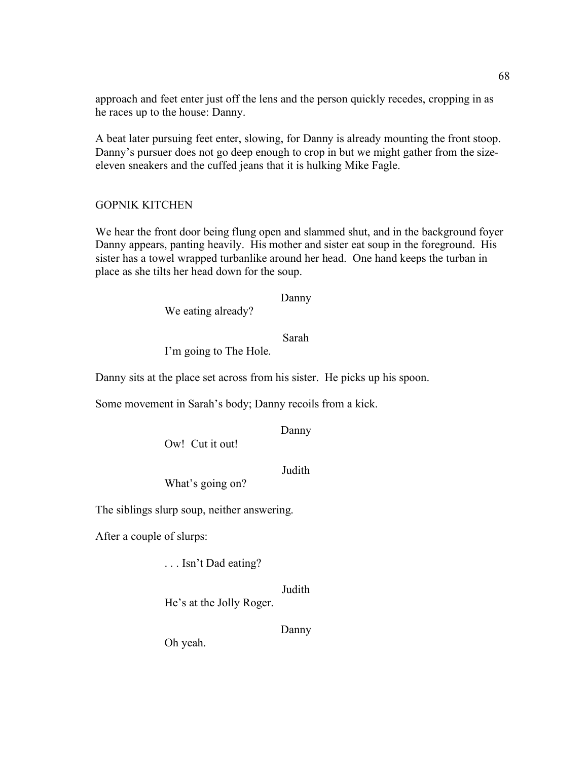approach and feet enter just off the lens and the person quickly recedes, cropping in as he races up to the house: Danny.

A beat later pursuing feet enter, slowing, for Danny is already mounting the front stoop. Danny's pursuer does not go deep enough to crop in but we might gather from the sizeeleven sneakers and the cuffed jeans that it is hulking Mike Fagle.

## GOPNIK KITCHEN

We hear the front door being flung open and slammed shut, and in the background foyer Danny appears, panting heavily. His mother and sister eat soup in the foreground. His sister has a towel wrapped turbanlike around her head. One hand keeps the turban in place as she tilts her head down for the soup.

### Danny

We eating already?

## Sarah

I'm going to The Hole.

Danny sits at the place set across from his sister. He picks up his spoon.

Some movement in Sarah's body; Danny recoils from a kick.

Danny

Ow! Cut it out!

**Judith** 

What's going on?

The siblings slurp soup, neither answering.

After a couple of slurps:

. . . Isn't Dad eating?

### **Judith**

He's at the Jolly Roger.

Danny

Oh yeah.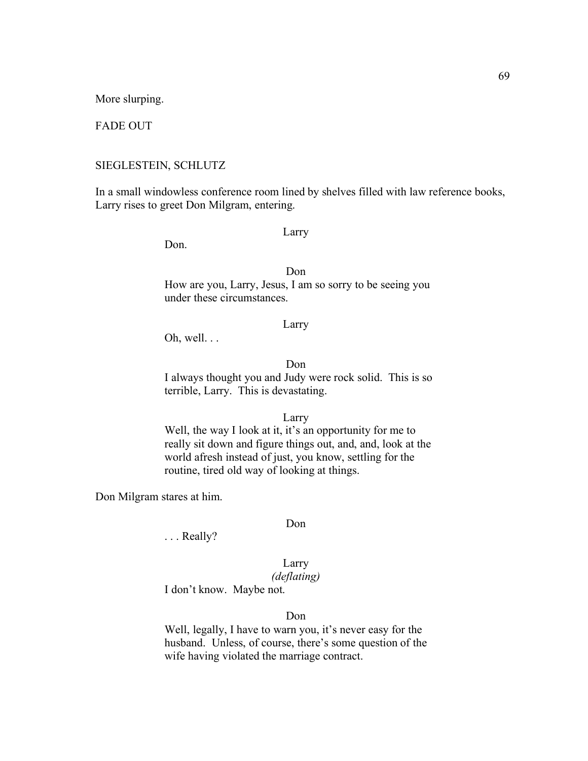More slurping.

FADE OUT

### SIEGLESTEIN, SCHLUTZ

In a small windowless conference room lined by shelves filled with law reference books, Larry rises to greet Don Milgram, entering.

#### Larry

Don.

### Don

How are you, Larry, Jesus, I am so sorry to be seeing you under these circumstances.

#### Larry

Oh, well. . .

### Don

I always thought you and Judy were rock solid. This is so terrible, Larry. This is devastating.

Larry

Well, the way I look at it, it's an opportunity for me to really sit down and figure things out, and, and, look at the world afresh instead of just, you know, settling for the routine, tired old way of looking at things.

Don Milgram stares at him.

## Don

. . . Really?

Larry

## *(deflating)*

I don't know. Maybe not.

### Don

Well, legally, I have to warn you, it's never easy for the husband. Unless, of course, there's some question of the wife having violated the marriage contract.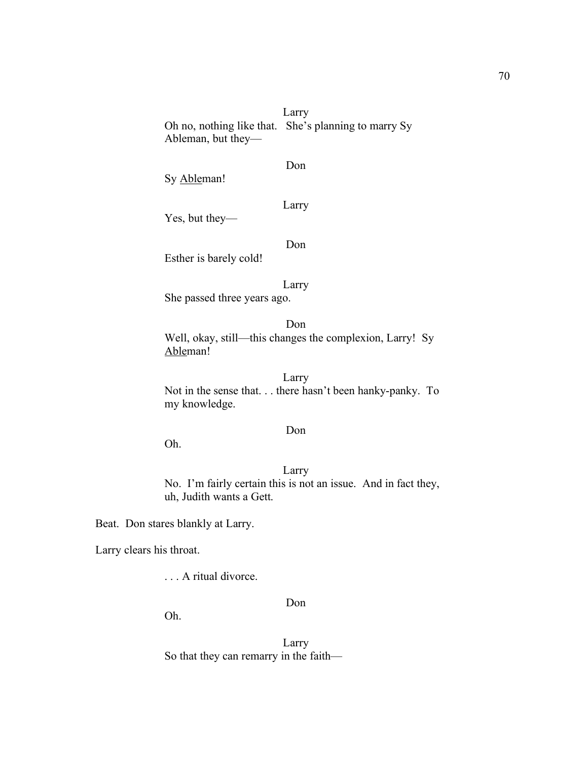### Larry

Oh no, nothing like that. She's planning to marry Sy Ableman, but they—

#### Don

Sy Ableman!

Larry

Yes, but they—

## Don

Esther is barely cold!

### Larry

She passed three years ago.

Don

Well, okay, still—this changes the complexion, Larry! Sy Ableman!

#### Larry

Not in the sense that. . . there hasn't been hanky-panky. To my knowledge.

#### Don

Oh.

## Larry

No. I'm fairly certain this is not an issue. And in fact they, uh, Judith wants a Gett.

Beat. Don stares blankly at Larry.

Larry clears his throat.

. . . A ritual divorce.

Don

Oh.

Larry So that they can remarry in the faith—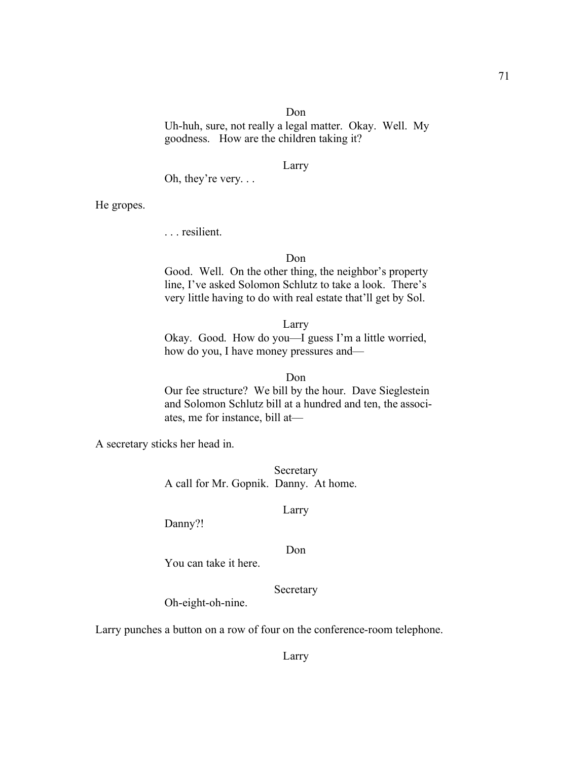### Don

Uh-huh, sure, not really a legal matter. Okay. Well. My goodness. How are the children taking it?

### Larry

Oh, they're very. . .

He gropes.

. . . resilient.

### Don

Good. Well. On the other thing, the neighbor's property line, I've asked Solomon Schlutz to take a look. There's very little having to do with real estate that'll get by Sol.

#### Larry

Okay. Good. How do you—I guess I'm a little worried, how do you, I have money pressures and—

#### Don

Our fee structure? We bill by the hour. Dave Sieglestein and Solomon Schlutz bill at a hundred and ten, the associates, me for instance, bill at—

A secretary sticks her head in.

Secretary A call for Mr. Gopnik. Danny. At home.

#### Larry

Danny?!

#### Don

You can take it here.

### Secretary

Oh-eight-oh-nine.

Larry punches a button on a row of four on the conference-room telephone.

Larry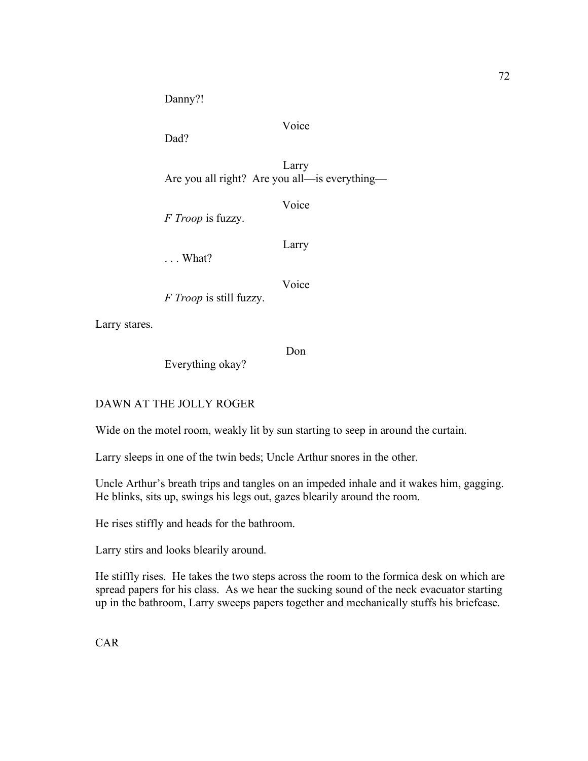Danny?!

Voice

Dad?

Larry Are you all right? Are you all—is everything—

Voice

*F Troop* is fuzzy.

. . . What?

Voice

Larry

*F Troop* is still fuzzy.

Larry stares.

Don

Everything okay?

# DAWN AT THE JOLLY ROGER

Wide on the motel room, weakly lit by sun starting to seep in around the curtain.

Larry sleeps in one of the twin beds; Uncle Arthur snores in the other.

Uncle Arthur's breath trips and tangles on an impeded inhale and it wakes him, gagging. He blinks, sits up, swings his legs out, gazes blearily around the room.

He rises stiffly and heads for the bathroom.

Larry stirs and looks blearily around.

He stiffly rises. He takes the two steps across the room to the formica desk on which are spread papers for his class. As we hear the sucking sound of the neck evacuator starting up in the bathroom, Larry sweeps papers together and mechanically stuffs his briefcase.

CAR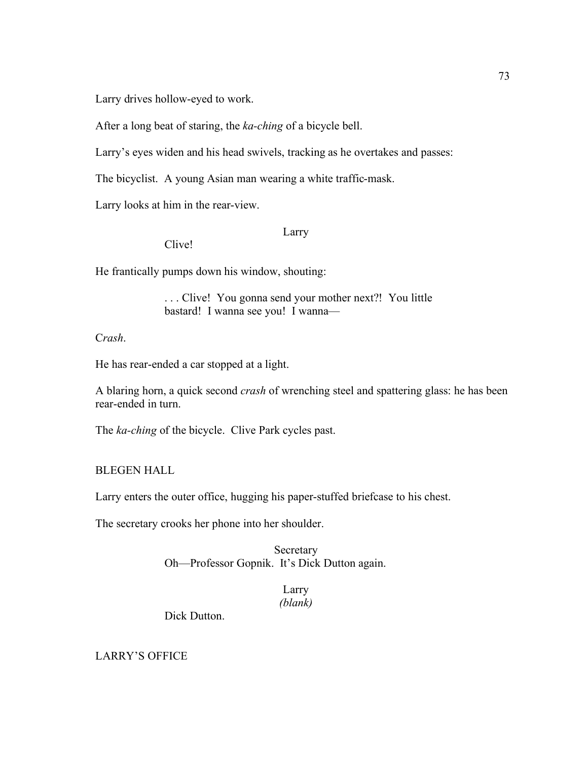Larry drives hollow-eyed to work.

After a long beat of staring, the *ka-ching* of a bicycle bell.

Larry's eyes widen and his head swivels, tracking as he overtakes and passes:

The bicyclist. A young Asian man wearing a white traffic-mask.

Larry looks at him in the rear-view.

### Larry

Clive!

He frantically pumps down his window, shouting:

. . . Clive! You gonna send your mother next?! You little bastard! I wanna see you! I wanna—

C*rash*.

He has rear-ended a car stopped at a light.

A blaring horn, a quick second *crash* of wrenching steel and spattering glass: he has been rear-ended in turn.

The *ka-ching* of the bicycle. Clive Park cycles past.

# BLEGEN HALL

Larry enters the outer office, hugging his paper-stuffed briefcase to his chest.

The secretary crooks her phone into her shoulder.

Secretary Oh—Professor Gopnik. It's Dick Dutton again.

### Larry *(blank)*

Dick Dutton.

LARRY'S OFFICE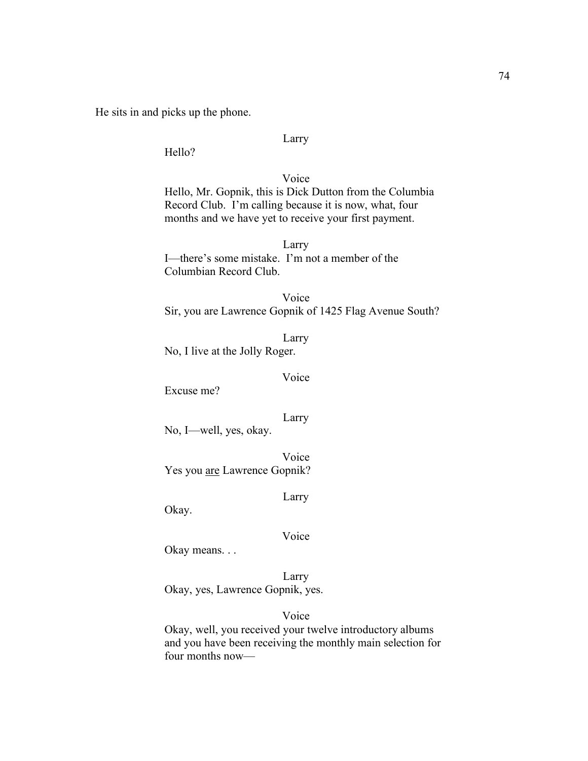He sits in and picks up the phone.

### Larry

Hello?

Voice Hello, Mr. Gopnik, this is Dick Dutton from the Columbia Record Club. I'm calling because it is now, what, four months and we have yet to receive your first payment.

Larry I—there's some mistake. I'm not a member of the Columbian Record Club.

Voice Sir, you are Lawrence Gopnik of 1425 Flag Avenue South?

Larry No, I live at the Jolly Roger.

#### Voice

Excuse me?

Larry

No, I—well, yes, okay.

Voice Yes you are Lawrence Gopnik?

Larry

Okay.

Voice

Okay means. . .

Larry Okay, yes, Lawrence Gopnik, yes.

Voice

Okay, well, you received your twelve introductory albums and you have been receiving the monthly main selection for four months now—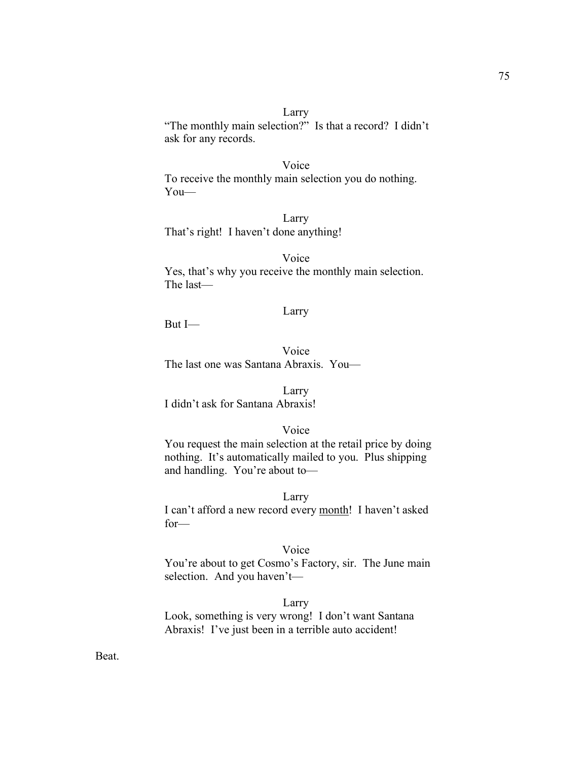### Larry

"The monthly main selection?" Is that a record? I didn't ask for any records.

## Voice

To receive the monthly main selection you do nothing. You—

Larry That's right! I haven't done anything!

Voice Yes, that's why you receive the monthly main selection. The last—

### Larry

But I—

Voice The last one was Santana Abraxis. You—

Larry I didn't ask for Santana Abraxis!

# Voice

You request the main selection at the retail price by doing nothing. It's automatically mailed to you. Plus shipping and handling. You're about to—

### Larry

I can't afford a new record every month! I haven't asked for—

### Voice

You're about to get Cosmo's Factory, sir. The June main selection. And you haven't—

#### Larry

Look, something is very wrong! I don't want Santana Abraxis! I've just been in a terrible auto accident!

Beat.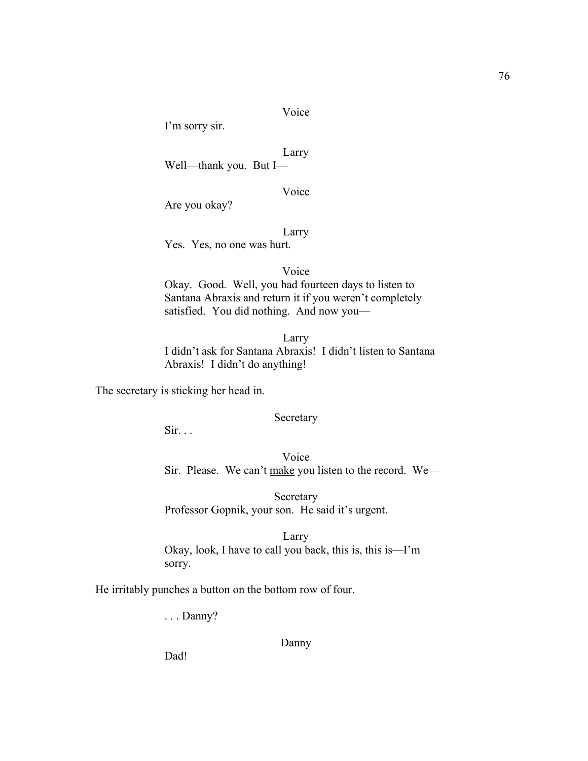# Voice

I'm sorry sir.

### Larry

Well—thank you. But I—

Voice

Are you okay?

Larry

Yes. Yes, no one was hurt.

# Voice

Okay. Good. Well, you had fourteen days to listen to Santana Abraxis and return it if you weren't completely satisfied. You did nothing. And now you—

# Larry I didn't ask for Santana Abraxis! I didn't listen to Santana Abraxis! I didn't do anything!

The secretary is sticking her head in.

#### **Secretary**

 $Sir. . .$ 

Voice Sir. Please. We can't make you listen to the record. We—

Secretary Professor Gopnik, your son. He said it's urgent.

Larry Okay, look, I have to call you back, this is, this is—I'm sorry.

He irritably punches a button on the bottom row of four.

. . . Danny?

Danny

Dad!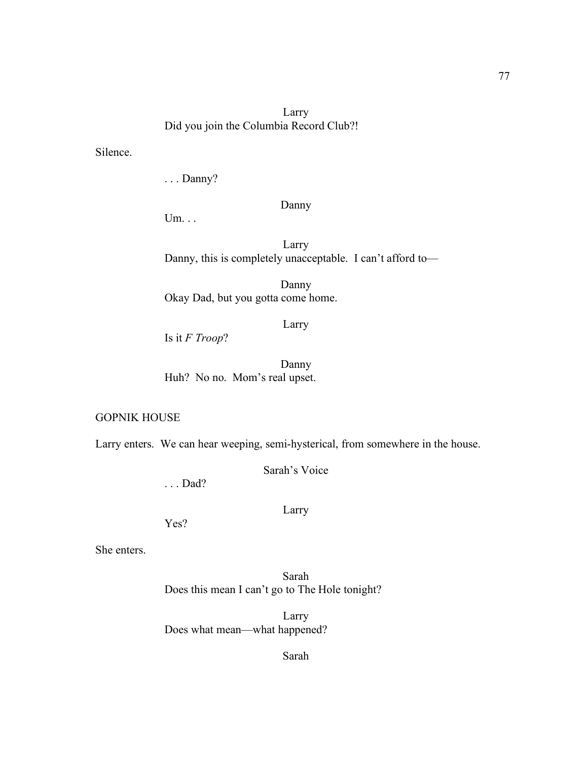Larry Did you join the Columbia Record Club?!

Silence.

. . . Danny?

Danny

Um. . .

Larry Danny, this is completely unacceptable. I can't afford to—

Danny Okay Dad, but you gotta come home.

Larry

Is it *F Troop*?

Danny Huh? No no. Mom's real upset.

GOPNIK HOUSE

Larry enters. We can hear weeping, semi-hysterical, from somewhere in the house.

Sarah's Voice

. . . Dad?

Larry

Yes?

She enters.

Sarah Does this mean I can't go to The Hole tonight?

Larry Does what mean—what happened?

Sarah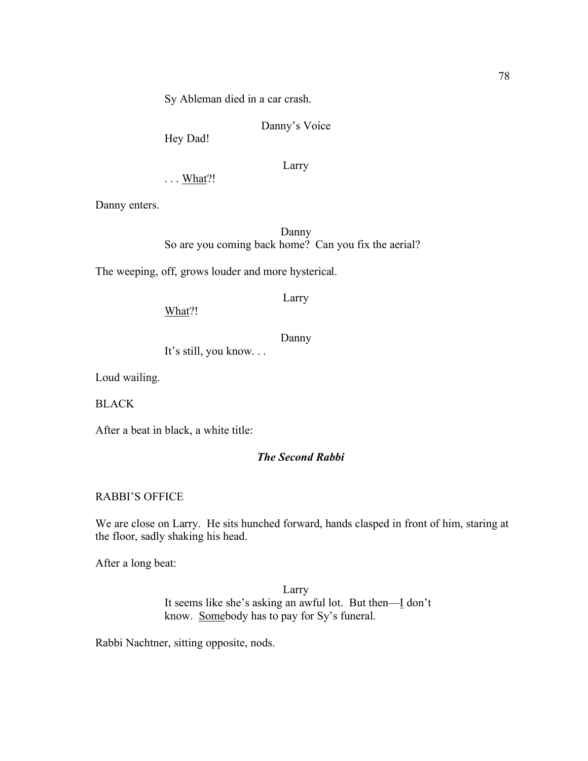Sy Ableman died in a car crash.

Danny's Voice

Hey Dad!

Larry

. . . <u>What</u>?!

Danny enters.

Danny So are you coming back home? Can you fix the aerial?

The weeping, off, grows louder and more hysterical.

Larry

What?!

Danny

It's still, you know. . .

Loud wailing.

BLACK

After a beat in black, a white title:

# *The Second Rabbi*

# RABBI'S OFFICE

We are close on Larry. He sits hunched forward, hands clasped in front of him, staring at the floor, sadly shaking his head.

After a long beat:

Larry It seems like she's asking an awful lot. But then—I don't know. Somebody has to pay for Sy's funeral.

Rabbi Nachtner, sitting opposite, nods.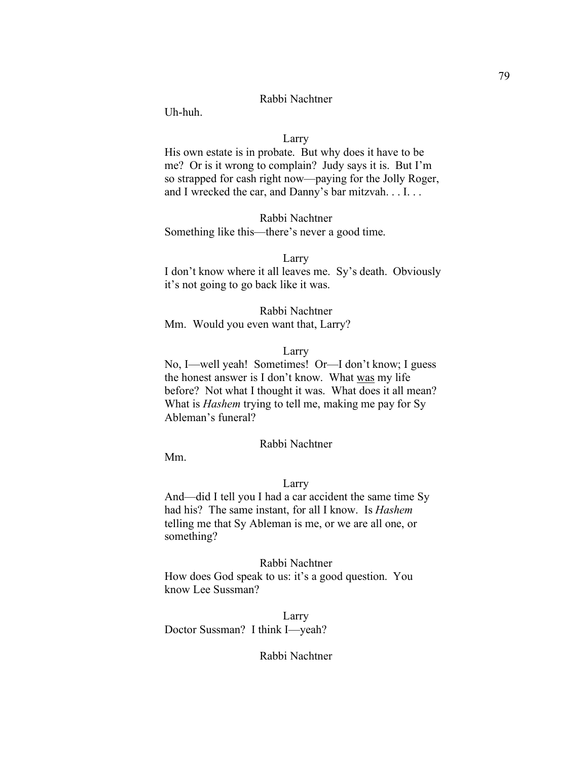#### Rabbi Nachtner

Uh-huh.

#### Larry

His own estate is in probate. But why does it have to be me? Or is it wrong to complain? Judy says it is. But I'm so strapped for cash right now—paying for the Jolly Roger, and I wrecked the car, and Danny's bar mitzvah. . . I. . .

### Rabbi Nachtner

Something like this—there's never a good time.

#### Larry

I don't know where it all leaves me. Sy's death. Obviously it's not going to go back like it was.

#### Rabbi Nachtner

Mm. Would you even want that, Larry?

### Larry

No, I—well yeah! Sometimes! Or—I don't know; I guess the honest answer is I don't know. What was my life before? Not what I thought it was. What does it all mean? What is *Hashem* trying to tell me, making me pay for Sy Ableman's funeral?

#### Rabbi Nachtner

Mm.

#### Larry

And—did I tell you I had a car accident the same time Sy had his? The same instant, for all I know. Is *Hashem* telling me that Sy Ableman is me, or we are all one, or something?

Rabbi Nachtner How does God speak to us: it's a good question. You know Lee Sussman?

Larry Doctor Sussman? I think I—yeah?

### Rabbi Nachtner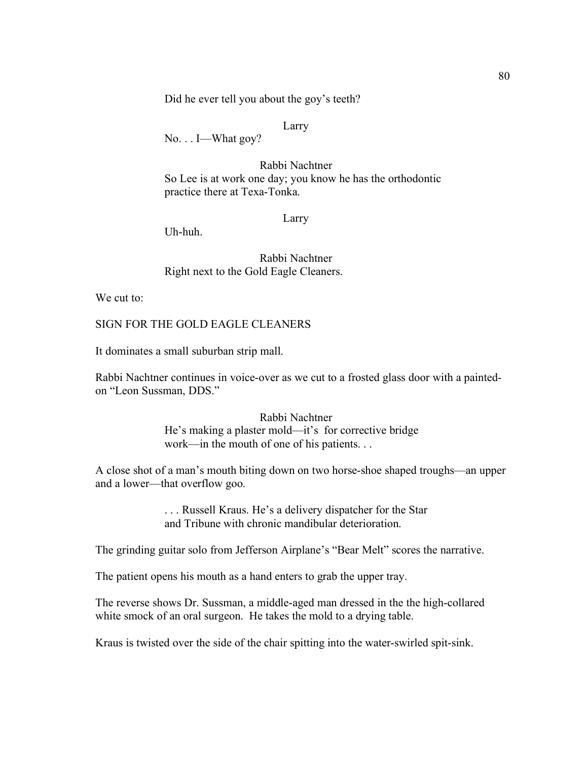Did he ever tell you about the goy's teeth?

Larry

No. . . I—What goy?

Rabbi Nachtner So Lee is at work one day; you know he has the orthodontic practice there at Texa-Tonka.

Larry

Uh-huh.

Rabbi Nachtner Right next to the Gold Eagle Cleaners.

We cut to:

SIGN FOR THE GOLD EAGLE CLEANERS

It dominates a small suburban strip mall.

Rabbi Nachtner continues in voice-over as we cut to a frosted glass door with a paintedon "Leon Sussman, DDS."

> Rabbi Nachtner He's making a plaster mold—it's for corrective bridge work—in the mouth of one of his patients. . .

A close shot of a man's mouth biting down on two horse-shoe shaped troughs—an upper and a lower—that overflow goo.

> . . . Russell Kraus. He's a delivery dispatcher for the Star and Tribune with chronic mandibular deterioration.

The grinding guitar solo from Jefferson Airplane's "Bear Melt" scores the narrative.

The patient opens his mouth as a hand enters to grab the upper tray.

The reverse shows Dr. Sussman, a middle-aged man dressed in the the high-collared white smock of an oral surgeon. He takes the mold to a drying table.

Kraus is twisted over the side of the chair spitting into the water-swirled spit-sink.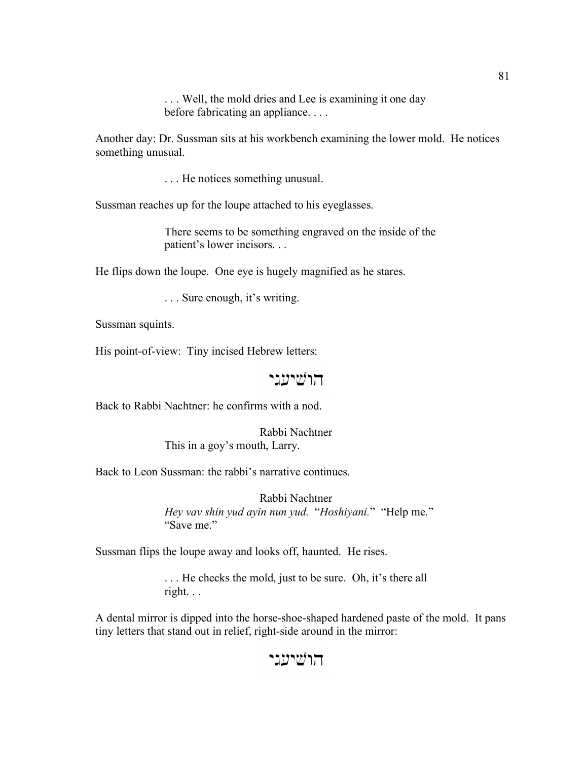. . . Well, the mold dries and Lee is examining it one day before fabricating an appliance. . . .

Another day: Dr. Sussman sits at his workbench examining the lower mold. He notices something unusual.

. . . He notices something unusual.

Sussman reaches up for the loupe attached to his eyeglasses.

There seems to be something engraved on the inside of the patient's lower incisors. . .

He flips down the loupe. One eye is hugely magnified as he stares.

. . . Sure enough, it's writing.

Sussman squints.

His point-of-view: Tiny incised Hebrew letters:

# חושיעגי

Back to Rabbi Nachtner: he confirms with a nod.

Rabbi Nachtner This in a goy's mouth, Larry.

Back to Leon Sussman: the rabbi's narrative continues.

Rabbi Nachtner *Hey vav shin yud ayin nun yud.* "*Hoshiyani.*" "Help me." "Save me"

Sussman flips the loupe away and looks off, haunted. He rises.

. . . He checks the mold, just to be sure. Oh, it's there all right. . .

A dental mirror is dipped into the horse-shoe-shaped hardened paste of the mold. It pans tiny letters that stand out in relief, right-side around in the mirror:

# הושיעני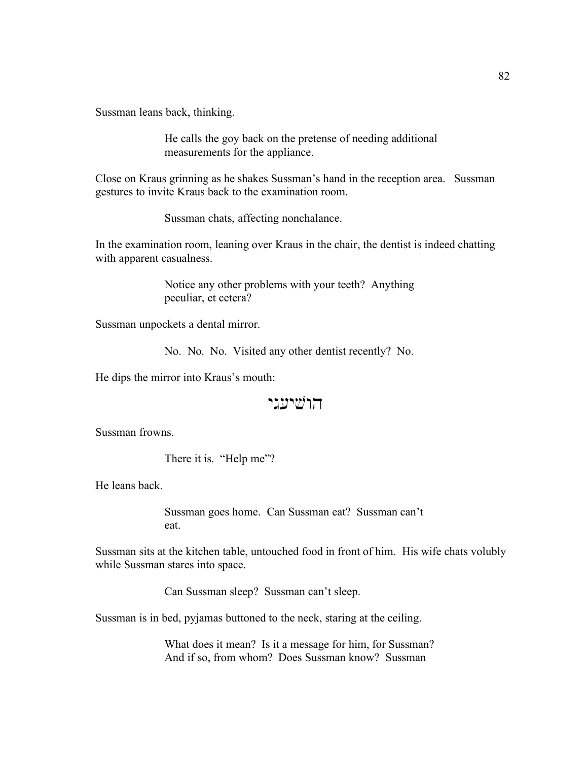Sussman leans back, thinking.

He calls the goy back on the pretense of needing additional measurements for the appliance.

Close on Kraus grinning as he shakes Sussman's hand in the reception area. Sussman gestures to invite Kraus back to the examination room.

Sussman chats, affecting nonchalance.

In the examination room, leaning over Kraus in the chair, the dentist is indeed chatting with apparent casualness.

> Notice any other problems with your teeth? Anything peculiar, et cetera?

Sussman unpockets a dental mirror.

No. No. No. Visited any other dentist recently? No.

He dips the mirror into Kraus's mouth:

# חושיעגי

Sussman frowns.

There it is. "Help me"?

He leans back.

Sussman goes home. Can Sussman eat? Sussman can't eat.

Sussman sits at the kitchen table, untouched food in front of him. His wife chats volubly while Sussman stares into space.

Can Sussman sleep? Sussman can't sleep.

Sussman is in bed, pyjamas buttoned to the neck, staring at the ceiling.

What does it mean? Is it a message for him, for Sussman? And if so, from whom? Does Sussman know? Sussman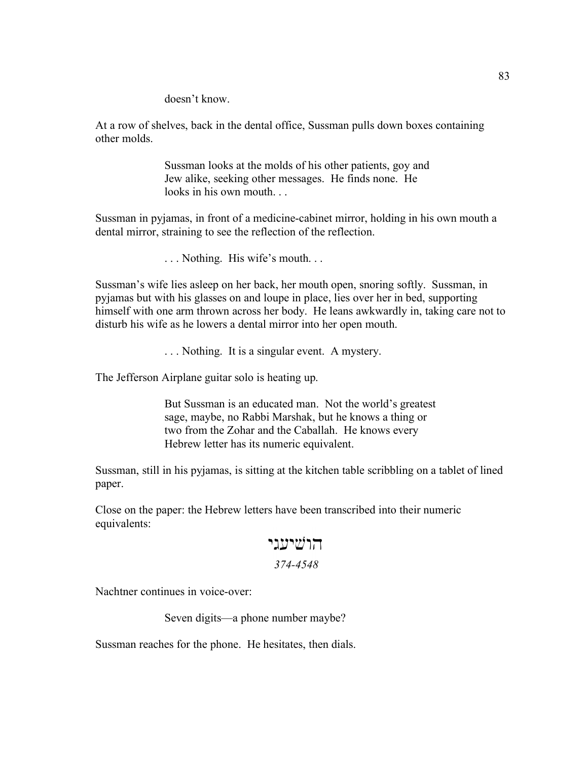doesn't know.

At a row of shelves, back in the dental office, Sussman pulls down boxes containing other molds.

> Sussman looks at the molds of his other patients, goy and Jew alike, seeking other messages. He finds none. He looks in his own mouth. . .

Sussman in pyjamas, in front of a medicine-cabinet mirror, holding in his own mouth a dental mirror, straining to see the reflection of the reflection.

. . . Nothing. His wife's mouth. . .

Sussman's wife lies asleep on her back, her mouth open, snoring softly. Sussman, in pyjamas but with his glasses on and loupe in place, lies over her in bed, supporting himself with one arm thrown across her body. He leans awkwardly in, taking care not to disturb his wife as he lowers a dental mirror into her open mouth.

. . . Nothing. It is a singular event. A mystery.

The Jefferson Airplane guitar solo is heating up.

But Sussman is an educated man. Not the world's greatest sage, maybe, no Rabbi Marshak, but he knows a thing or two from the Zohar and the Caballah. He knows every Hebrew letter has its numeric equivalent.

Sussman, still in his pyjamas, is sitting at the kitchen table scribbling on a tablet of lined paper.

Close on the paper: the Hebrew letters have been transcribed into their numeric equivalents:

# חושיעגי

# *374-4548*

Nachtner continues in voice-over:

Seven digits—a phone number maybe?

Sussman reaches for the phone. He hesitates, then dials.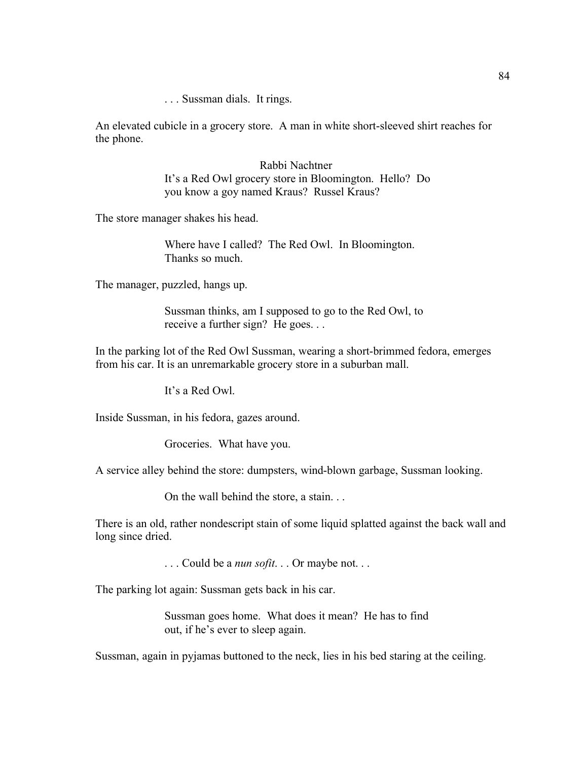. . . Sussman dials. It rings.

An elevated cubicle in a grocery store. A man in white short-sleeved shirt reaches for the phone.

> Rabbi Nachtner It's a Red Owl grocery store in Bloomington. Hello? Do you know a goy named Kraus? Russel Kraus?

The store manager shakes his head.

Where have I called? The Red Owl. In Bloomington. Thanks so much.

The manager, puzzled, hangs up.

Sussman thinks, am I supposed to go to the Red Owl, to receive a further sign? He goes. . .

In the parking lot of the Red Owl Sussman, wearing a short-brimmed fedora, emerges from his car. It is an unremarkable grocery store in a suburban mall.

It's a Red Owl.

Inside Sussman, in his fedora, gazes around.

Groceries. What have you.

A service alley behind the store: dumpsters, wind-blown garbage, Sussman looking.

On the wall behind the store, a stain. . .

There is an old, rather nondescript stain of some liquid splatted against the back wall and long since dried.

. . . Could be a *nun sofit*. . . Or maybe not. . .

The parking lot again: Sussman gets back in his car.

Sussman goes home. What does it mean? He has to find out, if he's ever to sleep again.

Sussman, again in pyjamas buttoned to the neck, lies in his bed staring at the ceiling.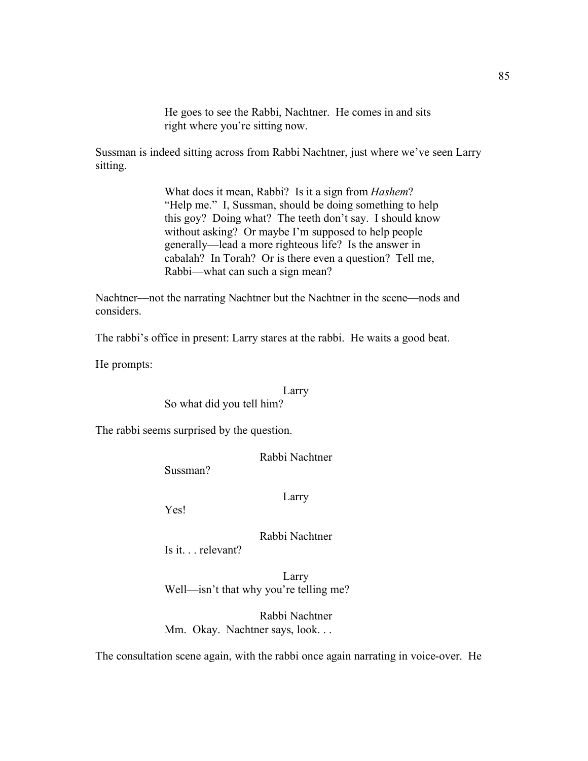He goes to see the Rabbi, Nachtner. He comes in and sits right where you're sitting now.

Sussman is indeed sitting across from Rabbi Nachtner, just where we've seen Larry sitting.

> What does it mean, Rabbi? Is it a sign from *Hashem*? "Help me." I, Sussman, should be doing something to help this goy? Doing what? The teeth don't say. I should know without asking? Or maybe I'm supposed to help people generally—lead a more righteous life? Is the answer in cabalah? In Torah? Or is there even a question? Tell me, Rabbi—what can such a sign mean?

Nachtner—not the narrating Nachtner but the Nachtner in the scene—nods and considers.

The rabbi's office in present: Larry stares at the rabbi. He waits a good beat.

He prompts:

Larry

So what did you tell him?

The rabbi seems surprised by the question.

Rabbi Nachtner

Sussman?

Larry

Yes!

Rabbi Nachtner

Is it. . . relevant?

Larry Well—isn't that why you're telling me?

Rabbi Nachtner Mm. Okay. Nachtner says, look. . .

The consultation scene again, with the rabbi once again narrating in voice-over. He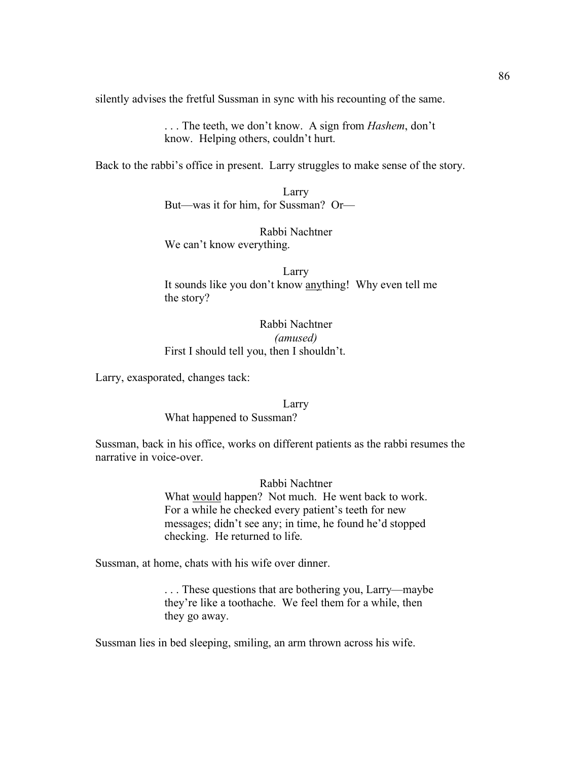silently advises the fretful Sussman in sync with his recounting of the same.

. . . The teeth, we don't know. A sign from *Hashem*, don't know. Helping others, couldn't hurt.

Back to the rabbi's office in present. Larry struggles to make sense of the story.

Larry But—was it for him, for Sussman? Or—

Rabbi Nachtner We can't know everything.

Larry It sounds like you don't know anything! Why even tell me the story?

Rabbi Nachtner *(amused)* First I should tell you, then I shouldn't.

Larry, exasporated, changes tack:

Larry

What happened to Sussman?

Sussman, back in his office, works on different patients as the rabbi resumes the narrative in voice-over.

Rabbi Nachtner

What would happen? Not much. He went back to work. For a while he checked every patient's teeth for new messages; didn't see any; in time, he found he'd stopped checking. He returned to life.

Sussman, at home, chats with his wife over dinner.

. . . These questions that are bothering you, Larry—maybe they're like a toothache. We feel them for a while, then they go away.

Sussman lies in bed sleeping, smiling, an arm thrown across his wife.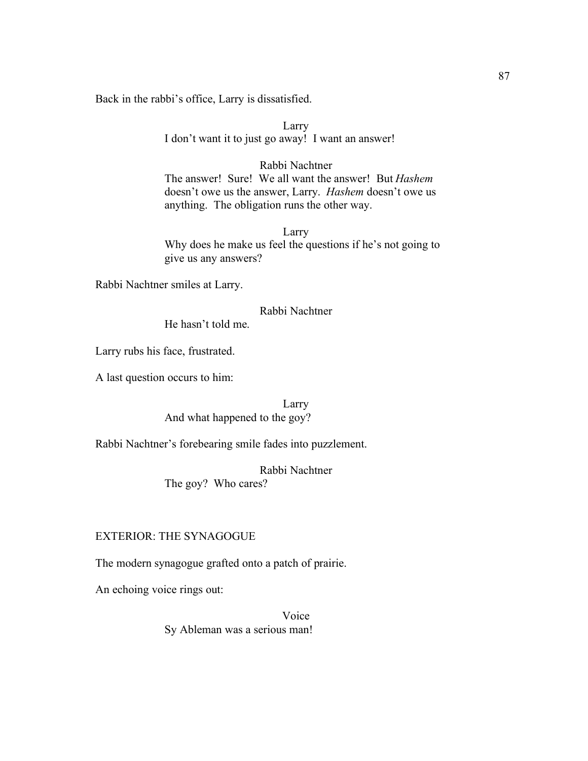Back in the rabbi's office, Larry is dissatisfied.

Larry I don't want it to just go away! I want an answer!

Rabbi Nachtner The answer! Sure! We all want the answer! But *Hashem* doesn't owe us the answer, Larry. *Hashem* doesn't owe us anything. The obligation runs the other way.

Larry Why does he make us feel the questions if he's not going to give us any answers?

Rabbi Nachtner smiles at Larry.

### Rabbi Nachtner

He hasn't told me.

Larry rubs his face, frustrated.

A last question occurs to him:

Larry And what happened to the goy?

Rabbi Nachtner's forebearing smile fades into puzzlement.

Rabbi Nachtner

The goy? Who cares?

# EXTERIOR: THE SYNAGOGUE

The modern synagogue grafted onto a patch of prairie.

An echoing voice rings out:

Voice Sy Ableman was a serious man!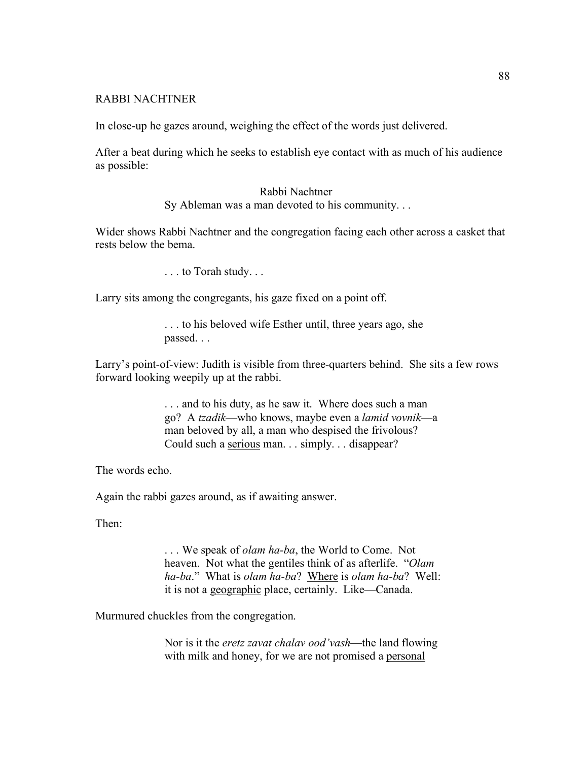### RABBI NACHTNER

In close-up he gazes around, weighing the effect of the words just delivered.

After a beat during which he seeks to establish eye contact with as much of his audience as possible:

# Rabbi Nachtner

Sy Ableman was a man devoted to his community. . .

Wider shows Rabbi Nachtner and the congregation facing each other across a casket that rests below the bema.

. . . to Torah study. . .

Larry sits among the congregants, his gaze fixed on a point off.

. . . to his beloved wife Esther until, three years ago, she passed. . .

Larry's point-of-view: Judith is visible from three-quarters behind. She sits a few rows forward looking weepily up at the rabbi.

> . . . and to his duty, as he saw it. Where does such a man go? A *tzadik*—who knows, maybe even a *lamid vovnik*—a man beloved by all, a man who despised the frivolous? Could such a serious man. . . simply. . . disappear?

The words echo.

Again the rabbi gazes around, as if awaiting answer.

Then:

. . . We speak of *olam ha-ba*, the World to Come. Not heaven. Not what the gentiles think of as afterlife. "*Olam ha-ba*." What is *olam ha-ba*? Where is *olam ha-ba*? Well: it is not a geographic place, certainly. Like—Canada.

Murmured chuckles from the congregation.

Nor is it the *eretz zavat chalav ood'vash*—the land flowing with milk and honey, for we are not promised a personal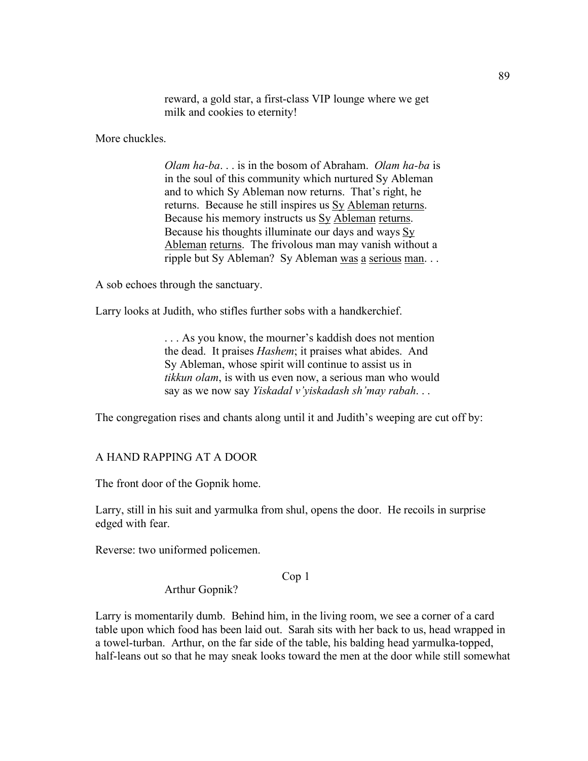reward, a gold star, a first-class VIP lounge where we get milk and cookies to eternity!

More chuckles.

*Olam ha-ba*. . . is in the bosom of Abraham. *Olam ha-ba* is in the soul of this community which nurtured Sy Ableman and to which Sy Ableman now returns. That's right, he returns. Because he still inspires us Sy Ableman returns. Because his memory instructs us Sy Ableman returns. Because his thoughts illuminate our days and ways Sy Ableman returns. The frivolous man may vanish without a ripple but Sy Ableman? Sy Ableman was a serious man...

A sob echoes through the sanctuary.

Larry looks at Judith, who stifles further sobs with a handkerchief.

. . . As you know, the mourner's kaddish does not mention the dead. It praises *Hashem*; it praises what abides. And Sy Ableman, whose spirit will continue to assist us in *tikkun olam*, is with us even now, a serious man who would say as we now say *Yiskadal v'yiskadash sh'may rabah*. . .

The congregation rises and chants along until it and Judith's weeping are cut off by:

# A HAND RAPPING AT A DOOR

The front door of the Gopnik home.

Larry, still in his suit and yarmulka from shul, opens the door. He recoils in surprise edged with fear.

Reverse: two uniformed policemen.

### Cop 1

Arthur Gopnik?

Larry is momentarily dumb. Behind him, in the living room, we see a corner of a card table upon which food has been laid out. Sarah sits with her back to us, head wrapped in a towel-turban. Arthur, on the far side of the table, his balding head yarmulka-topped, half-leans out so that he may sneak looks toward the men at the door while still somewhat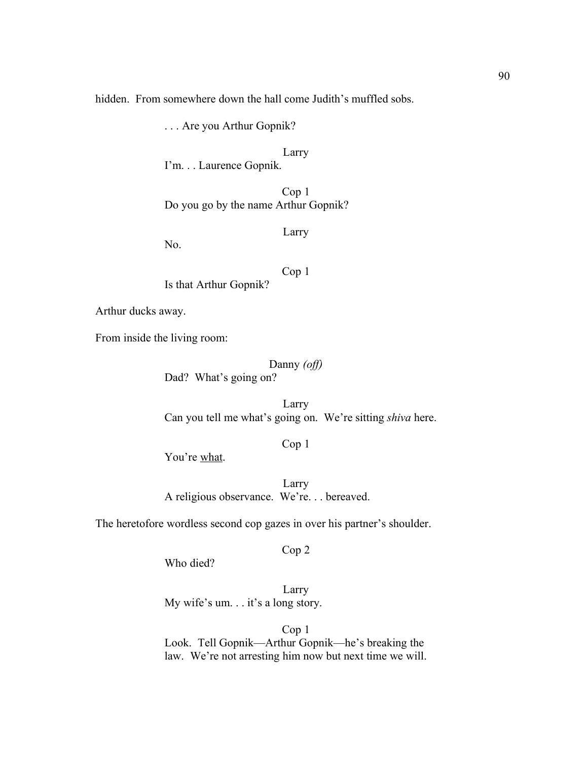hidden. From somewhere down the hall come Judith's muffled sobs.

. . . Are you Arthur Gopnik?

Larry

I'm. . . Laurence Gopnik.

Cop 1 Do you go by the name Arthur Gopnik?

Larry

No.

Cop 1

Is that Arthur Gopnik?

Arthur ducks away.

From inside the living room:

Danny *(off)* Dad? What's going on?

Larry Can you tell me what's going on. We're sitting *shiva* here.

Cop 1

You're what.

Larry A religious observance. We're. . . bereaved.

The heretofore wordless second cop gazes in over his partner's shoulder.

Cop 2

Who died?

Larry My wife's um. . . it's a long story.

Cop 1 Look. Tell Gopnik—Arthur Gopnik—he's breaking the law. We're not arresting him now but next time we will.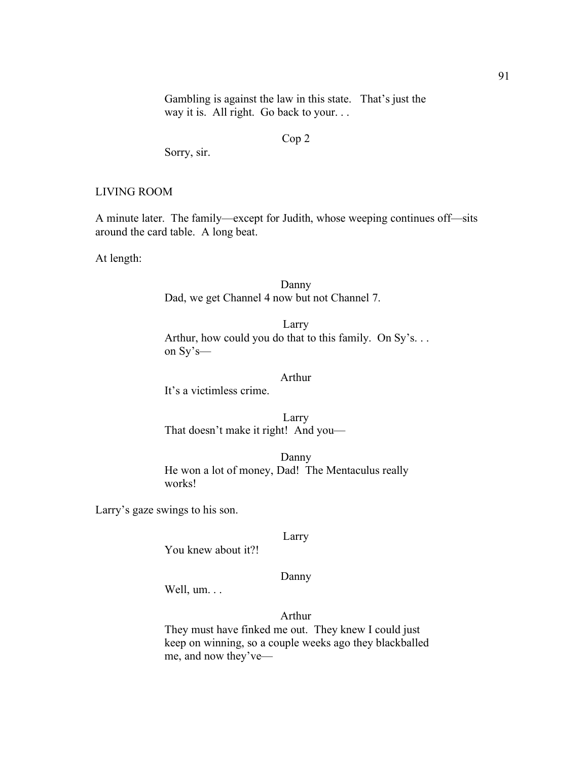Gambling is against the law in this state. That's just the way it is. All right. Go back to your...

### Cop 2

Sorry, sir.

# LIVING ROOM

A minute later. The family—except for Judith, whose weeping continues off—sits around the card table. A long beat.

At length:

Danny Dad, we get Channel 4 now but not Channel 7.

# Larry Arthur, how could you do that to this family. On Sy's. . . on Sy's—

### Arthur

It's a victimless crime.

Larry That doesn't make it right! And you—

Danny He won a lot of money, Dad! The Mentaculus really works!

Larry's gaze swings to his son.

#### Larry

You knew about it?!

### Danny

Well, um. . .

# Arthur

They must have finked me out. They knew I could just keep on winning, so a couple weeks ago they blackballed me, and now they've—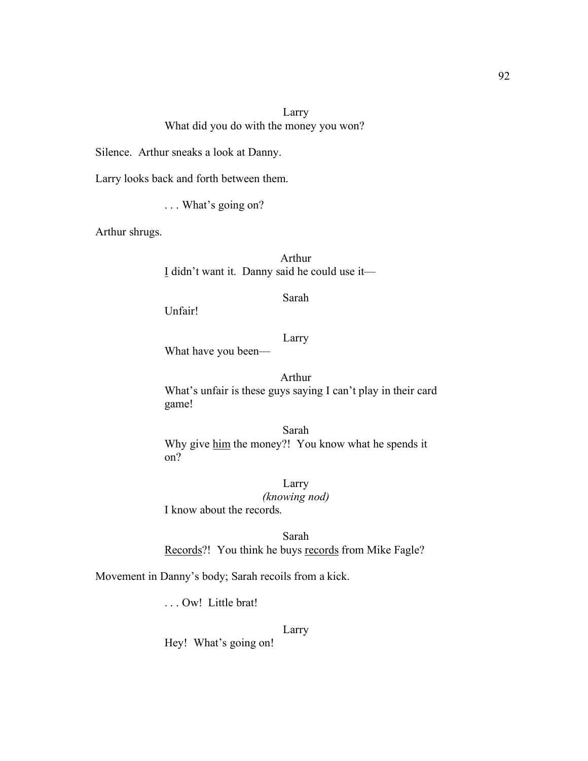# Larry What did you do with the money you won?

Silence. Arthur sneaks a look at Danny.

Larry looks back and forth between them.

. . . What's going on?

Arthur shrugs.

Arthur I didn't want it. Danny said he could use it—

Sarah

Unfair!

## Larry

What have you been—

Arthur What's unfair is these guys saying I can't play in their card game!

Sarah Why give him the money?! You know what he spends it on?

Larry *(knowing nod)* I know about the records.

Sarah Records?! You think he buys records from Mike Fagle?

Movement in Danny's body; Sarah recoils from a kick.

. . . Ow! Little brat!

Larry

Hey! What's going on!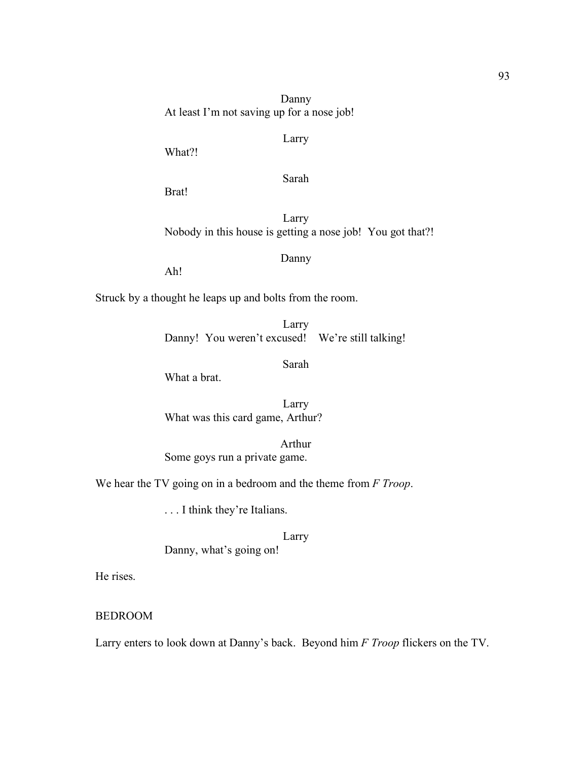Danny At least I'm not saving up for a nose job!

Larry

What?!

Sarah

Brat!

Larry Nobody in this house is getting a nose job! You got that?!

Danny

Ah!

Struck by a thought he leaps up and bolts from the room.

Larry Danny! You weren't excused! We're still talking!

Sarah

What a brat.

Larry What was this card game, Arthur?

Arthur Some goys run a private game.

We hear the TV going on in a bedroom and the theme from *F Troop*.

. . . I think they're Italians.

Larry

Danny, what's going on!

He rises.

BEDROOM

Larry enters to look down at Danny's back. Beyond him *F Troop* flickers on the TV.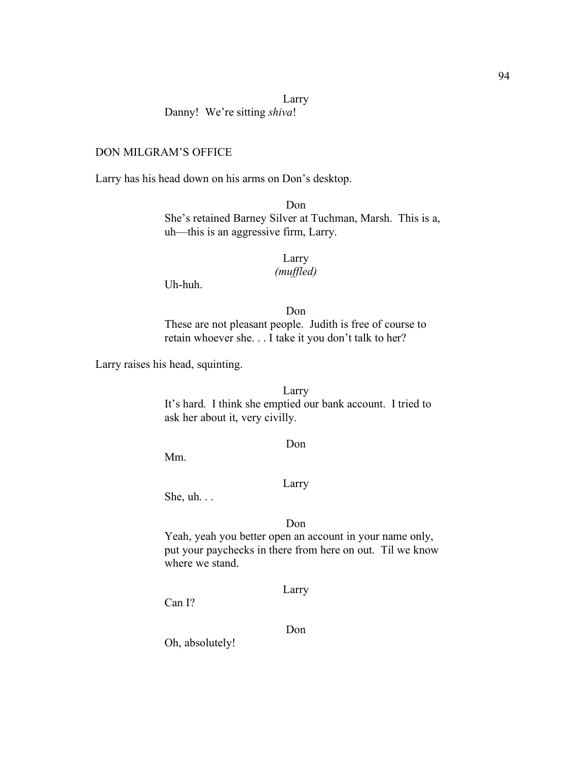94

Larry

Danny! We're sitting *shiva*!

### DON MILGRAM'S OFFICE

Larry has his head down on his arms on Don's desktop.

Don She's retained Barney Silver at Tuchman, Marsh. This is a, uh—this is an aggressive firm, Larry.

> Larry *(muffled)*

Uh-huh.

Don These are not pleasant people. Judith is free of course to retain whoever she. . . I take it you don't talk to her?

Larry raises his head, squinting.

Larry It's hard. I think she emptied our bank account. I tried to ask her about it, very civilly.

Don

Mm.

### Larry

She, uh. . .

# Don

Yeah, yeah you better open an account in your name only, put your paychecks in there from here on out. Til we know where we stand.

Larry

Can I?

Don

Oh, absolutely!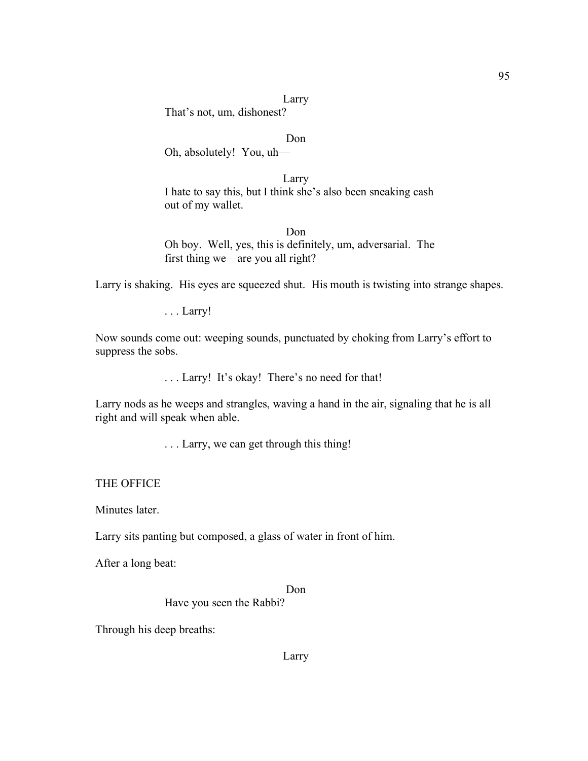Larry

That's not, um, dishonest?

Don

Oh, absolutely! You, uh—

Larry I hate to say this, but I think she's also been sneaking cash out of my wallet.

Don Oh boy. Well, yes, this is definitely, um, adversarial. The first thing we—are you all right?

Larry is shaking. His eyes are squeezed shut. His mouth is twisting into strange shapes.

. . . Larry!

Now sounds come out: weeping sounds, punctuated by choking from Larry's effort to suppress the sobs.

. . . Larry! It's okay! There's no need for that!

Larry nods as he weeps and strangles, waving a hand in the air, signaling that he is all right and will speak when able.

. . . Larry, we can get through this thing!

THE OFFICE

Minutes later.

Larry sits panting but composed, a glass of water in front of him.

After a long beat:

Don

Have you seen the Rabbi?

Through his deep breaths:

Larry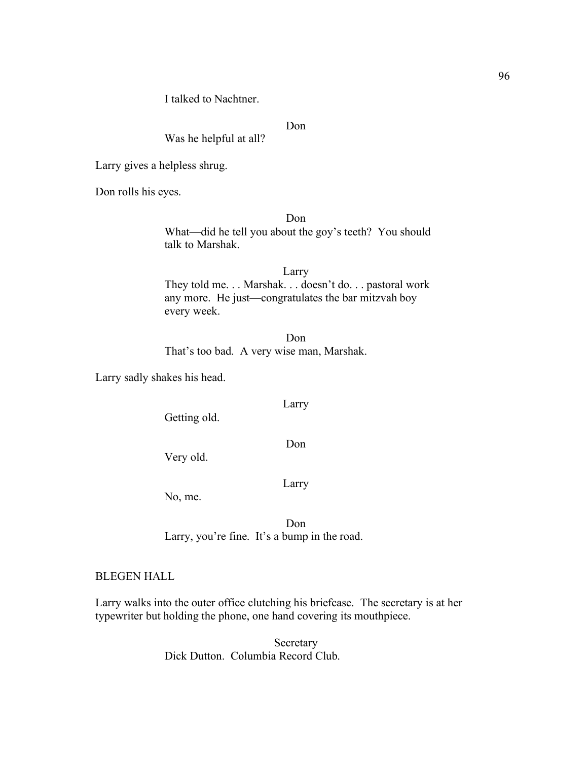I talked to Nachtner.

Don

Was he helpful at all?

Larry gives a helpless shrug.

Don rolls his eyes.

Don

What—did he tell you about the goy's teeth? You should talk to Marshak.

Larry They told me. . . Marshak. . . doesn't do. . . pastoral work any more. He just—congratulates the bar mitzvah boy every week.

Don That's too bad. A very wise man, Marshak.

Larry sadly shakes his head.

Larry

Getting old.

Don

Very old.

Larry

No, me.

Don Larry, you're fine. It's a bump in the road.

### BLEGEN HALL

Larry walks into the outer office clutching his briefcase. The secretary is at her typewriter but holding the phone, one hand covering its mouthpiece.

> Secretary Dick Dutton. Columbia Record Club.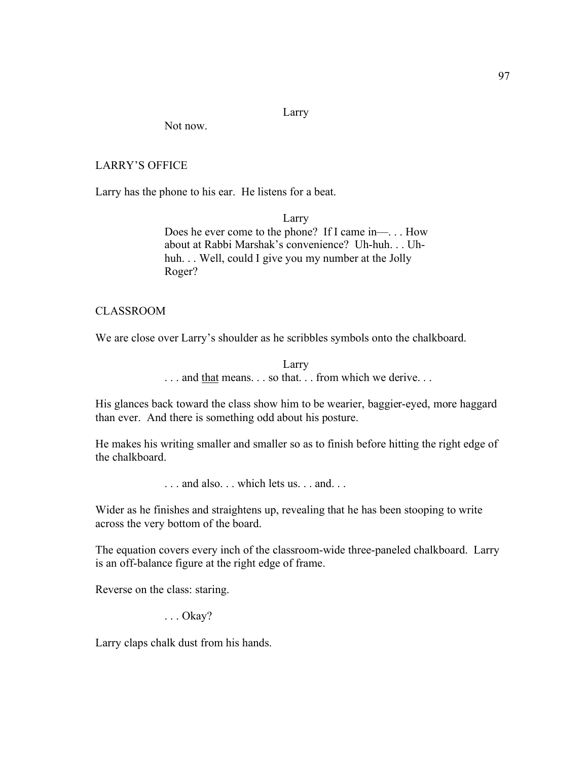Larry

Not now.

### LARRY'S OFFICE

Larry has the phone to his ear. He listens for a beat.

Larry Does he ever come to the phone? If I came in—. . . How about at Rabbi Marshak's convenience? Uh-huh. . . Uhhuh. . . Well, could I give you my number at the Jolly Roger?

### CLASSROOM

We are close over Larry's shoulder as he scribbles symbols onto the chalkboard.

Larry ... and that means... so that... from which we derive...

His glances back toward the class show him to be wearier, baggier-eyed, more haggard than ever. And there is something odd about his posture.

He makes his writing smaller and smaller so as to finish before hitting the right edge of the chalkboard.

. . . and also. . . which lets us. . . and. . .

Wider as he finishes and straightens up, revealing that he has been stooping to write across the very bottom of the board.

The equation covers every inch of the classroom-wide three-paneled chalkboard. Larry is an off-balance figure at the right edge of frame.

Reverse on the class: staring.

. . . Okay?

Larry claps chalk dust from his hands.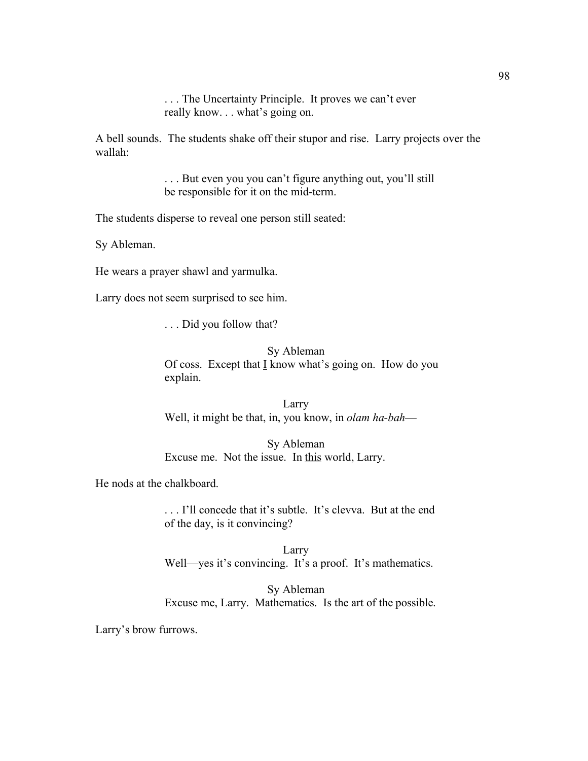. . . The Uncertainty Principle. It proves we can't ever really know. . . what's going on.

A bell sounds. The students shake off their stupor and rise. Larry projects over the wallah:

> . . . But even you you can't figure anything out, you'll still be responsible for it on the mid-term.

The students disperse to reveal one person still seated:

Sy Ableman.

He wears a prayer shawl and yarmulka.

Larry does not seem surprised to see him.

. . . Did you follow that?

Sy Ableman Of coss. Except that  $\underline{I}$  know what's going on. How do you explain.

Larry Well, it might be that, in, you know, in *olam ha-bah*—

Sy Ableman Excuse me. Not the issue. In this world, Larry.

He nods at the chalkboard.

. . . I'll concede that it's subtle. It's clevva. But at the end of the day, is it convincing?

Larry Well—yes it's convincing. It's a proof. It's mathematics.

Sy Ableman Excuse me, Larry. Mathematics. Is the art of the possible.

Larry's brow furrows.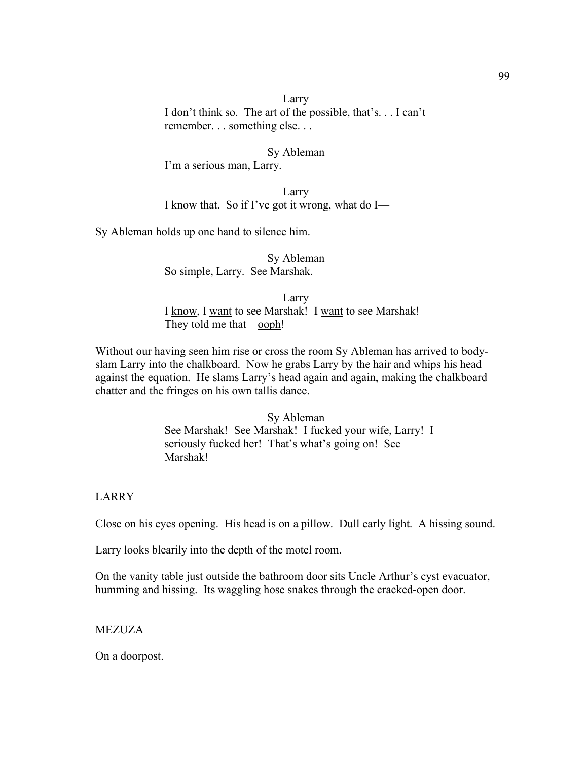# Larry

I don't think so. The art of the possible, that's. . . I can't remember. . . something else. . .

# Sy Ableman

I'm a serious man, Larry.

Larry I know that. So if I've got it wrong, what do I—

Sy Ableman holds up one hand to silence him.

Sy Ableman So simple, Larry. See Marshak.

Larry I know, I want to see Marshak! I want to see Marshak! They told me that—ooph!

Without our having seen him rise or cross the room Sy Ableman has arrived to bodyslam Larry into the chalkboard. Now he grabs Larry by the hair and whips his head against the equation. He slams Larry's head again and again, making the chalkboard chatter and the fringes on his own tallis dance.

> Sy Ableman See Marshak! See Marshak! I fucked your wife, Larry! I seriously fucked her! That's what's going on! See Marshak!

# LARRY

Close on his eyes opening. His head is on a pillow. Dull early light. A hissing sound.

Larry looks blearily into the depth of the motel room.

On the vanity table just outside the bathroom door sits Uncle Arthur's cyst evacuator, humming and hissing. Its waggling hose snakes through the cracked-open door.

### MEZUZA

On a doorpost.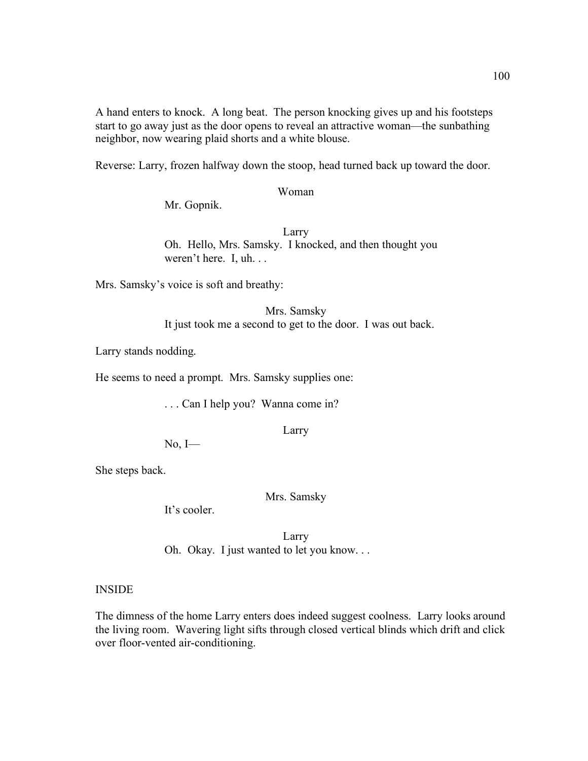A hand enters to knock. A long beat. The person knocking gives up and his footsteps start to go away just as the door opens to reveal an attractive woman—the sunbathing neighbor, now wearing plaid shorts and a white blouse.

Reverse: Larry, frozen halfway down the stoop, head turned back up toward the door.

Woman

Mr. Gopnik.

Larry

Oh. Hello, Mrs. Samsky. I knocked, and then thought you weren't here. I, uh. . .

Mrs. Samsky's voice is soft and breathy:

Mrs. Samsky It just took me a second to get to the door. I was out back.

Larry stands nodding.

He seems to need a prompt. Mrs. Samsky supplies one:

. . . Can I help you? Wanna come in?

Larry

No, I—

She steps back.

Mrs. Samsky

It's cooler.

Larry Oh. Okay. I just wanted to let you know. . .

#### INSIDE

The dimness of the home Larry enters does indeed suggest coolness. Larry looks around the living room. Wavering light sifts through closed vertical blinds which drift and click over floor-vented air-conditioning.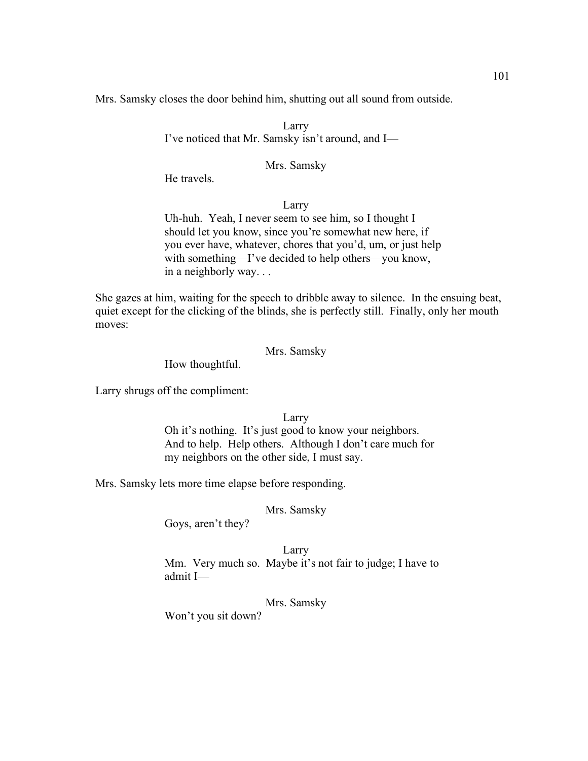Mrs. Samsky closes the door behind him, shutting out all sound from outside.

Larry I've noticed that Mr. Samsky isn't around, and I—

Mrs. Samsky

He travels.

Larry

Uh-huh. Yeah, I never seem to see him, so I thought I should let you know, since you're somewhat new here, if you ever have, whatever, chores that you'd, um, or just help with something—I've decided to help others—you know, in a neighborly way. . .

She gazes at him, waiting for the speech to dribble away to silence. In the ensuing beat, quiet except for the clicking of the blinds, she is perfectly still. Finally, only her mouth moves:

# Mrs. Samsky

How thoughtful.

Larry shrugs off the compliment:

Larry Oh it's nothing. It's just good to know your neighbors. And to help. Help others. Although I don't care much for my neighbors on the other side, I must say.

Mrs. Samsky lets more time elapse before responding.

### Mrs. Samsky

Goys, aren't they?

Larry Mm. Very much so. Maybe it's not fair to judge; I have to admit I—

Mrs. Samsky

Won't you sit down?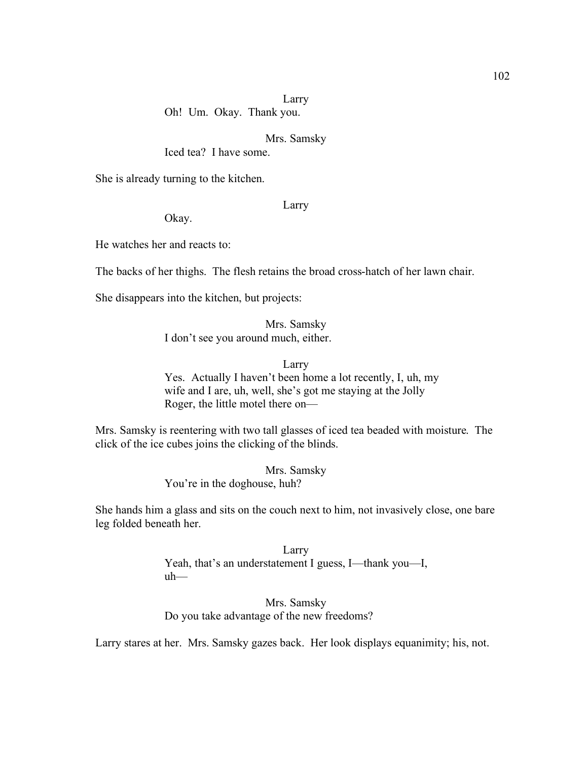Larry

Oh! Um. Okay. Thank you.

Mrs. Samsky

Iced tea? I have some.

She is already turning to the kitchen.

# Larry

Okay.

He watches her and reacts to:

The backs of her thighs. The flesh retains the broad cross-hatch of her lawn chair.

She disappears into the kitchen, but projects:

Mrs. Samsky I don't see you around much, either.

Larry

Yes. Actually I haven't been home a lot recently, I, uh, my wife and I are, uh, well, she's got me staying at the Jolly Roger, the little motel there on—

Mrs. Samsky is reentering with two tall glasses of iced tea beaded with moisture. The click of the ice cubes joins the clicking of the blinds.

> Mrs. Samsky You're in the doghouse, huh?

She hands him a glass and sits on the couch next to him, not invasively close, one bare leg folded beneath her.

> Larry Yeah, that's an understatement I guess, I—thank you—I, uh—

Mrs. Samsky Do you take advantage of the new freedoms?

Larry stares at her. Mrs. Samsky gazes back. Her look displays equanimity; his, not.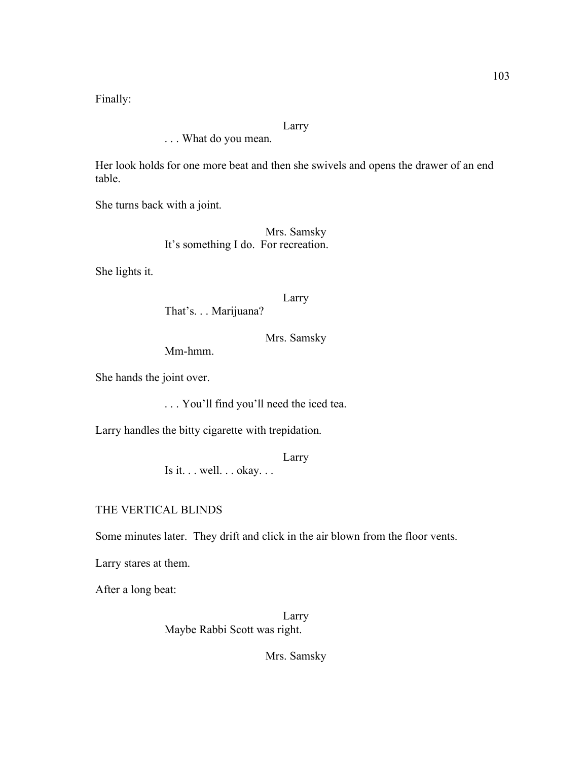Finally:

### Larry

. . . What do you mean.

Her look holds for one more beat and then she swivels and opens the drawer of an end table.

She turns back with a joint.

Mrs. Samsky It's something I do. For recreation.

She lights it.

Larry

That's. . . Marijuana?

Mrs. Samsky

Mm-hmm.

She hands the joint over.

. . . You'll find you'll need the iced tea.

Larry handles the bitty cigarette with trepidation.

Larry

Is it. . . well. . . okay. . .

# THE VERTICAL BLINDS

Some minutes later. They drift and click in the air blown from the floor vents.

Larry stares at them.

After a long beat:

Larry Maybe Rabbi Scott was right.

Mrs. Samsky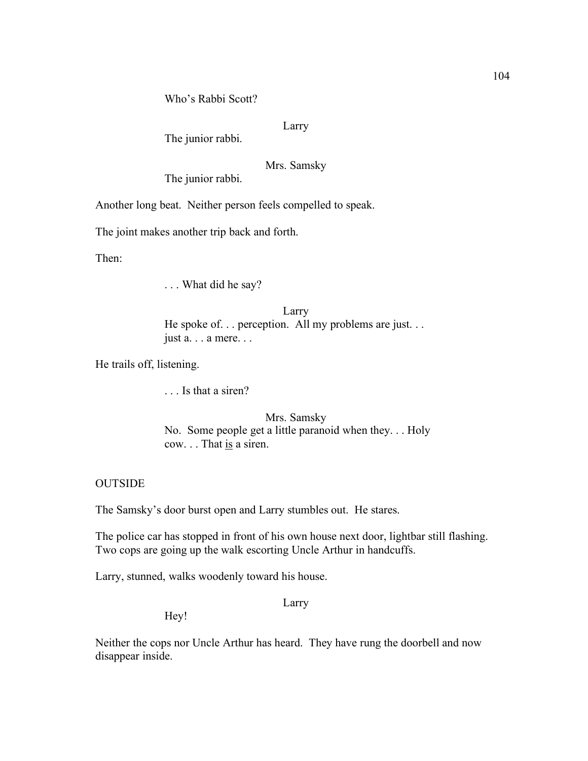Who's Rabbi Scott?

# Larry

The junior rabbi.

Mrs. Samsky

The junior rabbi.

Another long beat. Neither person feels compelled to speak.

The joint makes another trip back and forth.

Then:

. . . What did he say?

Larry He spoke of. . . perception. All my problems are just. . . just a. . . a mere. . .

He trails off, listening.

. . . Is that a siren?

Mrs. Samsky No. Some people get a little paranoid when they. . . Holy cow. . . That is a siren.

# **OUTSIDE**

The Samsky's door burst open and Larry stumbles out. He stares.

The police car has stopped in front of his own house next door, lightbar still flashing. Two cops are going up the walk escorting Uncle Arthur in handcuffs.

Larry, stunned, walks woodenly toward his house.

Larry

Hey!

Neither the cops nor Uncle Arthur has heard. They have rung the doorbell and now disappear inside.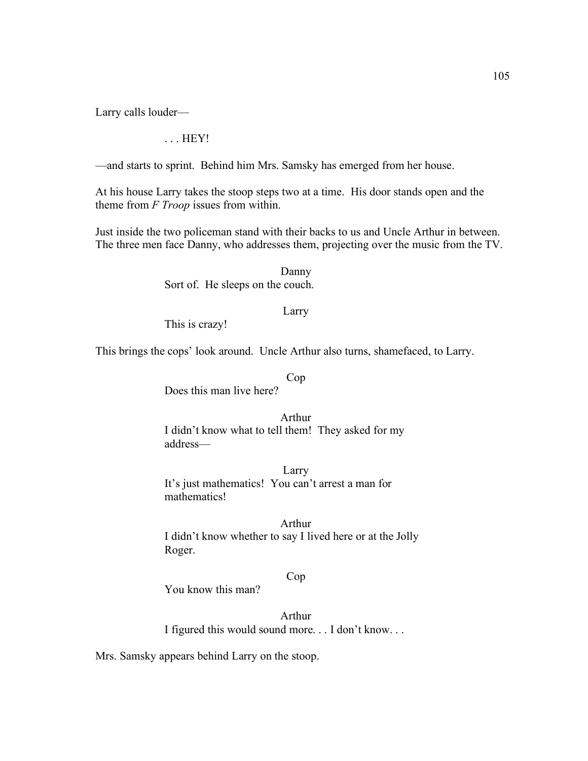Larry calls louder—

. . . HEY!

—and starts to sprint. Behind him Mrs. Samsky has emerged from her house.

At his house Larry takes the stoop steps two at a time. His door stands open and the theme from *F Troop* issues from within.

Just inside the two policeman stand with their backs to us and Uncle Arthur in between. The three men face Danny, who addresses them, projecting over the music from the TV.

> Danny Sort of. He sleeps on the couch.

> > Larry

This is crazy!

This brings the cops' look around. Uncle Arthur also turns, shamefaced, to Larry.

Cop

Does this man live here?

Arthur I didn't know what to tell them! They asked for my address—

Larry It's just mathematics! You can't arrest a man for mathematics!

Arthur

I didn't know whether to say I lived here or at the Jolly Roger.

Cop

You know this man?

Arthur I figured this would sound more. . . I don't know. . .

Mrs. Samsky appears behind Larry on the stoop.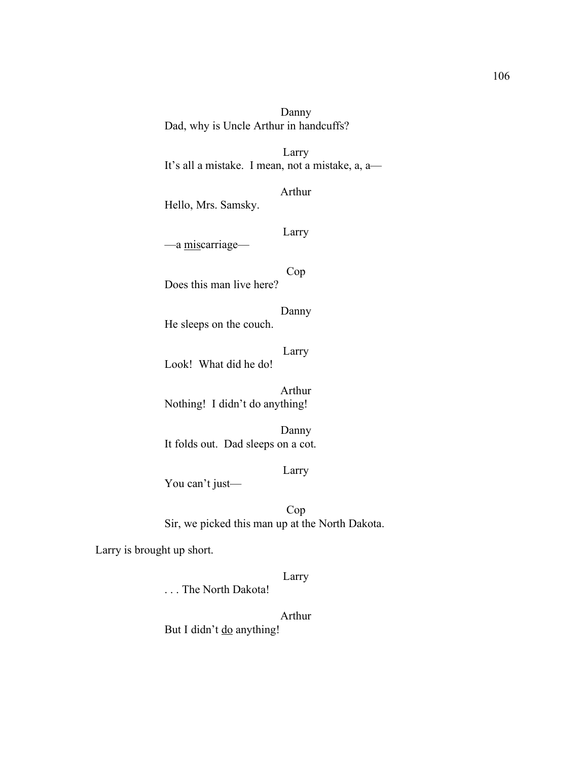Danny Dad, why is Uncle Arthur in handcuffs?

Larry It's all a mistake. I mean, not a mistake, a, a—

Arthur

Hello, Mrs. Samsky.

Larry

Larry

—a miscarriage—

Cop Does this man live here?

Danny He sleeps on the couch.

Look! What did he do!

Arthur Nothing! I didn't do anything!

Danny It folds out. Dad sleeps on a cot.

Larry

You can't just—

Cop Sir, we picked this man up at the North Dakota.

Larry is brought up short.

### Larry

. . . The North Dakota!

Arthur

But I didn't do anything!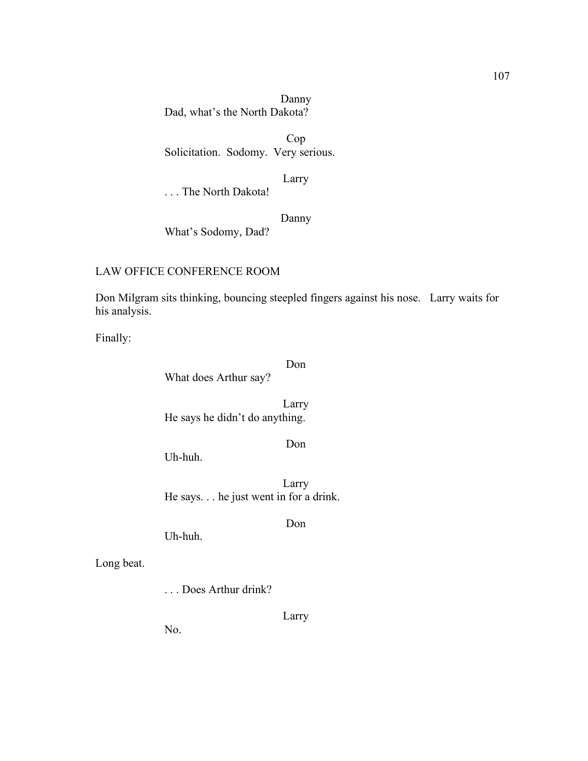Danny Dad, what's the North Dakota?

Cop Solicitation. Sodomy. Very serious.

. . . The North Dakota!

Danny

Larry

What's Sodomy, Dad?

# LAW OFFICE CONFERENCE ROOM

Don Milgram sits thinking, bouncing steepled fingers against his nose. Larry waits for his analysis.

Finally:

Don What does Arthur say?

Larry He says he didn't do anything.

Don

Uh-huh.

Larry He says. . . he just went in for a drink.

Don

Uh-huh.

Long beat.

. . . Does Arthur drink?

Larry

No.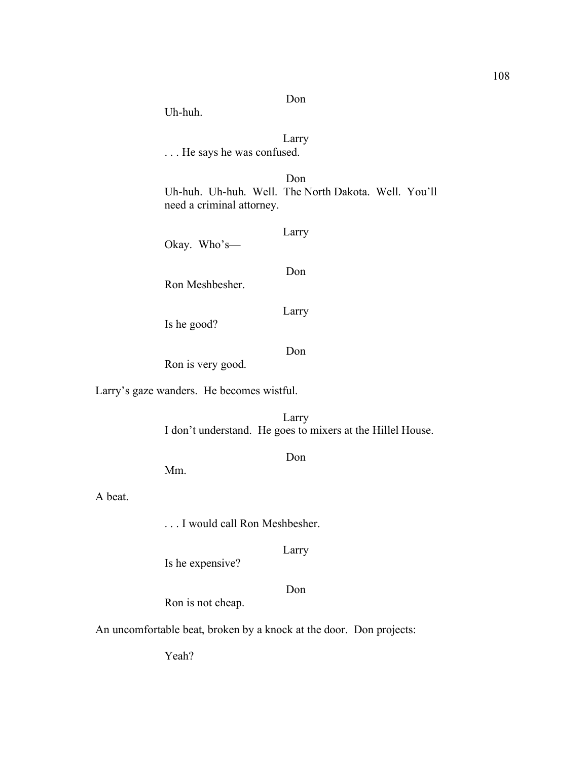Larry . . . He says he was confused.

Don Uh-huh. Uh-huh. Well. The North Dakota. Well. You'll need a criminal attorney.

Don

Okay. Who's—

Uh-huh.

Don

Larry

Ron Meshbesher.

Larry

Is he good?

Don

Ron is very good.

Larry's gaze wanders. He becomes wistful.

Larry I don't understand. He goes to mixers at the Hillel House.

Don

Mm.

A beat.

. . . I would call Ron Meshbesher.

Larry

Is he expensive?

## Don

Ron is not cheap.

An uncomfortable beat, broken by a knock at the door. Don projects:

Yeah?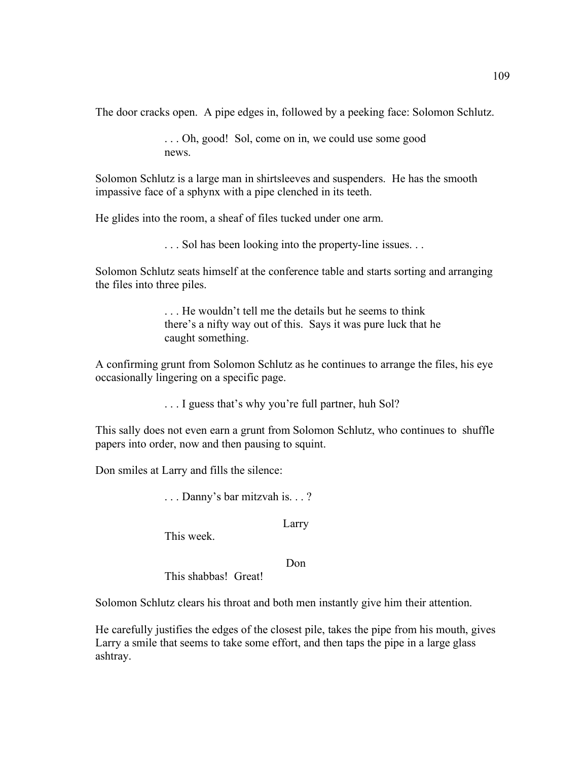The door cracks open. A pipe edges in, followed by a peeking face: Solomon Schlutz.

. . . Oh, good! Sol, come on in, we could use some good news.

Solomon Schlutz is a large man in shirtsleeves and suspenders. He has the smooth impassive face of a sphynx with a pipe clenched in its teeth.

He glides into the room, a sheaf of files tucked under one arm.

. . . Sol has been looking into the property-line issues. . .

Solomon Schlutz seats himself at the conference table and starts sorting and arranging the files into three piles.

> . . . He wouldn't tell me the details but he seems to think there's a nifty way out of this. Says it was pure luck that he caught something.

A confirming grunt from Solomon Schlutz as he continues to arrange the files, his eye occasionally lingering on a specific page.

. . . I guess that's why you're full partner, huh Sol?

This sally does not even earn a grunt from Solomon Schlutz, who continues to shuffle papers into order, now and then pausing to squint.

Don smiles at Larry and fills the silence:

. . . Danny's bar mitzvah is. . . ?

Larry

This week.

#### Don

This shabbas! Great!

Solomon Schlutz clears his throat and both men instantly give him their attention.

He carefully justifies the edges of the closest pile, takes the pipe from his mouth, gives Larry a smile that seems to take some effort, and then taps the pipe in a large glass ashtray.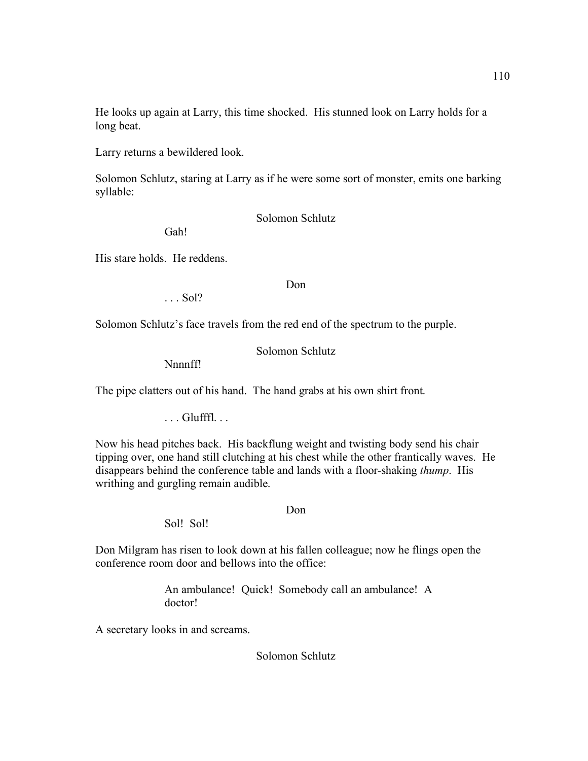He looks up again at Larry, this time shocked. His stunned look on Larry holds for a

Larry returns a bewildered look.

long beat.

Solomon Schlutz, staring at Larry as if he were some sort of monster, emits one barking syllable:

Solomon Schlutz

Gah!

His stare holds. He reddens.

Don

. . . Sol?

Solomon Schlutz's face travels from the red end of the spectrum to the purple.

Solomon Schlutz

Nnnnff!

The pipe clatters out of his hand. The hand grabs at his own shirt front.

. . . Glufffl. . .

Now his head pitches back. His backflung weight and twisting body send his chair tipping over, one hand still clutching at his chest while the other frantically waves. He disappears behind the conference table and lands with a floor-shaking *thump*. His writhing and gurgling remain audible.

Sol! Sol!

Don

Don Milgram has risen to look down at his fallen colleague; now he flings open the conference room door and bellows into the office:

> An ambulance! Quick! Somebody call an ambulance! A doctor!

A secretary looks in and screams.

Solomon Schlutz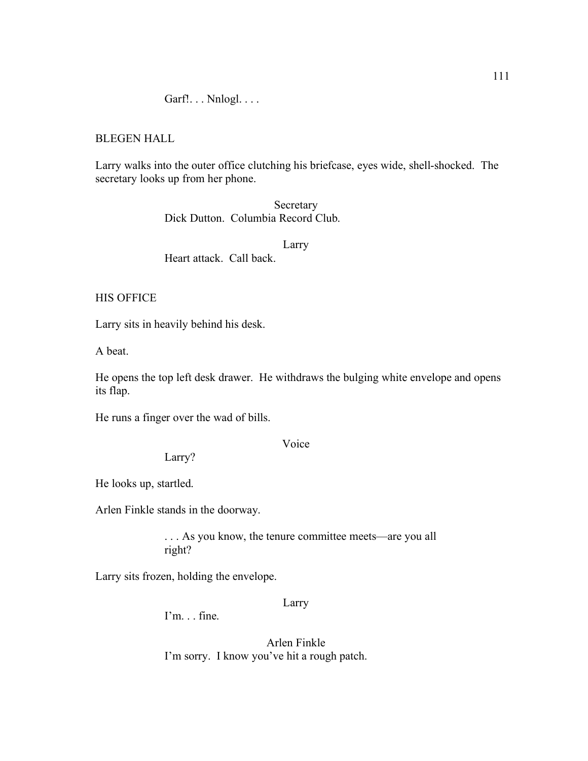Garf!... Nnlogl....

## BLEGEN HALL

Larry walks into the outer office clutching his briefcase, eyes wide, shell-shocked. The secretary looks up from her phone.

> Secretary Dick Dutton. Columbia Record Club.

> > Larry

Heart attack. Call back.

#### HIS OFFICE

Larry sits in heavily behind his desk.

A beat.

He opens the top left desk drawer. He withdraws the bulging white envelope and opens its flap.

He runs a finger over the wad of bills.

## Voice

Larry?

He looks up, startled.

Arlen Finkle stands in the doorway.

. . . As you know, the tenure committee meets—are you all right?

Larry sits frozen, holding the envelope.

Larry

I'm. . . fine.

Arlen Finkle I'm sorry. I know you've hit a rough patch.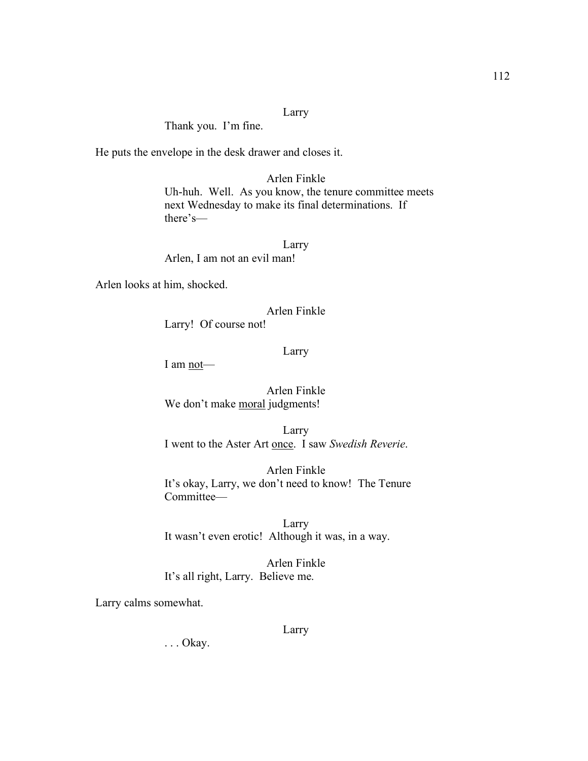#### Larry

Thank you. I'm fine.

He puts the envelope in the desk drawer and closes it.

Arlen Finkle Uh-huh. Well. As you know, the tenure committee meets next Wednesday to make its final determinations. If there's—

Larry Arlen, I am not an evil man!

Arlen looks at him, shocked.

Arlen Finkle

Larry! Of course not!

## Larry

I am not-

Arlen Finkle We don't make moral judgments!

Larry I went to the Aster Art once. I saw *Swedish Reverie*.

Arlen Finkle It's okay, Larry, we don't need to know! The Tenure Committee—

Larry It wasn't even erotic! Although it was, in a way.

Arlen Finkle It's all right, Larry. Believe me.

Larry calms somewhat.

Larry

. . . Okay.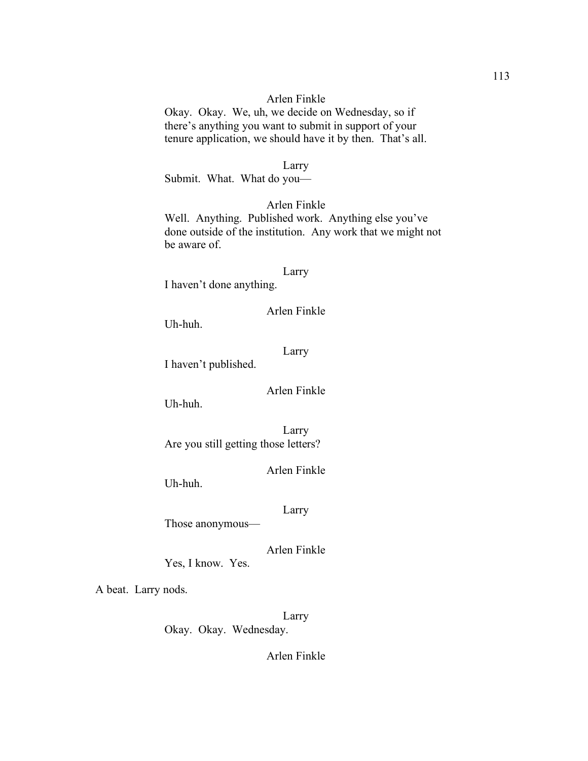#### Arlen Finkle

Okay. Okay. We, uh, we decide on Wednesday, so if there's anything you want to submit in support of your tenure application, we should have it by then. That's all.

#### Larry

Submit. What. What do you—

#### Arlen Finkle

Well. Anything. Published work. Anything else you've done outside of the institution. Any work that we might not be aware of.

#### Larry

I haven't done anything.

## Arlen Finkle

Uh-huh.

#### Larry

I haven't published.

Arlen Finkle

Uh-huh.

Larry Are you still getting those letters?

Arlen Finkle

Uh-huh.

Larry

Those anonymous—

Arlen Finkle

Yes, I know. Yes.

A beat. Larry nods.

Larry Okay. Okay. Wednesday.

Arlen Finkle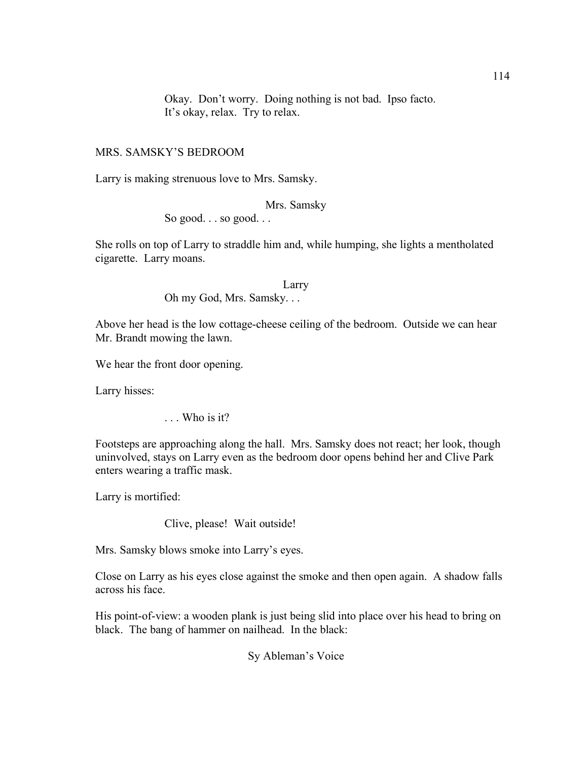Okay. Don't worry. Doing nothing is not bad. Ipso facto. It's okay, relax. Try to relax.

## MRS. SAMSKY'S BEDROOM

Larry is making strenuous love to Mrs. Samsky.

## Mrs. Samsky

So good... so good...

She rolls on top of Larry to straddle him and, while humping, she lights a mentholated cigarette. Larry moans.

#### Larry

Oh my God, Mrs. Samsky. . .

Above her head is the low cottage-cheese ceiling of the bedroom. Outside we can hear Mr. Brandt mowing the lawn.

We hear the front door opening.

Larry hisses:

 $\ldots$  Who is it?

Footsteps are approaching along the hall. Mrs. Samsky does not react; her look, though uninvolved, stays on Larry even as the bedroom door opens behind her and Clive Park enters wearing a traffic mask.

Larry is mortified:

Clive, please! Wait outside!

Mrs. Samsky blows smoke into Larry's eyes.

Close on Larry as his eyes close against the smoke and then open again. A shadow falls across his face.

His point-of-view: a wooden plank is just being slid into place over his head to bring on black. The bang of hammer on nailhead. In the black:

Sy Ableman's Voice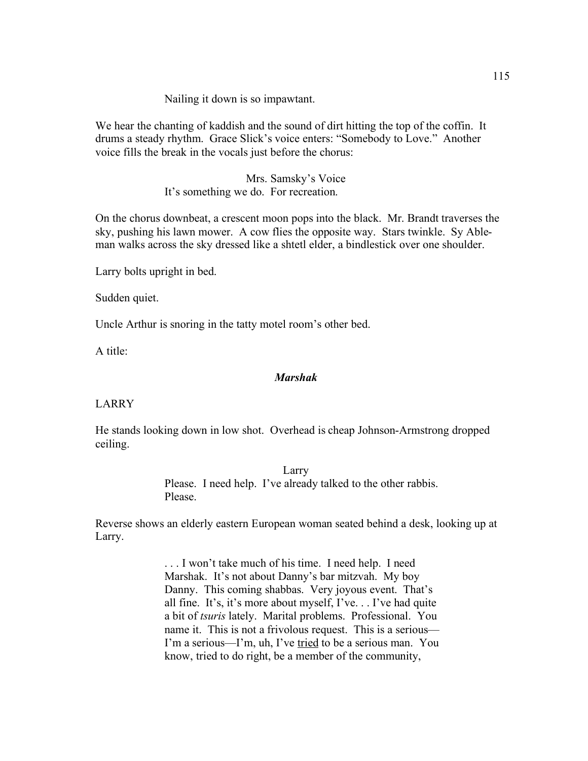Nailing it down is so impawtant.

We hear the chanting of kaddish and the sound of dirt hitting the top of the coffin. It drums a steady rhythm. Grace Slick's voice enters: "Somebody to Love." Another voice fills the break in the vocals just before the chorus:

> Mrs. Samsky's Voice It's something we do. For recreation.

On the chorus downbeat, a crescent moon pops into the black. Mr. Brandt traverses the sky, pushing his lawn mower. A cow flies the opposite way. Stars twinkle. Sy Ableman walks across the sky dressed like a shtetl elder, a bindlestick over one shoulder.

Larry bolts upright in bed.

Sudden quiet.

Uncle Arthur is snoring in the tatty motel room's other bed.

A title:

## *Marshak*

#### LARRY

He stands looking down in low shot. Overhead is cheap Johnson-Armstrong dropped ceiling.

#### Larry

Please. I need help. I've already talked to the other rabbis. Please.

Reverse shows an elderly eastern European woman seated behind a desk, looking up at Larry.

> . . . I won't take much of his time. I need help. I need Marshak. It's not about Danny's bar mitzvah. My boy Danny. This coming shabbas. Very joyous event. That's all fine. It's, it's more about myself, I've. . . I've had quite a bit of *tsuris* lately. Marital problems. Professional. You name it. This is not a frivolous request. This is a serious— I'm a serious—I'm, uh, I've tried to be a serious man. You know, tried to do right, be a member of the community,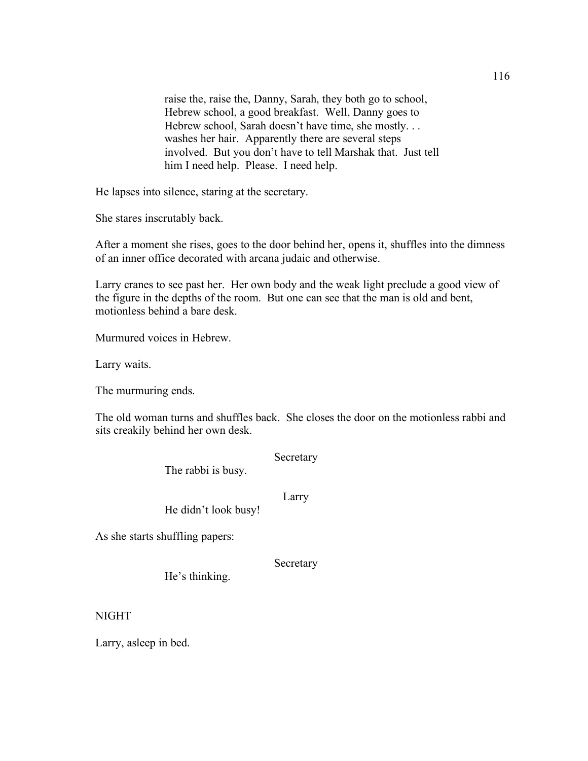raise the, raise the, Danny, Sarah, they both go to school, Hebrew school, a good breakfast. Well, Danny goes to Hebrew school, Sarah doesn't have time, she mostly. . . washes her hair. Apparently there are several steps involved. But you don't have to tell Marshak that. Just tell him I need help. Please. I need help.

He lapses into silence, staring at the secretary.

She stares inscrutably back.

After a moment she rises, goes to the door behind her, opens it, shuffles into the dimness of an inner office decorated with arcana judaic and otherwise.

Larry cranes to see past her. Her own body and the weak light preclude a good view of the figure in the depths of the room. But one can see that the man is old and bent, motionless behind a bare desk.

Murmured voices in Hebrew.

Larry waits.

The murmuring ends.

The old woman turns and shuffles back. She closes the door on the motionless rabbi and sits creakily behind her own desk.

**Secretary** 

The rabbi is busy.

Larry

He didn't look busy!

As she starts shuffling papers:

Secretary

He's thinking.

NIGHT

Larry, asleep in bed.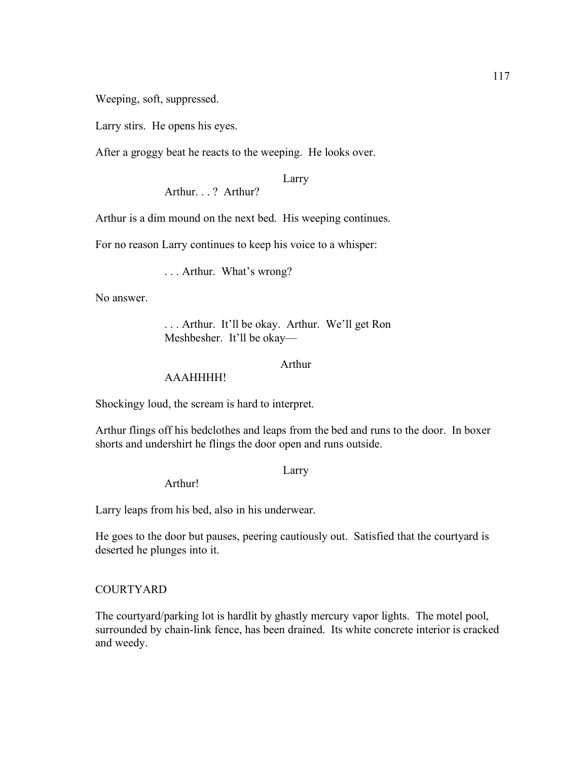Weeping, soft, suppressed.

Larry stirs. He opens his eyes.

After a groggy beat he reacts to the weeping. He looks over.

#### Larry

Arthur. . . ? Arthur?

Arthur is a dim mound on the next bed. His weeping continues.

For no reason Larry continues to keep his voice to a whisper:

. . . Arthur. What's wrong?

No answer.

. . . Arthur. It'll be okay. Arthur. We'll get Ron Meshbesher. It'll be okay—

## Arthur

AAAHHHH!

Shockingy loud, the scream is hard to interpret.

Arthur flings off his bedclothes and leaps from the bed and runs to the door. In boxer shorts and undershirt he flings the door open and runs outside.

Larry

Arthur!

Larry leaps from his bed, also in his underwear.

He goes to the door but pauses, peering cautiously out. Satisfied that the courtyard is deserted he plunges into it.

## **COURTYARD**

The courtyard/parking lot is hardlit by ghastly mercury vapor lights. The motel pool, surrounded by chain-link fence, has been drained. Its white concrete interior is cracked and weedy.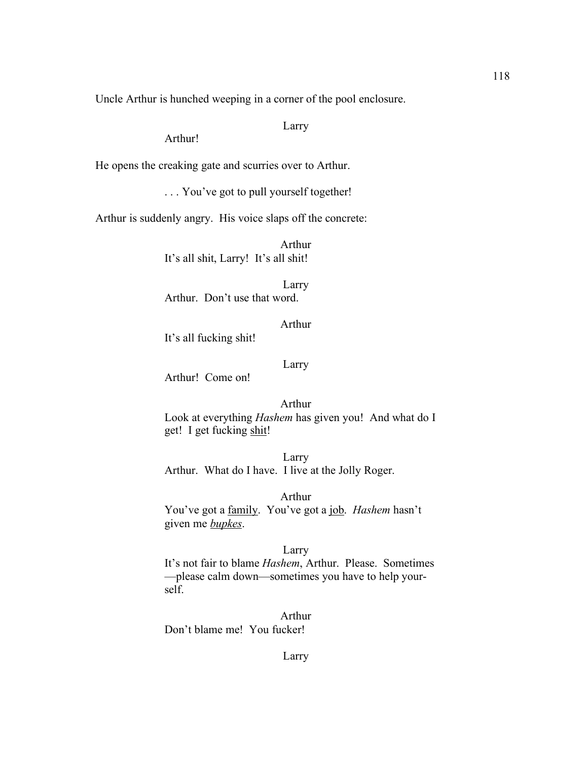Uncle Arthur is hunched weeping in a corner of the pool enclosure.

Larry

Arthur!

He opens the creaking gate and scurries over to Arthur.

. . . You've got to pull yourself together!

Arthur is suddenly angry. His voice slaps off the concrete:

Arthur It's all shit, Larry! It's all shit!

Larry Arthur. Don't use that word.

Arthur

It's all fucking shit!

## Larry

Arthur! Come on!

Arthur

Look at everything *Hashem* has given you! And what do I get! I get fucking shit!

Larry Arthur. What do I have. I live at the Jolly Roger.

Arthur

You've got a family. You've got a job. *Hashem* hasn't given me *bupkes*.

#### Larry

It's not fair to blame *Hashem*, Arthur. Please. Sometimes —please calm down—sometimes you have to help yourself.

Arthur Don't blame me! You fucker!

Larry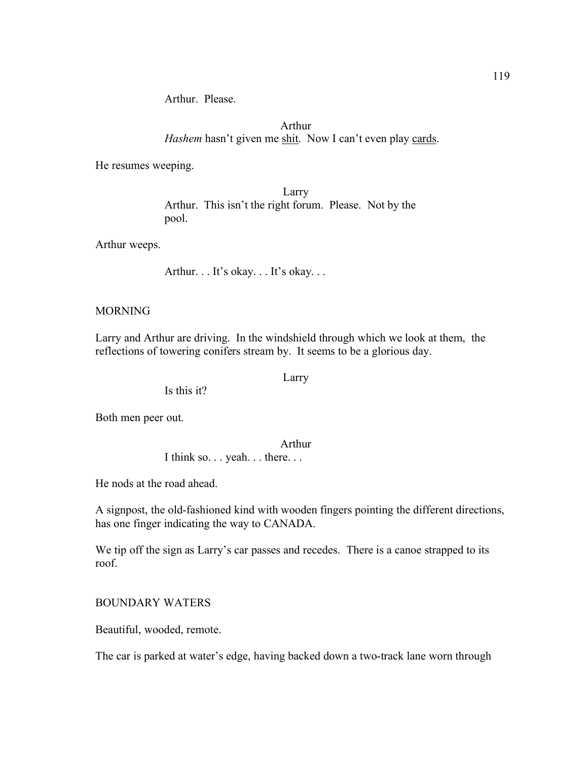Arthur. Please.

Arthur *Hashem* hasn't given me shit. Now I can't even play cards.

He resumes weeping.

Larry Arthur. This isn't the right forum. Please. Not by the pool.

Arthur weeps.

Arthur. . . It's okay. . . It's okay. . .

#### MORNING

Larry and Arthur are driving. In the windshield through which we look at them, the reflections of towering conifers stream by. It seems to be a glorious day.

Larry

Is this it?

Both men peer out.

Arthur I think so. . . yeah. . . there. . .

He nods at the road ahead.

A signpost, the old-fashioned kind with wooden fingers pointing the different directions, has one finger indicating the way to CANADA.

We tip off the sign as Larry's car passes and recedes. There is a canoe strapped to its roof.

BOUNDARY WATERS

Beautiful, wooded, remote.

The car is parked at water's edge, having backed down a two-track lane worn through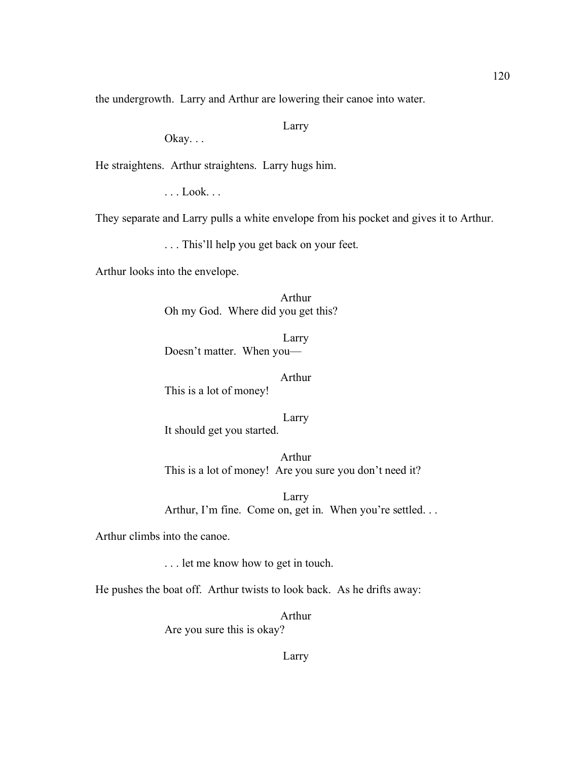the undergrowth. Larry and Arthur are lowering their canoe into water.

Larry

Okay...

He straightens. Arthur straightens. Larry hugs him.

. . . Look. . .

They separate and Larry pulls a white envelope from his pocket and gives it to Arthur.

. . . This'll help you get back on your feet.

Arthur looks into the envelope.

Arthur Oh my God. Where did you get this?

Larry Doesn't matter. When you—

#### Arthur

This is a lot of money!

Larry

It should get you started.

Arthur This is a lot of money! Are you sure you don't need it?

Larry Arthur, I'm fine. Come on, get in. When you're settled...

Arthur climbs into the canoe.

. . . let me know how to get in touch.

He pushes the boat off. Arthur twists to look back. As he drifts away:

Arthur Are you sure this is okay?

Larry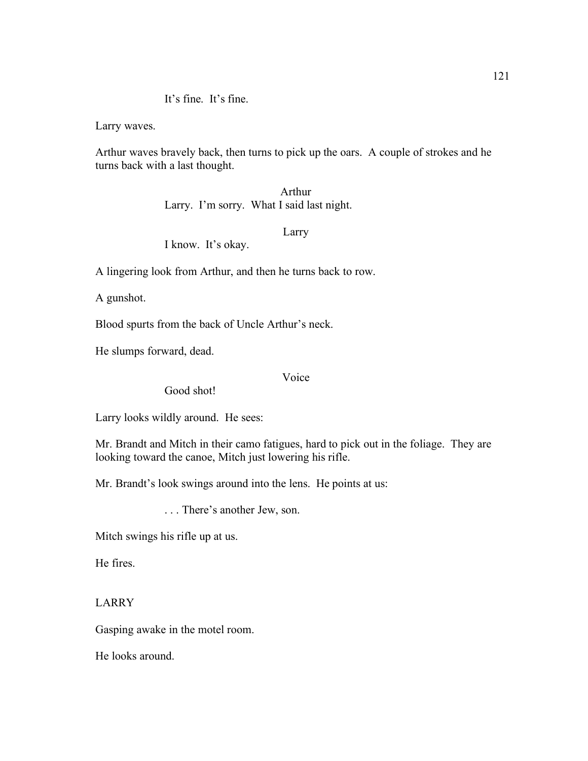It's fine. It's fine.

Larry waves.

Arthur waves bravely back, then turns to pick up the oars. A couple of strokes and he turns back with a last thought.

> Arthur Larry. I'm sorry. What I said last night.

> > Larry

I know. It's okay.

A lingering look from Arthur, and then he turns back to row.

A gunshot.

Blood spurts from the back of Uncle Arthur's neck.

He slumps forward, dead.

#### Voice

Good shot!

Larry looks wildly around. He sees:

Mr. Brandt and Mitch in their camo fatigues, hard to pick out in the foliage. They are looking toward the canoe, Mitch just lowering his rifle.

Mr. Brandt's look swings around into the lens. He points at us:

. . . There's another Jew, son.

Mitch swings his rifle up at us.

He fires.

## LARRY

Gasping awake in the motel room.

He looks around.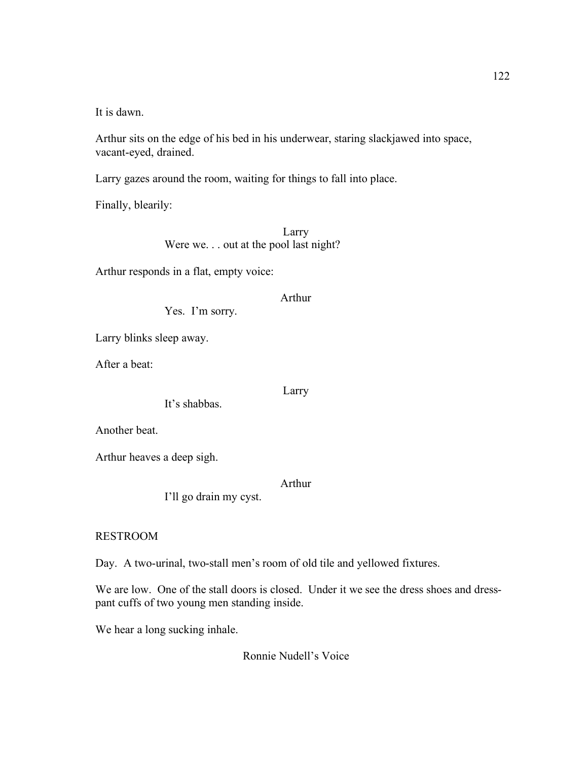It is dawn.

Arthur sits on the edge of his bed in his underwear, staring slackjawed into space, vacant-eyed, drained.

Larry gazes around the room, waiting for things to fall into place.

Finally, blearily:

Larry Were we... out at the pool last night?

Arthur responds in a flat, empty voice:

#### Arthur

Yes. I'm sorry.

It's shabbas.

Larry blinks sleep away.

After a beat:

Larry

Another beat.

Arthur heaves a deep sigh.

Arthur

I'll go drain my cyst.

#### RESTROOM

Day. A two-urinal, two-stall men's room of old tile and yellowed fixtures.

We are low. One of the stall doors is closed. Under it we see the dress shoes and dresspant cuffs of two young men standing inside.

We hear a long sucking inhale.

Ronnie Nudell's Voice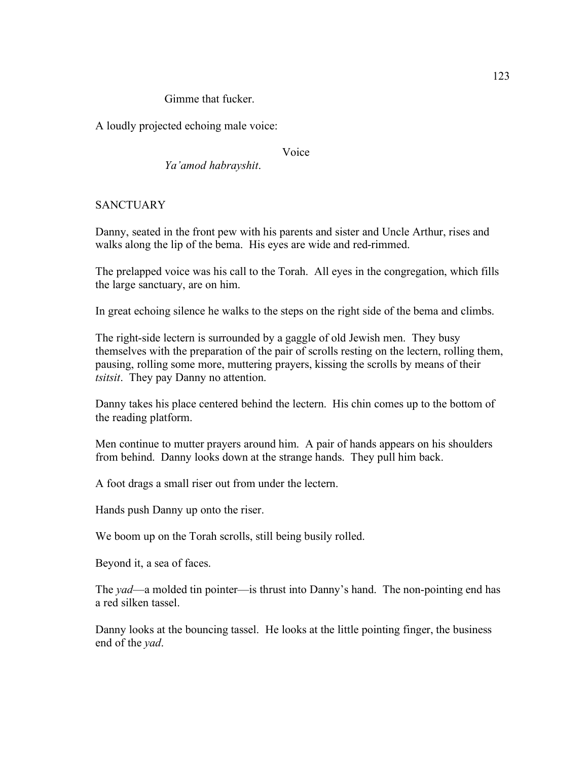Gimme that fucker.

A loudly projected echoing male voice:

Voice

*Ya'amod habrayshit*.

## **SANCTUARY**

Danny, seated in the front pew with his parents and sister and Uncle Arthur, rises and walks along the lip of the bema. His eyes are wide and red-rimmed.

The prelapped voice was his call to the Torah. All eyes in the congregation, which fills the large sanctuary, are on him.

In great echoing silence he walks to the steps on the right side of the bema and climbs.

The right-side lectern is surrounded by a gaggle of old Jewish men. They busy themselves with the preparation of the pair of scrolls resting on the lectern, rolling them, pausing, rolling some more, muttering prayers, kissing the scrolls by means of their *tsitsit*. They pay Danny no attention.

Danny takes his place centered behind the lectern. His chin comes up to the bottom of the reading platform.

Men continue to mutter prayers around him. A pair of hands appears on his shoulders from behind. Danny looks down at the strange hands. They pull him back.

A foot drags a small riser out from under the lectern.

Hands push Danny up onto the riser.

We boom up on the Torah scrolls, still being busily rolled.

Beyond it, a sea of faces.

The *yad*—a molded tin pointer—is thrust into Danny's hand. The non-pointing end has a red silken tassel.

Danny looks at the bouncing tassel. He looks at the little pointing finger, the business end of the *yad*.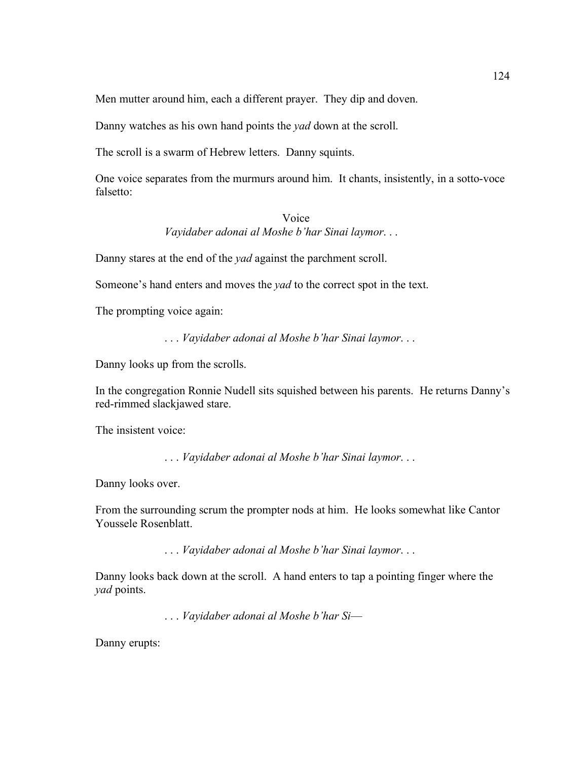Men mutter around him, each a different prayer. They dip and doven.

Danny watches as his own hand points the *yad* down at the scroll.

The scroll is a swarm of Hebrew letters. Danny squints.

One voice separates from the murmurs around him. It chants, insistently, in a sotto-voce falsetto:

# Voice *Vayidaber adonai al Moshe b'har Sinai laymor*. . .

Danny stares at the end of the *yad* against the parchment scroll.

Someone's hand enters and moves the *yad* to the correct spot in the text.

The prompting voice again:

. . . *Vayidaber adonai al Moshe b'har Sinai laymor*. . .

Danny looks up from the scrolls.

In the congregation Ronnie Nudell sits squished between his parents. He returns Danny's red-rimmed slackjawed stare.

The insistent voice:

. . . *Vayidaber adonai al Moshe b'har Sinai laymor*. . .

Danny looks over.

From the surrounding scrum the prompter nods at him. He looks somewhat like Cantor Youssele Rosenblatt.

. . . *Vayidaber adonai al Moshe b'har Sinai laymor*. . .

Danny looks back down at the scroll. A hand enters to tap a pointing finger where the *yad* points.

. . . *Vayidaber adonai al Moshe b'har Si*—

Danny erupts: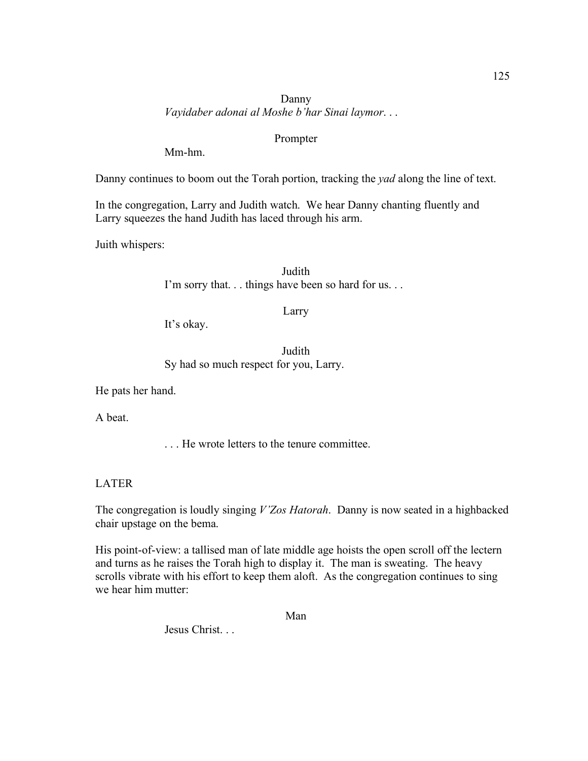*Vayidaber adonai al Moshe b'har Sinai laymor*. . .

## Prompter

Mm-hm.

Danny continues to boom out the Torah portion, tracking the *yad* along the line of text.

In the congregation, Larry and Judith watch. We hear Danny chanting fluently and Larry squeezes the hand Judith has laced through his arm.

Juith whispers:

**Judith** I'm sorry that... things have been so hard for us...

Larry

It's okay.

**Judith** Sy had so much respect for you, Larry.

He pats her hand.

A beat.

. . . He wrote letters to the tenure committee.

## LATER

The congregation is loudly singing *V'Zos Hatorah*. Danny is now seated in a highbacked chair upstage on the bema.

His point-of-view: a tallised man of late middle age hoists the open scroll off the lectern and turns as he raises the Torah high to display it. The man is sweating. The heavy scrolls vibrate with his effort to keep them aloft. As the congregation continues to sing we hear him mutter:

Man

Jesus Christ. . .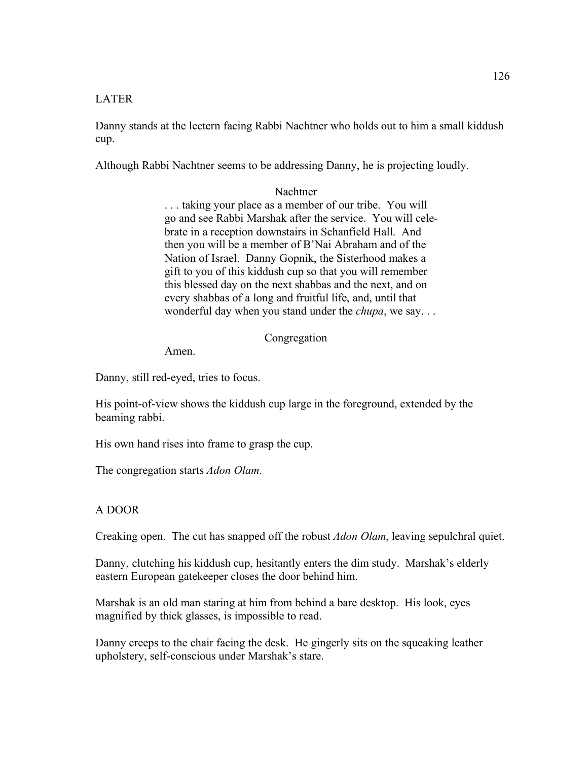#### LATER

Danny stands at the lectern facing Rabbi Nachtner who holds out to him a small kiddush cup.

Although Rabbi Nachtner seems to be addressing Danny, he is projecting loudly.

## Nachtner

. . . taking your place as a member of our tribe. You will go and see Rabbi Marshak after the service. You will celebrate in a reception downstairs in Schanfield Hall. And then you will be a member of B'Nai Abraham and of the Nation of Israel. Danny Gopnik, the Sisterhood makes a gift to you of this kiddush cup so that you will remember this blessed day on the next shabbas and the next, and on every shabbas of a long and fruitful life, and, until that wonderful day when you stand under the *chupa*, we say. . .

## Congregation

Amen.

Danny, still red-eyed, tries to focus.

His point-of-view shows the kiddush cup large in the foreground, extended by the beaming rabbi.

His own hand rises into frame to grasp the cup.

The congregation starts *Adon Olam*.

## A DOOR

Creaking open. The cut has snapped off the robust *Adon Olam*, leaving sepulchral quiet.

Danny, clutching his kiddush cup, hesitantly enters the dim study. Marshak's elderly eastern European gatekeeper closes the door behind him.

Marshak is an old man staring at him from behind a bare desktop. His look, eyes magnified by thick glasses, is impossible to read.

Danny creeps to the chair facing the desk. He gingerly sits on the squeaking leather upholstery, self-conscious under Marshak's stare.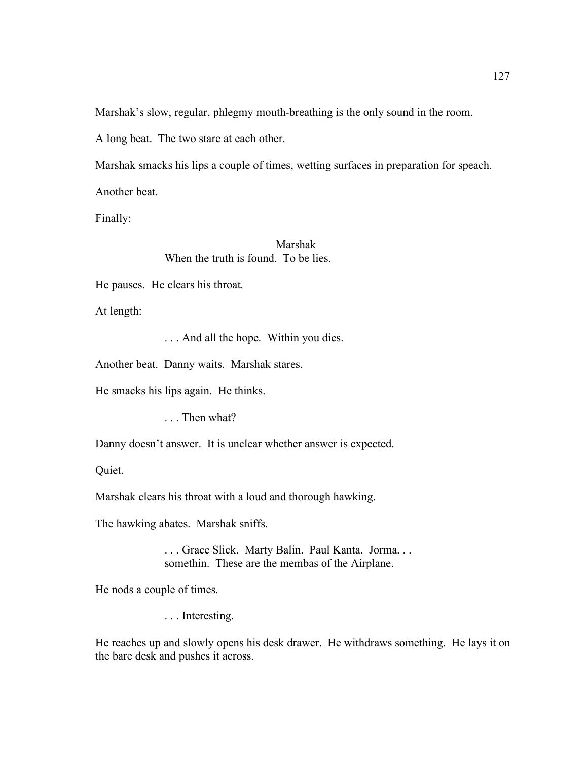Marshak's slow, regular, phlegmy mouth-breathing is the only sound in the room.

A long beat. The two stare at each other.

Marshak smacks his lips a couple of times, wetting surfaces in preparation for speach. Another beat.

Finally:

Marshak When the truth is found. To be lies.

He pauses. He clears his throat.

At length:

. . . And all the hope. Within you dies.

Another beat. Danny waits. Marshak stares.

He smacks his lips again. He thinks.

. . . Then what?

Danny doesn't answer. It is unclear whether answer is expected.

Quiet.

Marshak clears his throat with a loud and thorough hawking.

The hawking abates. Marshak sniffs.

. . . Grace Slick. Marty Balin. Paul Kanta. Jorma. . . somethin. These are the membas of the Airplane.

He nods a couple of times.

. . . Interesting.

He reaches up and slowly opens his desk drawer. He withdraws something. He lays it on the bare desk and pushes it across.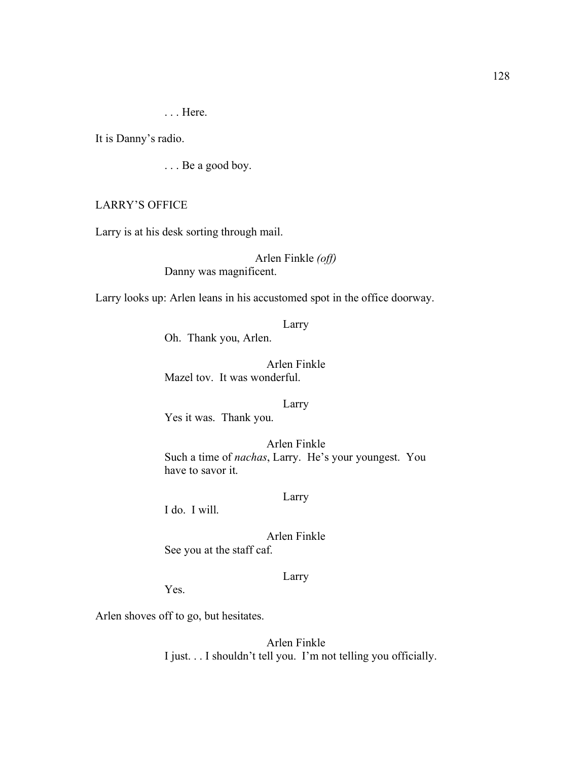. . . Here.

It is Danny's radio.

. . . Be a good boy.

## LARRY'S OFFICE

Larry is at his desk sorting through mail.

Arlen Finkle *(off)* Danny was magnificent.

Larry looks up: Arlen leans in his accustomed spot in the office doorway.

Larry

Oh. Thank you, Arlen.

Arlen Finkle Mazel tov. It was wonderful.

#### Larry

Yes it was. Thank you.

Arlen Finkle Such a time of *nachas*, Larry. He's your youngest. You have to savor it.

## Larry

I do. I will.

Arlen Finkle See you at the staff caf.

## Larry

Yes.

Arlen shoves off to go, but hesitates.

Arlen Finkle I just. . . I shouldn't tell you. I'm not telling you officially.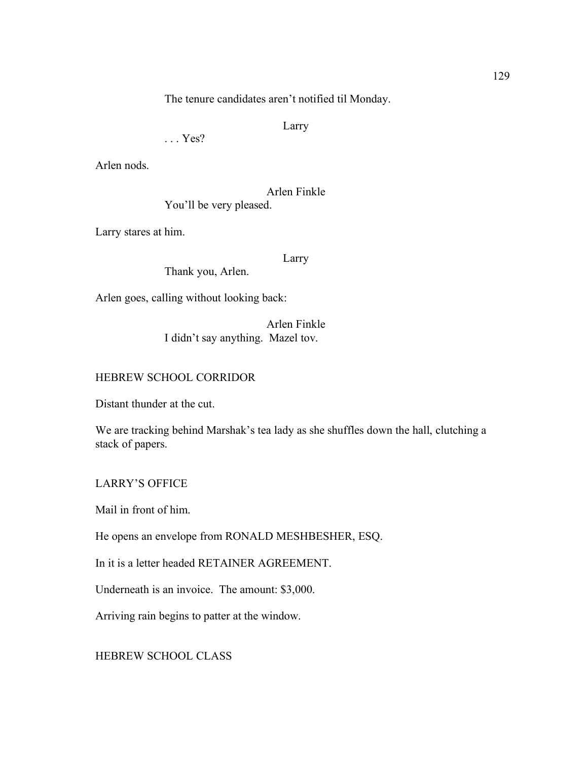The tenure candidates aren't notified til Monday.

Larry

. . . Yes?

Arlen nods.

Arlen Finkle

You'll be very pleased.

Larry stares at him.

Larry

Thank you, Arlen.

Arlen goes, calling without looking back:

Arlen Finkle I didn't say anything. Mazel tov.

## HEBREW SCHOOL CORRIDOR

Distant thunder at the cut.

We are tracking behind Marshak's tea lady as she shuffles down the hall, clutching a stack of papers.

LARRY'S OFFICE

Mail in front of him.

He opens an envelope from RONALD MESHBESHER, ESQ.

In it is a letter headed RETAINER AGREEMENT.

Underneath is an invoice. The amount: \$3,000.

Arriving rain begins to patter at the window.

# HEBREW SCHOOL CLASS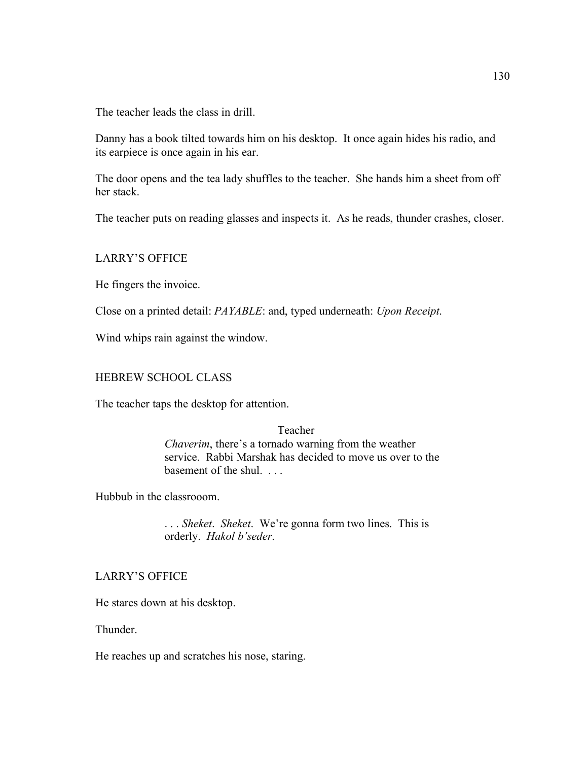The teacher leads the class in drill.

Danny has a book tilted towards him on his desktop. It once again hides his radio, and its earpiece is once again in his ear.

The door opens and the tea lady shuffles to the teacher. She hands him a sheet from off her stack.

The teacher puts on reading glasses and inspects it. As he reads, thunder crashes, closer.

## LARRY'S OFFICE

He fingers the invoice.

Close on a printed detail: *PAYABLE*: and, typed underneath: *Upon Receipt*.

Wind whips rain against the window.

## HEBREW SCHOOL CLASS

The teacher taps the desktop for attention.

Teacher *Chaverim*, there's a tornado warning from the weather service. Rabbi Marshak has decided to move us over to the basement of the shul. . . .

Hubbub in the classrooom.

. . . *Sheket*. *Sheket*. We're gonna form two lines. This is orderly. *Hakol b'seder*.

## LARRY'S OFFICE

He stares down at his desktop.

Thunder.

He reaches up and scratches his nose, staring.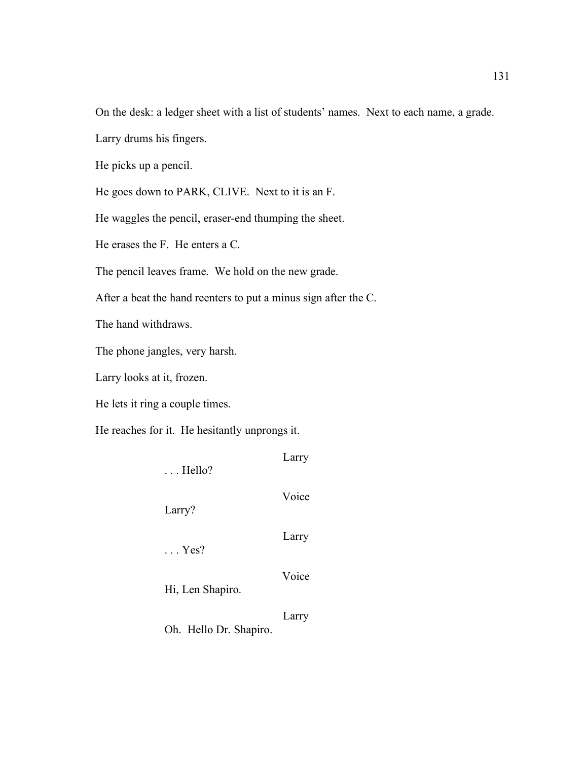On the desk: a ledger sheet with a list of students' names. Next to each name, a grade.

Larry drums his fingers.

He picks up a pencil.

He goes down to PARK, CLIVE. Next to it is an F.

He waggles the pencil, eraser-end thumping the sheet.

He erases the F. He enters a C.

The pencil leaves frame. We hold on the new grade.

After a beat the hand reenters to put a minus sign after the C.

The hand withdraws.

The phone jangles, very harsh.

Larry looks at it, frozen.

He lets it ring a couple times.

He reaches for it. He hesitantly unprongs it.

| $\ldots$ Hello?        | Larry |
|------------------------|-------|
| Larry?                 | Voice |
| $\ldots$ Yes?          | Larry |
| Hi, Len Shapiro.       | Voice |
| Oh. Hello Dr. Shapiro. | Larry |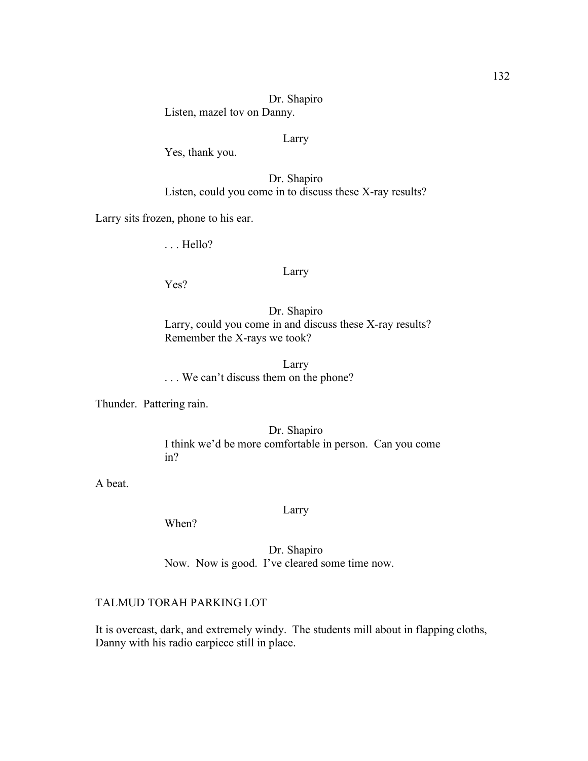## Dr. Shapiro

Listen, mazel tov on Danny.

#### Larry

Yes, thank you.

Dr. Shapiro Listen, could you come in to discuss these X-ray results?

Larry sits frozen, phone to his ear.

. . . Hello?

#### Larry

Yes?

Dr. Shapiro Larry, could you come in and discuss these X-ray results? Remember the X-rays we took?

Larry . . . We can't discuss them on the phone?

Thunder. Pattering rain.

Dr. Shapiro I think we'd be more comfortable in person. Can you come in?

A beat.

Larry

When?

Dr. Shapiro Now. Now is good. I've cleared some time now.

# TALMUD TORAH PARKING LOT

It is overcast, dark, and extremely windy. The students mill about in flapping cloths, Danny with his radio earpiece still in place.